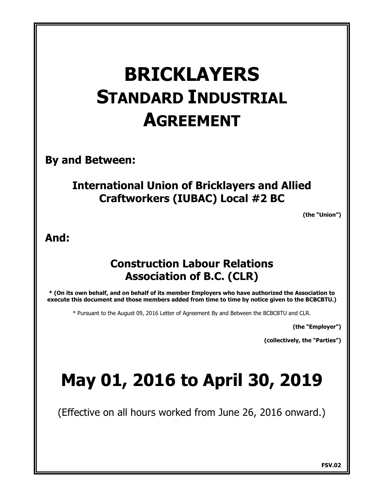# **BRICKLAYERS STANDARD INDUSTRIAL AGREEMENT**

**By and Between:**

# **International Union of Bricklayers and Allied Craftworkers (IUBAC) Local #2 BC**

**(the "Union")**

## **And:**

# **Construction Labour Relations Association of B.C. (CLR)**

**\* (On its own behalf, and on behalf of its member Employers who have authorized the Association to execute this document and those members added from time to time by notice given to the BCBCBTU.)**

\* Pursuant to the August 09, 2016 Letter of Agreement By and Between the BCBCBTU and CLR.

**(the "Employer")**

**(collectively, the "Parties")**

# **May 01, 2016 to April 30, 2019**

(Effective on all hours worked from June 26, 2016 onward.)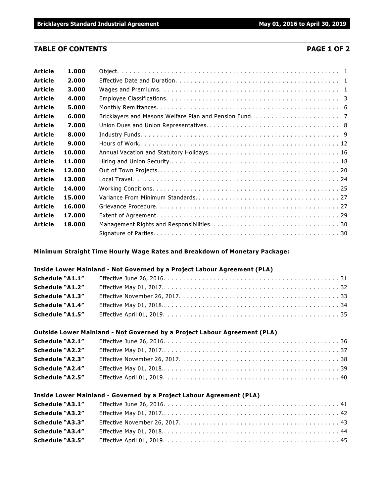#### **TABLE OF CONTENTS PAGE 1 OF 2**

| <b>Article</b> | 1.000  |  |  |  |  |
|----------------|--------|--|--|--|--|
| <b>Article</b> | 2.000  |  |  |  |  |
| <b>Article</b> | 3.000  |  |  |  |  |
| <b>Article</b> | 4.000  |  |  |  |  |
| <b>Article</b> | 5.000  |  |  |  |  |
| <b>Article</b> | 6.000  |  |  |  |  |
| <b>Article</b> | 7.000  |  |  |  |  |
| <b>Article</b> | 8.000  |  |  |  |  |
| <b>Article</b> | 9.000  |  |  |  |  |
| <b>Article</b> | 10.000 |  |  |  |  |
| <b>Article</b> | 11.000 |  |  |  |  |
| <b>Article</b> | 12.000 |  |  |  |  |
| <b>Article</b> | 13.000 |  |  |  |  |
| <b>Article</b> | 14.000 |  |  |  |  |
| <b>Article</b> | 15.000 |  |  |  |  |
| <b>Article</b> | 16.000 |  |  |  |  |
| <b>Article</b> | 17.000 |  |  |  |  |
| <b>Article</b> | 18.000 |  |  |  |  |
|                |        |  |  |  |  |

**Minimum Straight Time Hourly Wage Rates and Breakdown of Monetary Package:**

#### **Inside Lower Mainland - Not Governed by a Project Labour Agreement (PLA)**

| Schedule "A1.1"        |  |
|------------------------|--|
| <b>Schedule "A1.2"</b> |  |
| <b>Schedule "A1.3"</b> |  |
| <b>Schedule "A1.4"</b> |  |
| <b>Schedule "A1.5"</b> |  |

#### **Outside Lower Mainland - Not Governed by a Project Labour Agreement (PLA)**

| Schedule "A2.1"        |  |
|------------------------|--|
| Schedule "A2.2"        |  |
| Schedule "A2.3"        |  |
| <b>Schedule "A2.4"</b> |  |
| <b>Schedule "A2.5"</b> |  |

#### **Inside Lower Mainland - Governed by a Project Labour Agreement (PLA)**

| <b>Schedule "A3.1"</b> |  |
|------------------------|--|
| <b>Schedule "A3.2"</b> |  |
| <b>Schedule "A3.3"</b> |  |
| <b>Schedule "A3.4"</b> |  |
| <b>Schedule "A3.5"</b> |  |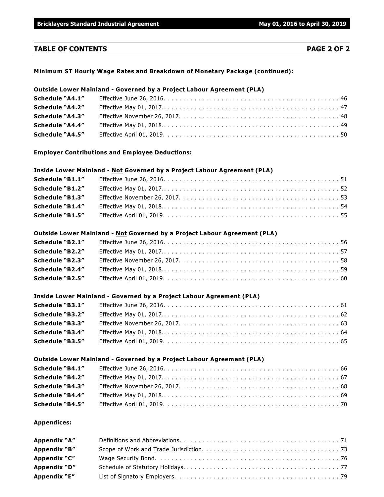#### **TABLE OF CONTENTS PAGE 2 OF 2**

#### **Minimum ST Hourly Wage Rates and Breakdown of Monetary Package (continued):**

### **Outside Lower Mainland - Governed by a Project Labour Agreement (PLA) Schedule "A4.1"** Effective June 26, 2016. . . . . . . . . . . . . . . . . . . . . . . . . . . . . . . . . . . . . . . . . . . . . . 46 **Schedule "A4.2"** Effective May 01, 2017.. . . . . . . . . . . . . . . . . . . . . . . . . . . . . . . . . . . . . . . . . . . . . . 47 **Schedule "A4.3"** Effective November 26, 2017. . . . . . . . . . . . . . . . . . . . . . . . . . . . . . . . . . . . . . . . . . 48 **Schedule "A4.4"** Effective May 01, 2018.. . . . . . . . . . . . . . . . . . . . . . . . . . . . . . . . . . . . . . . . . . . . . . 49 **Schedule "A4.5"** Effective April 01, 2019. . . . . . . . . . . . . . . . . . . . . . . . . . . . . . . . . . . . . . . . . . . . . . 50

**Employer Contributions and Employee Deductions:**

#### **Inside Lower Mainland - Not Governed by a Project Labour Agreement (PLA)**

| Schedule "B1.1"        |  |
|------------------------|--|
| Schedule "B1.2"        |  |
| Schedule "B1.3"        |  |
| <b>Schedule "B1.4"</b> |  |
| <b>Schedule "B1.5"</b> |  |

#### **Outside Lower Mainland - Not Governed by a Project Labour Agreement (PLA)**

| <b>Schedule "B2.1"</b> |  |
|------------------------|--|
| Schedule "B2.2"        |  |
| Schedule "B2.3"        |  |
| Schedule "B2.4"        |  |
| Schedule "B2.5"        |  |

#### **Inside Lower Mainland - Governed by a Project Labour Agreement (PLA)**

| <b>Schedule "B3.1"</b> |  |
|------------------------|--|
| <b>Schedule "B3.2"</b> |  |
| Schedule "B3.3"        |  |
| Schedule "B3.4"        |  |
| Schedule "B3.5"        |  |

#### **Outside Lower Mainland - Governed by a Project Labour Agreement (PLA)**

| Schedule "B4.1"        |  |
|------------------------|--|
| <b>Schedule "B4.2"</b> |  |
| <b>Schedule "B4.3"</b> |  |
| <b>Schedule "B4.4"</b> |  |
| <b>Schedule "B4.5"</b> |  |

#### **Appendices:**

| Appendix "A" |  |
|--------------|--|
| Appendix "B" |  |
| Appendix "C" |  |
| Appendix "D" |  |
| Appendix "E" |  |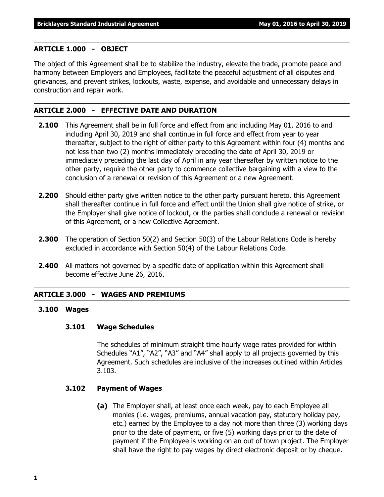#### **ARTICLE 1.000 - OBJECT**

The object of this Agreement shall be to stabilize the industry, elevate the trade, promote peace and harmony between Employers and Employees, facilitate the peaceful adjustment of all disputes and grievances, and prevent strikes, lockouts, waste, expense, and avoidable and unnecessary delays in construction and repair work.

#### **ARTICLE 2.000 - EFFECTIVE DATE AND DURATION**

- **2.100** This Agreement shall be in full force and effect from and including May 01, 2016 to and including April 30, 2019 and shall continue in full force and effect from year to year thereafter, subject to the right of either party to this Agreement within four (4) months and not less than two (2) months immediately preceding the date of April 30, 2019 or immediately preceding the last day of April in any year thereafter by written notice to the other party, require the other party to commence collective bargaining with a view to the conclusion of a renewal or revision of this Agreement or a new Agreement.
- **2.200** Should either party give written notice to the other party pursuant hereto, this Agreement shall thereafter continue in full force and effect until the Union shall give notice of strike, or the Employer shall give notice of lockout, or the parties shall conclude a renewal or revision of this Agreement, or a new Collective Agreement.
- **2.300** The operation of Section 50(2) and Section 50(3) of the Labour Relations Code is hereby excluded in accordance with Section 50(4) of the Labour Relations Code.
- **2.400** All matters not governed by a specific date of application within this Agreement shall become effective June 26, 2016.

#### **ARTICLE 3.000 - WAGES AND PREMIUMS**

#### **3.100 Wages**

#### **3.101 Wage Schedules**

The schedules of minimum straight time hourly wage rates provided for within Schedules "A1", "A2", "A3" and "A4" shall apply to all projects governed by this Agreement. Such schedules are inclusive of the increases outlined within Articles 3.103.

#### **3.102 Payment of Wages**

**(a)** The Employer shall, at least once each week, pay to each Employee all monies (i.e. wages, premiums, annual vacation pay, statutory holiday pay, etc.) earned by the Employee to a day not more than three (3) working days prior to the date of payment, or five (5) working days prior to the date of payment if the Employee is working on an out of town project. The Employer shall have the right to pay wages by direct electronic deposit or by cheque.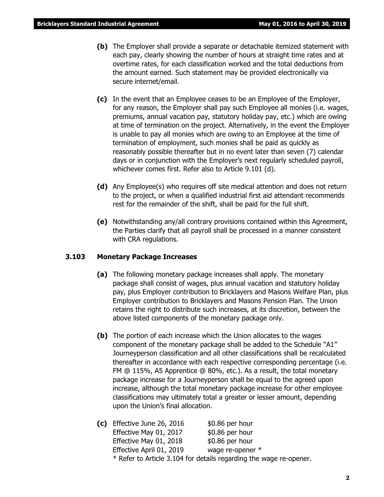- **(b)** The Employer shall provide a separate or detachable itemized statement with each pay, clearly showing the number of hours at straight time rates and at overtime rates, for each classification worked and the total deductions from the amount earned. Such statement may be provided electronically via secure internet/email.
- **(c)** In the event that an Employee ceases to be an Employee of the Employer, for any reason, the Employer shall pay such Employee all monies (i.e. wages, premiums, annual vacation pay, statutory holiday pay, etc.) which are owing at time of termination on the project. Alternatively, in the event the Employer is unable to pay all monies which are owing to an Employee at the time of termination of employment, such monies shall be paid as quickly as reasonably possible thereafter but in no event later than seven (7) calendar days or in conjunction with the Employer's next regularly scheduled payroll, whichever comes first. Refer also to Article 9.101 (d).
- **(d)** Any Employee(s) who requires off site medical attention and does not return to the project, or when a qualified industrial first aid attendant recommends rest for the remainder of the shift, shall be paid for the full shift.
- **(e)** Notwithstanding any/all contrary provisions contained within this Agreement, the Parties clarify that all payroll shall be processed in a manner consistent with CRA regulations.

#### **3.103 Monetary Package Increases**

- **(a)** The following monetary package increases shall apply. The monetary package shall consist of wages, plus annual vacation and statutory holiday pay, plus Employer contribution to Bricklayers and Masons Welfare Plan, plus Employer contribution to Bricklayers and Masons Pension Plan. The Union retains the right to distribute such increases, at its discretion, between the above listed components of the monetary package only.
- **(b)** The portion of each increase which the Union allocates to the wages component of the monetary package shall be added to the Schedule "A1" Journeyperson classification and all other classifications shall be recalculated thereafter in accordance with each respective corresponding percentage (i.e. FM @ 115%, A5 Apprentice @ 80%, etc.). As a result, the total monetary package increase for a Journeyperson shall be equal to the agreed upon increase, although the total monetary package increase for other employee classifications may ultimately total a greater or lesser amount, depending upon the Union's final allocation.
- **(c)** Effective June 26, 2016 \$0.86 per hour Effective May 01, 2017 \$0.86 per hour Effective May 01, 2018 \$0.86 per hour Effective April 01, 2019 wage re-opener \* \* Refer to Article 3.104 for details regarding the wage re-opener.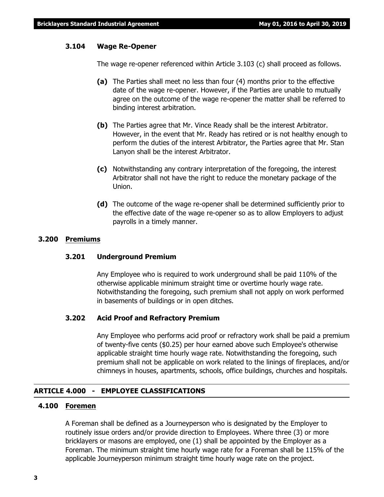#### **3.104 Wage Re-Opener**

The wage re-opener referenced within Article 3.103 (c) shall proceed as follows.

- **(a)** The Parties shall meet no less than four (4) months prior to the effective date of the wage re-opener. However, if the Parties are unable to mutually agree on the outcome of the wage re-opener the matter shall be referred to binding interest arbitration.
- **(b)** The Parties agree that Mr. Vince Ready shall be the interest Arbitrator. However, in the event that Mr. Ready has retired or is not healthy enough to perform the duties of the interest Arbitrator, the Parties agree that Mr. Stan Lanyon shall be the interest Arbitrator.
- **(c)** Notwithstanding any contrary interpretation of the foregoing, the interest Arbitrator shall not have the right to reduce the monetary package of the Union.
- **(d)** The outcome of the wage re-opener shall be determined sufficiently prior to the effective date of the wage re-opener so as to allow Employers to adjust payrolls in a timely manner.

#### **3.200 Premiums**

#### **3.201 Underground Premium**

Any Employee who is required to work underground shall be paid 110% of the otherwise applicable minimum straight time or overtime hourly wage rate. Notwithstanding the foregoing, such premium shall not apply on work performed in basements of buildings or in open ditches.

#### **3.202 Acid Proof and Refractory Premium**

Any Employee who performs acid proof or refractory work shall be paid a premium of twenty-five cents (\$0.25) per hour earned above such Employee's otherwise applicable straight time hourly wage rate. Notwithstanding the foregoing, such premium shall not be applicable on work related to the linings of fireplaces, and/or chimneys in houses, apartments, schools, office buildings, churches and hospitals.

#### **ARTICLE 4.000 - EMPLOYEE CLASSIFICATIONS**

### **4.100 Foremen**

A Foreman shall be defined as a Journeyperson who is designated by the Employer to routinely issue orders and/or provide direction to Employees. Where three (3) or more bricklayers or masons are employed, one (1) shall be appointed by the Employer as a Foreman. The minimum straight time hourly wage rate for a Foreman shall be 115% of the applicable Journeyperson minimum straight time hourly wage rate on the project.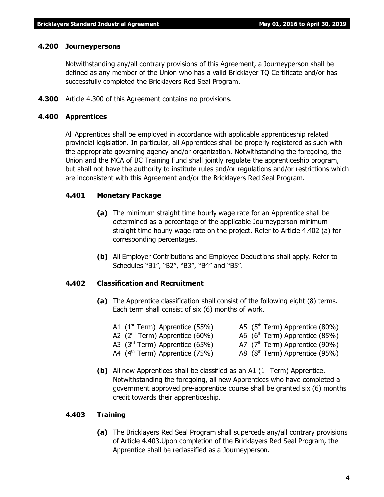#### **4.200 Journeypersons**

Notwithstanding any/all contrary provisions of this Agreement, a Journeyperson shall be defined as any member of the Union who has a valid Bricklayer TQ Certificate and/or has successfully completed the Bricklayers Red Seal Program.

**4.300** Article 4.300 of this Agreement contains no provisions.

#### **4.400 Apprentices**

All Apprentices shall be employed in accordance with applicable apprenticeship related provincial legislation. In particular, all Apprentices shall be properly registered as such with the appropriate governing agency and/or organization. Notwithstanding the foregoing, the Union and the MCA of BC Training Fund shall jointly regulate the apprenticeship program, but shall not have the authority to institute rules and/or regulations and/or restrictions which are inconsistent with this Agreement and/or the Bricklayers Red Seal Program.

#### **4.401 Monetary Package**

- **(a)** The minimum straight time hourly wage rate for an Apprentice shall be determined as a percentage of the applicable Journeyperson minimum straight time hourly wage rate on the project. Refer to Article 4.402 (a) for corresponding percentages.
- **(b)** All Employer Contributions and Employee Deductions shall apply. Refer to Schedules "B1", "B2", "B3", "B4" and "B5".

#### **4.402 Classification and Recruitment**

**(a)** The Apprentice classification shall consist of the following eight (8) terms. Each term shall consist of six (6) months of work.

| A1 $(1^{st}$ Term) Apprentice (55%)        | A5 $(5th Term)$ Apprentice $(80%)$         |
|--------------------------------------------|--------------------------------------------|
| A2 $(2nd Term)$ Apprentice $(60%)$         | A6 (6 <sup>th</sup> Term) Apprentice (85%) |
| A3 $(3rd Term)$ Apprentice $(65%)$         | A7 $(7th Term)$ Apprentice (90%)           |
| A4 (4 <sup>th</sup> Term) Apprentice (75%) | A8 $(8th Term)$ Apprentice $(95%)$         |

**(b)** All new Apprentices shall be classified as an A1  $(1<sup>st</sup> Term)$  Apprentice. Notwithstanding the foregoing, all new Apprentices who have completed a government approved pre-apprentice course shall be granted six (6) months credit towards their apprenticeship.

#### **4.403 Training**

**(a)** The Bricklayers Red Seal Program shall supercede any/all contrary provisions of Article 4.403.Upon completion of the Bricklayers Red Seal Program, the Apprentice shall be reclassified as a Journeyperson.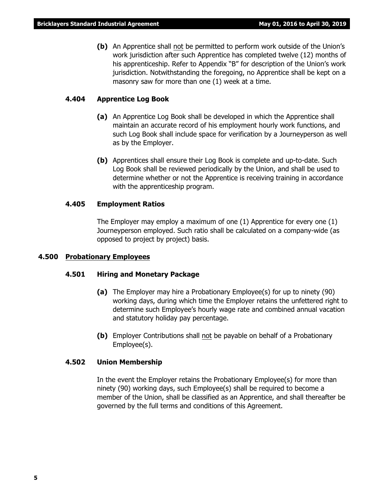**(b)** An Apprentice shall not be permitted to perform work outside of the Union's work jurisdiction after such Apprentice has completed twelve (12) months of his apprenticeship. Refer to Appendix "B" for description of the Union's work jurisdiction. Notwithstanding the foregoing, no Apprentice shall be kept on a masonry saw for more than one (1) week at a time.

#### **4.404 Apprentice Log Book**

- **(a)** An Apprentice Log Book shall be developed in which the Apprentice shall maintain an accurate record of his employment hourly work functions, and such Log Book shall include space for verification by a Journeyperson as well as by the Employer.
- **(b)** Apprentices shall ensure their Log Book is complete and up-to-date. Such Log Book shall be reviewed periodically by the Union, and shall be used to determine whether or not the Apprentice is receiving training in accordance with the apprenticeship program.

#### **4.405 Employment Ratios**

The Employer may employ a maximum of one (1) Apprentice for every one (1) Journeyperson employed. Such ratio shall be calculated on a company-wide (as opposed to project by project) basis.

#### **4.500 Probationary Employees**

#### **4.501 Hiring and Monetary Package**

- **(a)** The Employer may hire a Probationary Employee(s) for up to ninety (90) working days, during which time the Employer retains the unfettered right to determine such Employee's hourly wage rate and combined annual vacation and statutory holiday pay percentage.
- **(b)** Employer Contributions shall not be payable on behalf of a Probationary Employee(s).

#### **4.502 Union Membership**

In the event the Employer retains the Probationary Employee(s) for more than ninety (90) working days, such Employee(s) shall be required to become a member of the Union, shall be classified as an Apprentice, and shall thereafter be governed by the full terms and conditions of this Agreement.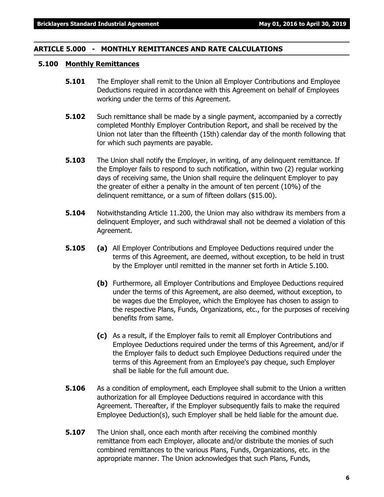#### **ARTICLE 5.000 - MONTHLY REMITTANCES AND RATE CALCULATIONS**

#### **5.100 Monthly Remittances**

- **5.101** The Employer shall remit to the Union all Employer Contributions and Employee Deductions required in accordance with this Agreement on behalf of Employees working under the terms of this Agreement.
- **5.102** Such remittance shall be made by a single payment, accompanied by a correctly completed Monthly Employer Contribution Report, and shall be received by the Union not later than the fifteenth (15th) calendar day of the month following that for which such payments are payable.
- **5.103** The Union shall notify the Employer, in writing, of any delinguent remittance. If the Employer fails to respond to such notification, within two (2) regular working days of receiving same, the Union shall require the delinquent Employer to pay the greater of either a penalty in the amount of ten percent (10%) of the delinquent remittance, or a sum of fifteen dollars (\$15.00).
- **5.104** Notwithstanding Article 11.200, the Union may also withdraw its members from a delinquent Employer, and such withdrawal shall not be deemed a violation of this Agreement.
- **5.105 (a)** All Employer Contributions and Employee Deductions required under the terms of this Agreement, are deemed, without exception, to be held in trust by the Employer until remitted in the manner set forth in Article 5.100.
	- **(b)** Furthermore, all Employer Contributions and Employee Deductions required under the terms of this Agreement, are also deemed, without exception, to be wages due the Employee, which the Employee has chosen to assign to the respective Plans, Funds, Organizations, etc., for the purposes of receiving benefits from same.
	- **(c)** As a result, if the Employer fails to remit all Employer Contributions and Employee Deductions required under the terms of this Agreement, and/or if the Employer fails to deduct such Employee Deductions required under the terms of this Agreement from an Employee's pay cheque, such Employer shall be liable for the full amount due.
- **5.106** As a condition of employment, each Employee shall submit to the Union a written authorization for all Employee Deductions required in accordance with this Agreement. Thereafter, if the Employer subsequently fails to make the required Employee Deduction(s), such Employer shall be held liable for the amount due.
- **5.107** The Union shall, once each month after receiving the combined monthly remittance from each Employer, allocate and/or distribute the monies of such combined remittances to the various Plans, Funds, Organizations, etc. in the appropriate manner. The Union acknowledges that such Plans, Funds,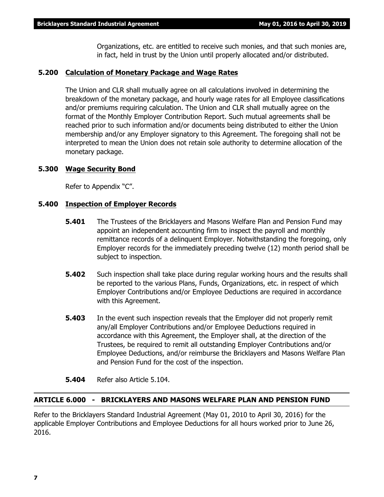Organizations, etc. are entitled to receive such monies, and that such monies are, in fact, held in trust by the Union until properly allocated and/or distributed.

#### **5.200 Calculation of Monetary Package and Wage Rates**

The Union and CLR shall mutually agree on all calculations involved in determining the breakdown of the monetary package, and hourly wage rates for all Employee classifications and/or premiums requiring calculation. The Union and CLR shall mutually agree on the format of the Monthly Employer Contribution Report. Such mutual agreements shall be reached prior to such information and/or documents being distributed to either the Union membership and/or any Employer signatory to this Agreement. The foregoing shall not be interpreted to mean the Union does not retain sole authority to determine allocation of the monetary package.

#### **5.300 Wage Security Bond**

Refer to Appendix "C".

#### **5.400 Inspection of Employer Records**

- **5.401** The Trustees of the Bricklayers and Masons Welfare Plan and Pension Fund may appoint an independent accounting firm to inspect the payroll and monthly remittance records of a delinquent Employer. Notwithstanding the foregoing, only Employer records for the immediately preceding twelve (12) month period shall be subject to inspection.
- **5.402** Such inspection shall take place during regular working hours and the results shall be reported to the various Plans, Funds, Organizations, etc. in respect of which Employer Contributions and/or Employee Deductions are required in accordance with this Agreement.
- **5.403** In the event such inspection reveals that the Employer did not properly remit any/all Employer Contributions and/or Employee Deductions required in accordance with this Agreement, the Employer shall, at the direction of the Trustees, be required to remit all outstanding Employer Contributions and/or Employee Deductions, and/or reimburse the Bricklayers and Masons Welfare Plan and Pension Fund for the cost of the inspection.
- **5.404** Refer also Article 5.104.

#### **ARTICLE 6.000 - BRICKLAYERS AND MASONS WELFARE PLAN AND PENSION FUND**

Refer to the Bricklayers Standard Industrial Agreement (May 01, 2010 to April 30, 2016) for the applicable Employer Contributions and Employee Deductions for all hours worked prior to June 26, 2016.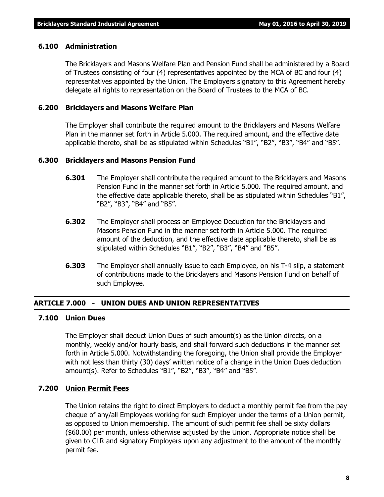#### **6.100 Administration**

The Bricklayers and Masons Welfare Plan and Pension Fund shall be administered by a Board of Trustees consisting of four (4) representatives appointed by the MCA of BC and four (4) representatives appointed by the Union. The Employers signatory to this Agreement hereby delegate all rights to representation on the Board of Trustees to the MCA of BC.

#### **6.200 Bricklayers and Masons Welfare Plan**

The Employer shall contribute the required amount to the Bricklayers and Masons Welfare Plan in the manner set forth in Article 5.000. The required amount, and the effective date applicable thereto, shall be as stipulated within Schedules "B1", "B2", "B3", "B4" and "B5".

#### **6.300 Bricklayers and Masons Pension Fund**

- **6.301** The Employer shall contribute the required amount to the Bricklayers and Masons Pension Fund in the manner set forth in Article 5.000. The required amount, and the effective date applicable thereto, shall be as stipulated within Schedules "B1", "B2", "B3", "B4" and "B5".
- **6.302** The Employer shall process an Employee Deduction for the Bricklayers and Masons Pension Fund in the manner set forth in Article 5.000. The required amount of the deduction, and the effective date applicable thereto, shall be as stipulated within Schedules "B1", "B2", "B3", "B4" and "B5".
- **6.303** The Employer shall annually issue to each Employee, on his T-4 slip, a statement of contributions made to the Bricklayers and Masons Pension Fund on behalf of such Employee.

#### **ARTICLE 7.000 - UNION DUES AND UNION REPRESENTATIVES**

#### **7.100 Union Dues**

The Employer shall deduct Union Dues of such amount(s) as the Union directs, on a monthly, weekly and/or hourly basis, and shall forward such deductions in the manner set forth in Article 5.000. Notwithstanding the foregoing, the Union shall provide the Employer with not less than thirty (30) days' written notice of a change in the Union Dues deduction amount(s). Refer to Schedules "B1", "B2", "B3", "B4" and "B5".

#### **7.200 Union Permit Fees**

The Union retains the right to direct Employers to deduct a monthly permit fee from the pay cheque of any/all Employees working for such Employer under the terms of a Union permit, as opposed to Union membership. The amount of such permit fee shall be sixty dollars (\$60.00) per month, unless otherwise adjusted by the Union. Appropriate notice shall be given to CLR and signatory Employers upon any adjustment to the amount of the monthly permit fee.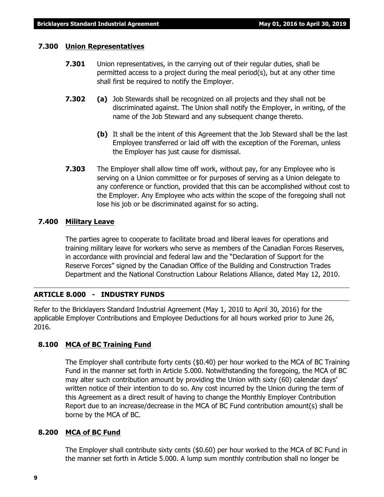#### **7.300 Union Representatives**

- **7.301** Union representatives, in the carrying out of their regular duties, shall be permitted access to a project during the meal period(s), but at any other time shall first be required to notify the Employer.
- **7.302 (a)** Job Stewards shall be recognized on all projects and they shall not be discriminated against. The Union shall notify the Employer, in writing, of the name of the Job Steward and any subsequent change thereto.
	- **(b)** It shall be the intent of this Agreement that the Job Steward shall be the last Employee transferred or laid off with the exception of the Foreman, unless the Employer has just cause for dismissal.
- **7.303** The Employer shall allow time off work, without pay, for any Employee who is serving on a Union committee or for purposes of serving as a Union delegate to any conference or function, provided that this can be accomplished without cost to the Employer. Any Employee who acts within the scope of the foregoing shall not lose his job or be discriminated against for so acting.

#### **7.400 Military Leave**

The parties agree to cooperate to facilitate broad and liberal leaves for operations and training military leave for workers who serve as members of the Canadian Forces Reserves, in accordance with provincial and federal law and the "Declaration of Support for the Reserve Forces" signed by the Canadian Office of the Building and Construction Trades Department and the National Construction Labour Relations Alliance, dated May 12, 2010.

#### **ARTICLE 8.000 - INDUSTRY FUNDS**

Refer to the Bricklayers Standard Industrial Agreement (May 1, 2010 to April 30, 2016) for the applicable Employer Contributions and Employee Deductions for all hours worked prior to June 26, 2016.

#### **8.100 MCA of BC Training Fund**

The Employer shall contribute forty cents (\$0.40) per hour worked to the MCA of BC Training Fund in the manner set forth in Article 5.000. Notwithstanding the foregoing, the MCA of BC may alter such contribution amount by providing the Union with sixty (60) calendar days' written notice of their intention to do so. Any cost incurred by the Union during the term of this Agreement as a direct result of having to change the Monthly Employer Contribution Report due to an increase/decrease in the MCA of BC Fund contribution amount(s) shall be borne by the MCA of BC.

#### **8.200 MCA of BC Fund**

The Employer shall contribute sixty cents (\$0.60) per hour worked to the MCA of BC Fund in the manner set forth in Article 5.000. A lump sum monthly contribution shall no longer be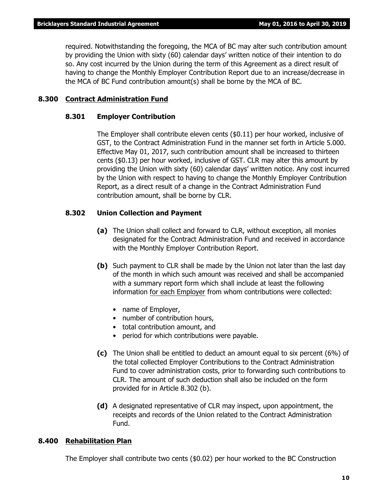required. Notwithstanding the foregoing, the MCA of BC may alter such contribution amount by providing the Union with sixty (60) calendar days' written notice of their intention to do so. Any cost incurred by the Union during the term of this Agreement as a direct result of having to change the Monthly Employer Contribution Report due to an increase/decrease in the MCA of BC Fund contribution amount(s) shall be borne by the MCA of BC.

#### **8.300 Contract Administration Fund**

#### **8.301 Employer Contribution**

The Employer shall contribute eleven cents (\$0.11) per hour worked, inclusive of GST, to the Contract Administration Fund in the manner set forth in Article 5.000. Effective May 01, 2017, such contribution amount shall be increased to thirteen cents (\$0.13) per hour worked, inclusive of GST. CLR may alter this amount by providing the Union with sixty (60) calendar days' written notice. Any cost incurred by the Union with respect to having to change the Monthly Employer Contribution Report, as a direct result of a change in the Contract Administration Fund contribution amount, shall be borne by CLR.

#### **8.302 Union Collection and Payment**

- **(a)** The Union shall collect and forward to CLR, without exception, all monies designated for the Contract Administration Fund and received in accordance with the Monthly Employer Contribution Report.
- **(b)** Such payment to CLR shall be made by the Union not later than the last day of the month in which such amount was received and shall be accompanied with a summary report form which shall include at least the following information for each Employer from whom contributions were collected:
	- name of Employer,
	- number of contribution hours,
	- total contribution amount, and
	- period for which contributions were payable.
- **(c)** The Union shall be entitled to deduct an amount equal to six percent (6%) of the total collected Employer Contributions to the Contract Administration Fund to cover administration costs, prior to forwarding such contributions to CLR. The amount of such deduction shall also be included on the form provided for in Article 8.302 (b).
- **(d)** A designated representative of CLR may inspect, upon appointment, the receipts and records of the Union related to the Contract Administration Fund.

#### **8.400 Rehabilitation Plan**

The Employer shall contribute two cents (\$0.02) per hour worked to the BC Construction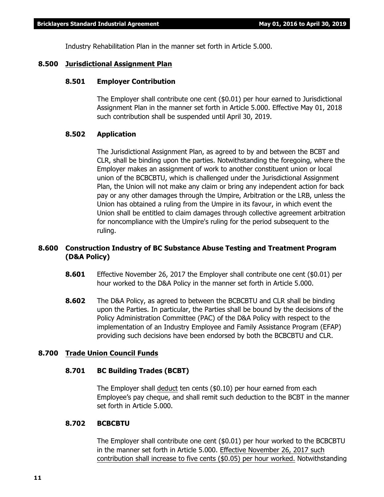Industry Rehabilitation Plan in the manner set forth in Article 5.000.

#### **8.500 Jurisdictional Assignment Plan**

#### **8.501 Employer Contribution**

The Employer shall contribute one cent (\$0.01) per hour earned to Jurisdictional Assignment Plan in the manner set forth in Article 5.000. Effective May 01, 2018 such contribution shall be suspended until April 30, 2019.

#### **8.502 Application**

The Jurisdictional Assignment Plan, as agreed to by and between the BCBT and CLR, shall be binding upon the parties. Notwithstanding the foregoing, where the Employer makes an assignment of work to another constituent union or local union of the BCBCBTU, which is challenged under the Jurisdictional Assignment Plan, the Union will not make any claim or bring any independent action for back pay or any other damages through the Umpire, Arbitration or the LRB, unless the Union has obtained a ruling from the Umpire in its favour, in which event the Union shall be entitled to claim damages through collective agreement arbitration for noncompliance with the Umpire's ruling for the period subsequent to the ruling.

### **8.600 Construction Industry of BC Substance Abuse Testing and Treatment Program (D&A Policy)**

- **8.601** Effective November 26, 2017 the Employer shall contribute one cent (\$0.01) per hour worked to the D&A Policy in the manner set forth in Article 5.000.
- **8.602** The D&A Policy, as agreed to between the BCBCBTU and CLR shall be binding upon the Parties. In particular, the Parties shall be bound by the decisions of the Policy Administration Committee (PAC) of the D&A Policy with respect to the implementation of an Industry Employee and Family Assistance Program (EFAP) providing such decisions have been endorsed by both the BCBCBTU and CLR.

#### **8.700 Trade Union Council Funds**

#### **8.701 BC Building Trades (BCBT)**

The Employer shall deduct ten cents (\$0.10) per hour earned from each Employee's pay cheque, and shall remit such deduction to the BCBT in the manner set forth in Article 5.000.

#### **8.702 BCBCBTU**

The Employer shall contribute one cent (\$0.01) per hour worked to the BCBCBTU in the manner set forth in Article 5.000. Effective November 26, 2017 such contribution shall increase to five cents (\$0.05) per hour worked. Notwithstanding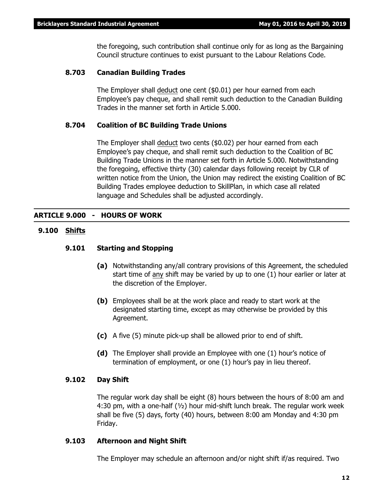the foregoing, such contribution shall continue only for as long as the Bargaining Council structure continues to exist pursuant to the *Labour Relations Code*.

#### **8.703 Canadian Building Trades**

The Employer shall deduct one cent (\$0.01) per hour earned from each Employee's pay cheque, and shall remit such deduction to the Canadian Building Trades in the manner set forth in Article 5.000.

#### **8.704 Coalition of BC Building Trade Unions**

The Employer shall deduct two cents (\$0.02) per hour earned from each Employee's pay cheque, and shall remit such deduction to the Coalition of BC Building Trade Unions in the manner set forth in Article 5.000. Notwithstanding the foregoing, effective thirty (30) calendar days following receipt by CLR of written notice from the Union, the Union may redirect the existing Coalition of BC Building Trades employee deduction to SkillPlan, in which case all related language and Schedules shall be adjusted accordingly.

#### **ARTICLE 9.000 - HOURS OF WORK**

#### **9.100 Shifts**

#### **9.101 Starting and Stopping**

- **(a)** Notwithstanding any/all contrary provisions of this Agreement, the scheduled start time of any shift may be varied by up to one (1) hour earlier or later at the discretion of the Employer.
- **(b)** Employees shall be at the work place and ready to start work at the designated starting time, except as may otherwise be provided by this Agreement.
- **(c)** A five (5) minute pick-up shall be allowed prior to end of shift.
- **(d)** The Employer shall provide an Employee with one (1) hour's notice of termination of employment, or one (1) hour's pay in lieu thereof.

#### **9.102 Day Shift**

The regular work day shall be eight (8) hours between the hours of 8:00 am and 4:30 pm, with a one-half  $(v_2)$  hour mid-shift lunch break. The regular work week shall be five (5) days, forty (40) hours, between 8:00 am Monday and 4:30 pm Friday.

#### **9.103 Afternoon and Night Shift**

The Employer may schedule an afternoon and/or night shift if/as required. Two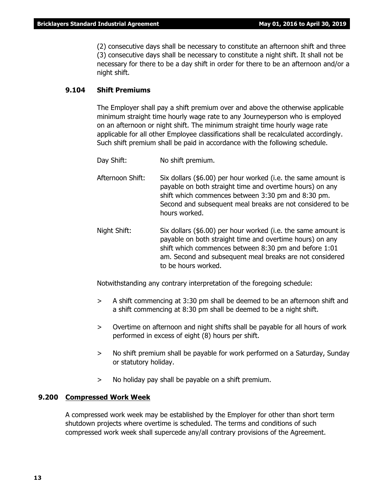(2) consecutive days shall be necessary to constitute an afternoon shift and three (3) consecutive days shall be necessary to constitute a night shift. It shall not be necessary for there to be a day shift in order for there to be an afternoon and/or a night shift.

#### **9.104 Shift Premiums**

The Employer shall pay a shift premium over and above the otherwise applicable minimum straight time hourly wage rate to any Journeyperson who is employed on an afternoon or night shift. The minimum straight time hourly wage rate applicable for all other Employee classifications shall be recalculated accordingly. Such shift premium shall be paid in accordance with the following schedule.

- Day Shift: No shift premium.
- Afternoon Shift: Six dollars (\$6.00) per hour worked (i.e. the same amount is payable on both straight time and overtime hours) on any shift which commences between 3:30 pm and 8:30 pm. Second and subsequent meal breaks are not considered to be hours worked.
- Night Shift: Six dollars (\$6.00) per hour worked (i.e. the same amount is payable on both straight time and overtime hours) on any shift which commences between 8:30 pm and before 1:01 am. Second and subsequent meal breaks are not considered to be hours worked.

Notwithstanding any contrary interpretation of the foregoing schedule:

- > A shift commencing at 3:30 pm shall be deemed to be an afternoon shift and a shift commencing at 8:30 pm shall be deemed to be a night shift.
- > Overtime on afternoon and night shifts shall be payable for all hours of work performed in excess of eight (8) hours per shift.
- > No shift premium shall be payable for work performed on a Saturday, Sunday or statutory holiday.
- > No holiday pay shall be payable on a shift premium.

#### **9.200 Compressed Work Week**

A compressed work week may be established by the Employer for other than short term shutdown projects where overtime is scheduled. The terms and conditions of such compressed work week shall supercede any/all contrary provisions of the Agreement.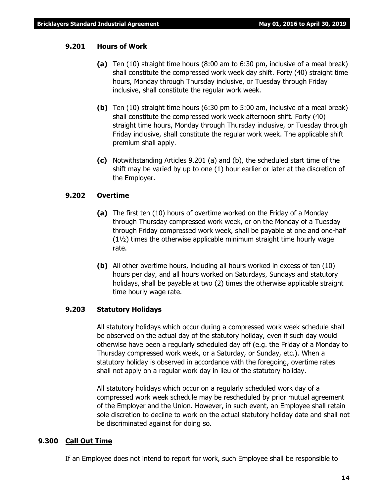#### **9.201 Hours of Work**

- **(a)** Ten (10) straight time hours (8:00 am to 6:30 pm, inclusive of a meal break) shall constitute the compressed work week day shift. Forty (40) straight time hours, Monday through Thursday inclusive, or Tuesday through Friday inclusive, shall constitute the regular work week.
- **(b)** Ten (10) straight time hours (6:30 pm to 5:00 am, inclusive of a meal break) shall constitute the compressed work week afternoon shift. Forty (40) straight time hours, Monday through Thursday inclusive, or Tuesday through Friday inclusive, shall constitute the regular work week. The applicable shift premium shall apply.
- **(c)** Notwithstanding Articles 9.201 (a) and (b), the scheduled start time of the shift may be varied by up to one (1) hour earlier or later at the discretion of the Employer.

#### **9.202 Overtime**

- **(a)** The first ten (10) hours of overtime worked on the Friday of a Monday through Thursday compressed work week, or on the Monday of a Tuesday through Friday compressed work week, shall be payable at one and one-half (1½) times the otherwise applicable minimum straight time hourly wage rate.
- **(b)** All other overtime hours, including all hours worked in excess of ten (10) hours per day, and all hours worked on Saturdays, Sundays and statutory holidays, shall be payable at two (2) times the otherwise applicable straight time hourly wage rate.

#### **9.203 Statutory Holidays**

All statutory holidays which occur during a compressed work week schedule shall be observed on the actual day of the statutory holiday, even if such day would otherwise have been a regularly scheduled day off (e.g. the Friday of a Monday to Thursday compressed work week, or a Saturday, or Sunday, etc.). When a statutory holiday is observed in accordance with the foregoing, overtime rates shall not apply on a regular work day in lieu of the statutory holiday.

All statutory holidays which occur on a regularly scheduled work day of a compressed work week schedule may be rescheduled by prior mutual agreement of the Employer and the Union. However, in such event, an Employee shall retain sole discretion to decline to work on the actual statutory holiday date and shall not be discriminated against for doing so.

#### **9.300 Call Out Time**

If an Employee does not intend to report for work, such Employee shall be responsible to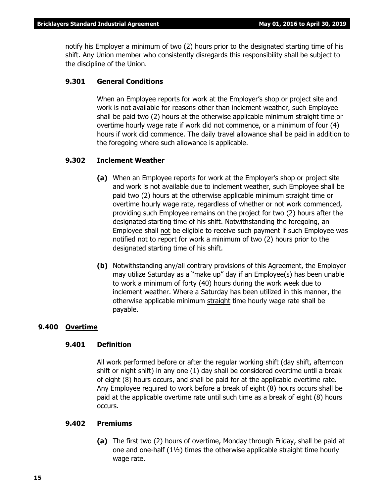notify his Employer a minimum of two (2) hours prior to the designated starting time of his shift. Any Union member who consistently disregards this responsibility shall be subject to the discipline of the Union.

#### **9.301 General Conditions**

When an Employee reports for work at the Employer's shop or project site and work is not available for reasons other than inclement weather, such Employee shall be paid two (2) hours at the otherwise applicable minimum straight time or overtime hourly wage rate if work did not commence, or a minimum of four (4) hours if work did commence. The daily travel allowance shall be paid in addition to the foregoing where such allowance is applicable.

#### **9.302 Inclement Weather**

- **(a)** When an Employee reports for work at the Employer's shop or project site and work is not available due to inclement weather, such Employee shall be paid two (2) hours at the otherwise applicable minimum straight time or overtime hourly wage rate, regardless of whether or not work commenced, providing such Employee remains on the project for two (2) hours after the designated starting time of his shift. Notwithstanding the foregoing, an Employee shall not be eligible to receive such payment if such Employee was notified not to report for work a minimum of two (2) hours prior to the designated starting time of his shift.
- **(b)** Notwithstanding any/all contrary provisions of this Agreement, the Employer may utilize Saturday as a "make up" day if an Employee(s) has been unable to work a minimum of forty (40) hours during the work week due to inclement weather. Where a Saturday has been utilized in this manner, the otherwise applicable minimum straight time hourly wage rate shall be payable.

#### **9.400 Overtime**

#### **9.401 Definition**

All work performed before or after the regular working shift (day shift, afternoon shift or night shift) in any one (1) day shall be considered overtime until a break of eight (8) hours occurs, and shall be paid for at the applicable overtime rate. Any Employee required to work before a break of eight (8) hours occurs shall be paid at the applicable overtime rate until such time as a break of eight (8) hours occurs.

#### **9.402 Premiums**

**(a)** The first two (2) hours of overtime, Monday through Friday, shall be paid at one and one-half (1½) times the otherwise applicable straight time hourly wage rate.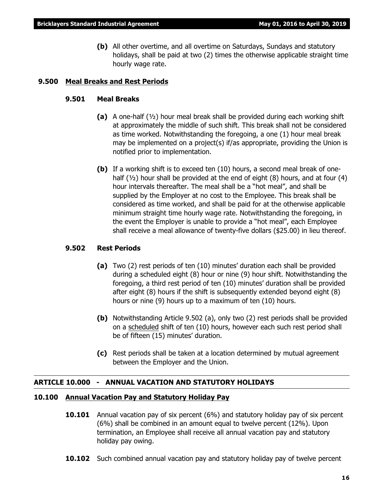**(b)** All other overtime, and all overtime on Saturdays, Sundays and statutory holidays, shall be paid at two (2) times the otherwise applicable straight time hourly wage rate.

#### **9.500 Meal Breaks and Rest Periods**

#### **9.501 Meal Breaks**

- **(a)** A one-half (½) hour meal break shall be provided during each working shift at approximately the middle of such shift. This break shall not be considered as time worked. Notwithstanding the foregoing, a one (1) hour meal break may be implemented on a project(s) if/as appropriate, providing the Union is notified prior to implementation.
- **(b)** If a working shift is to exceed ten (10) hours, a second meal break of onehalf ( $\frac{1}{2}$ ) hour shall be provided at the end of eight (8) hours, and at four (4) hour intervals thereafter. The meal shall be a "hot meal", and shall be supplied by the Employer at no cost to the Employee. This break shall be considered as time worked, and shall be paid for at the otherwise applicable minimum straight time hourly wage rate. Notwithstanding the foregoing, in the event the Employer is unable to provide a "hot meal", each Employee shall receive a meal allowance of twenty-five dollars (\$25.00) in lieu thereof.

#### **9.502 Rest Periods**

- **(a)** Two (2) rest periods of ten (10) minutes' duration each shall be provided during a scheduled eight (8) hour or nine (9) hour shift. Notwithstanding the foregoing, a third rest period of ten (10) minutes' duration shall be provided after eight (8) hours if the shift is subsequently extended beyond eight (8) hours or nine (9) hours up to a maximum of ten (10) hours.
- **(b)** Notwithstanding Article 9.502 (a), only two (2) rest periods shall be provided on a scheduled shift of ten (10) hours, however each such rest period shall be of fifteen (15) minutes' duration.
- **(c)** Rest periods shall be taken at a location determined by mutual agreement between the Employer and the Union.

### **ARTICLE 10.000 - ANNUAL VACATION AND STATUTORY HOLIDAYS**

#### **10.100 Annual Vacation Pay and Statutory Holiday Pay**

- **10.101** Annual vacation pay of six percent (6%) and statutory holiday pay of six percent (6%) shall be combined in an amount equal to twelve percent (12%). Upon termination, an Employee shall receive all annual vacation pay and statutory holiday pay owing.
- **10.102** Such combined annual vacation pay and statutory holiday pay of twelve percent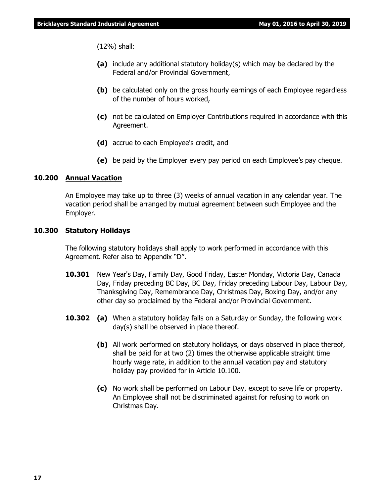(12%) shall:

- **(a)** include any additional statutory holiday(s) which may be declared by the Federal and/or Provincial Government,
- **(b)** be calculated only on the gross hourly earnings of each Employee regardless of the number of hours worked,
- **(c)** not be calculated on Employer Contributions required in accordance with this Agreement.
- **(d)** accrue to each Employee's credit, and
- **(e)** be paid by the Employer every pay period on each Employee's pay cheque.

#### **10.200 Annual Vacation**

An Employee may take up to three (3) weeks of annual vacation in any calendar year. The vacation period shall be arranged by mutual agreement between such Employee and the Employer.

#### **10.300 Statutory Holidays**

The following statutory holidays shall apply to work performed in accordance with this Agreement. Refer also to Appendix "D".

- **10.301** New Year's Day, Family Day, Good Friday, Easter Monday, Victoria Day, Canada Day, Friday preceding BC Day, BC Day, Friday preceding Labour Day, Labour Day, Thanksgiving Day, Remembrance Day, Christmas Day, Boxing Day, and/or any other day so proclaimed by the Federal and/or Provincial Government.
- **10.302 (a)** When a statutory holiday falls on a Saturday or Sunday, the following work day(s) shall be observed in place thereof.
	- **(b)** All work performed on statutory holidays, or days observed in place thereof, shall be paid for at two (2) times the otherwise applicable straight time hourly wage rate, in addition to the annual vacation pay and statutory holiday pay provided for in Article 10.100.
	- **(c)** No work shall be performed on Labour Day, except to save life or property. An Employee shall not be discriminated against for refusing to work on Christmas Day.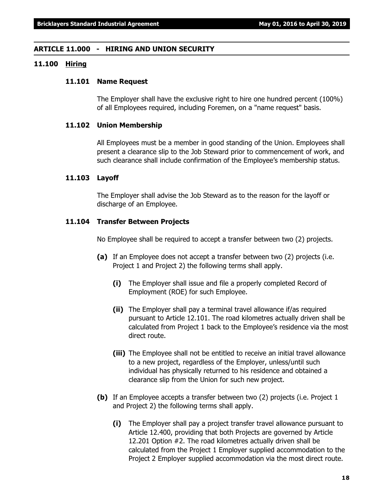#### **ARTICLE 11.000 - HIRING AND UNION SECURITY**

#### **11.100 Hiring**

#### **11.101 Name Request**

The Employer shall have the exclusive right to hire one hundred percent (100%) of all Employees required, including Foremen, on a "name request" basis.

#### **11.102 Union Membership**

All Employees must be a member in good standing of the Union. Employees shall present a clearance slip to the Job Steward prior to commencement of work, and such clearance shall include confirmation of the Employee's membership status.

#### **11.103 Layoff**

The Employer shall advise the Job Steward as to the reason for the layoff or discharge of an Employee.

#### **11.104 Transfer Between Projects**

No Employee shall be required to accept a transfer between two (2) projects.

- **(a)** If an Employee does not accept a transfer between two (2) projects (i.e. Project 1 and Project 2) the following terms shall apply.
	- **(i)** The Employer shall issue and file a properly completed Record of Employment (ROE) for such Employee.
	- **(ii)** The Employer shall pay a terminal travel allowance if/as required pursuant to Article 12.101. The road kilometres actually driven shall be calculated from Project 1 back to the Employee's residence via the most direct route.
	- **(iii)** The Employee shall not be entitled to receive an initial travel allowance to a new project, regardless of the Employer, unless/until such individual has physically returned to his residence and obtained a clearance slip from the Union for such new project.
- **(b)** If an Employee accepts a transfer between two (2) projects (i.e. Project 1 and Project 2) the following terms shall apply.
	- **(i)** The Employer shall pay a project transfer travel allowance pursuant to Article 12.400, providing that both Projects are governed by Article 12.201 Option #2. The road kilometres actually driven shall be calculated from the Project 1 Employer supplied accommodation to the Project 2 Employer supplied accommodation via the most direct route.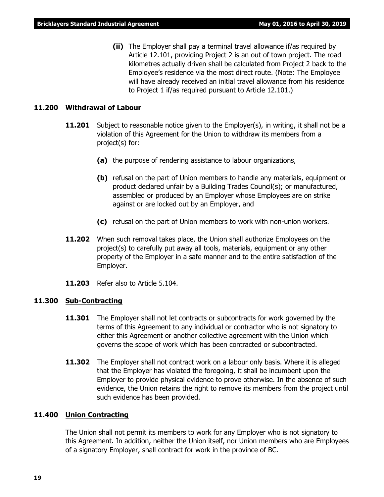**(ii)** The Employer shall pay a terminal travel allowance if/as required by Article 12.101, providing Project 2 is an out of town project. The road kilometres actually driven shall be calculated from Project 2 back to the Employee's residence via the most direct route. (Note: The Employee will have already received an initial travel allowance from his residence to Project 1 if/as required pursuant to Article 12.101.)

#### **11.200 Withdrawal of Labour**

- **11.201** Subject to reasonable notice given to the Employer(s), in writing, it shall not be a violation of this Agreement for the Union to withdraw its members from a project(s) for:
	- **(a)** the purpose of rendering assistance to labour organizations,
	- **(b)** refusal on the part of Union members to handle any materials, equipment or product declared unfair by a Building Trades Council(s); or manufactured, assembled or produced by an Employer whose Employees are on strike against or are locked out by an Employer, and
	- **(c)** refusal on the part of Union members to work with non-union workers.
- **11.202** When such removal takes place, the Union shall authorize Employees on the project(s) to carefully put away all tools, materials, equipment or any other property of the Employer in a safe manner and to the entire satisfaction of the Employer.
- **11.203** Refer also to Article 5.104.

#### **11.300 Sub-Contracting**

- **11.301** The Employer shall not let contracts or subcontracts for work governed by the terms of this Agreement to any individual or contractor who is not signatory to either this Agreement or another collective agreement with the Union which governs the scope of work which has been contracted or subcontracted.
- **11.302** The Employer shall not contract work on a labour only basis. Where it is alleged that the Employer has violated the foregoing, it shall be incumbent upon the Employer to provide physical evidence to prove otherwise. In the absence of such evidence, the Union retains the right to remove its members from the project until such evidence has been provided.

#### **11.400 Union Contracting**

The Union shall not permit its members to work for any Employer who is not signatory to this Agreement. In addition, neither the Union itself, nor Union members who are Employees of a signatory Employer, shall contract for work in the province of BC.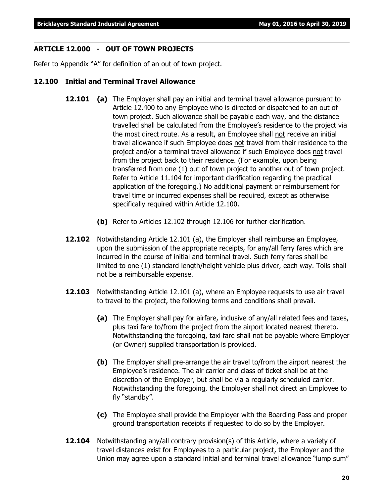#### **ARTICLE 12.000 - OUT OF TOWN PROJECTS**

Refer to Appendix "A" for definition of an out of town project.

#### **12.100 Initial and Terminal Travel Allowance**

- **12.101 (a)** The Employer shall pay an initial and terminal travel allowance pursuant to Article 12.400 to any Employee who is directed or dispatched to an out of town project. Such allowance shall be payable each way, and the distance travelled shall be calculated from the Employee's residence to the project via the most direct route. As a result, an Employee shall not receive an initial travel allowance if such Employee does not travel from their residence to the project and/or a terminal travel allowance if such Employee does not travel from the project back to their residence. (For example, upon being transferred from one (1) out of town project to another out of town project. Refer to Article 11.104 for important clarification regarding the practical application of the foregoing.) No additional payment or reimbursement for travel time or incurred expenses shall be required, except as otherwise specifically required within Article 12.100.
	- **(b)** Refer to Articles 12.102 through 12.106 for further clarification.
- **12.102** Notwithstanding Article 12.101 (a), the Employer shall reimburse an Employee, upon the submission of the appropriate receipts, for any/all ferry fares which are incurred in the course of initial and terminal travel. Such ferry fares shall be limited to one (1) standard length/height vehicle plus driver, each way. Tolls shall not be a reimbursable expense.
- **12.103** Notwithstanding Article 12.101 (a), where an Employee requests to use air travel to travel to the project, the following terms and conditions shall prevail.
	- **(a)** The Employer shall pay for airfare, inclusive of any/all related fees and taxes, plus taxi fare to/from the project from the airport located nearest thereto. Notwithstanding the foregoing, taxi fare shall not be payable where Employer (or Owner) supplied transportation is provided.
	- **(b)** The Employer shall pre-arrange the air travel to/from the airport nearest the Employee's residence. The air carrier and class of ticket shall be at the discretion of the Employer, but shall be via a regularly scheduled carrier. Notwithstanding the foregoing, the Employer shall not direct an Employee to fly "standby".
	- **(c)** The Employee shall provide the Employer with the Boarding Pass and proper ground transportation receipts if requested to do so by the Employer.
- **12.104** Notwithstanding any/all contrary provision(s) of this Article, where a variety of travel distances exist for Employees to a particular project, the Employer and the Union may agree upon a standard initial and terminal travel allowance "lump sum"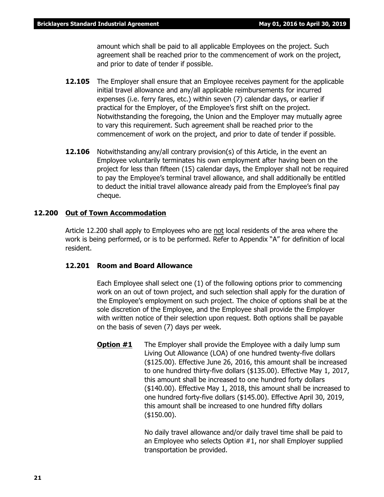amount which shall be paid to all applicable Employees on the project. Such agreement shall be reached prior to the commencement of work on the project, and prior to date of tender if possible.

- **12.105** The Employer shall ensure that an Employee receives payment for the applicable initial travel allowance and any/all applicable reimbursements for incurred expenses (i.e. ferry fares, etc.) within seven (7) calendar days, or earlier if practical for the Employer, of the Employee's first shift on the project. Notwithstanding the foregoing, the Union and the Employer may mutually agree to vary this requirement. Such agreement shall be reached prior to the commencement of work on the project, and prior to date of tender if possible.
- **12.106** Notwithstanding any/all contrary provision(s) of this Article, in the event an Employee voluntarily terminates his own employment after having been on the project for less than fifteen (15) calendar days, the Employer shall not be required to pay the Employee's terminal travel allowance, and shall additionally be entitled to deduct the initial travel allowance already paid from the Employee's final pay cheque.

#### **12.200 Out of Town Accommodation**

Article 12.200 shall apply to Employees who are not local residents of the area where the work is being performed, or is to be performed. Refer to Appendix "A" for definition of local resident.

#### **12.201 Room and Board Allowance**

Each Employee shall select one (1) of the following options prior to commencing work on an out of town project, and such selection shall apply for the duration of the Employee's employment on such project. The choice of options shall be at the sole discretion of the Employee, and the Employee shall provide the Employer with written notice of their selection upon request. Both options shall be payable on the basis of seven (7) days per week.

**Option #1** The Employer shall provide the Employee with a daily lump sum Living Out Allowance (LOA) of one hundred twenty-five dollars (\$125.00). Effective June 26, 2016, this amount shall be increased to one hundred thirty-five dollars (\$135.00). Effective May 1, 2017, this amount shall be increased to one hundred forty dollars (\$140.00). Effective May 1, 2018, this amount shall be increased to one hundred forty-five dollars (\$145.00). Effective April 30, 2019, this amount shall be increased to one hundred fifty dollars (\$150.00).

> No daily travel allowance and/or daily travel time shall be paid to an Employee who selects Option #1, nor shall Employer supplied transportation be provided.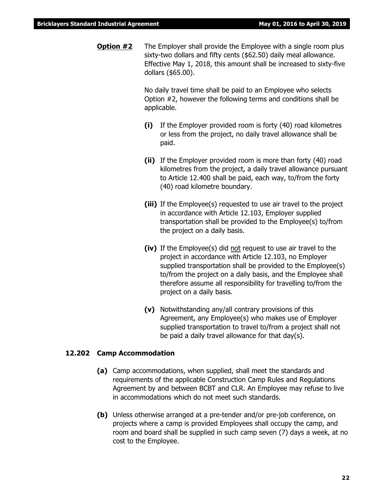**Option #2** The Employer shall provide the Employee with a single room plus sixty-two dollars and fifty cents (\$62.50) daily meal allowance. Effective May 1, 2018, this amount shall be increased to sixty-five dollars (\$65.00).

> No daily travel time shall be paid to an Employee who selects Option #2, however the following terms and conditions shall be applicable.

- **(i)** If the Employer provided room is forty (40) road kilometres or less from the project, no daily travel allowance shall be paid.
- **(ii)** If the Employer provided room is more than forty (40) road kilometres from the project, a daily travel allowance pursuant to Article 12.400 shall be paid, each way, to/from the forty (40) road kilometre boundary.
- **(iii)** If the Employee(s) requested to use air travel to the project in accordance with Article 12.103, Employer supplied transportation shall be provided to the Employee(s) to/from the project on a daily basis.
- **(iv)** If the Employee(s) did not request to use air travel to the project in accordance with Article 12.103, no Employer supplied transportation shall be provided to the Employee(s) to/from the project on a daily basis, and the Employee shall therefore assume all responsibility for travelling to/from the project on a daily basis.
- **(v)** Notwithstanding any/all contrary provisions of this Agreement, any Employee(s) who makes use of Employer supplied transportation to travel to/from a project shall not be paid a daily travel allowance for that day(s).

#### **12.202 Camp Accommodation**

- **(a)** Camp accommodations, when supplied, shall meet the standards and requirements of the applicable Construction Camp Rules and Regulations Agreement by and between BCBT and CLR. An Employee may refuse to live in accommodations which do not meet such standards.
- **(b)** Unless otherwise arranged at a pre-tender and/or pre-job conference, on projects where a camp is provided Employees shall occupy the camp, and room and board shall be supplied in such camp seven (7) days a week, at no cost to the Employee.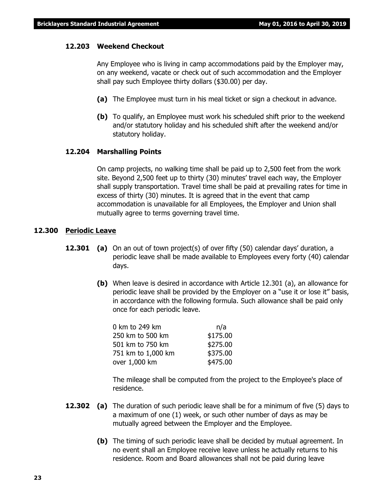#### **12.203 Weekend Checkout**

Any Employee who is living in camp accommodations paid by the Employer may, on any weekend, vacate or check out of such accommodation and the Employer shall pay such Employee thirty dollars (\$30.00) per day.

- **(a)** The Employee must turn in his meal ticket or sign a checkout in advance.
- **(b)** To qualify, an Employee must work his scheduled shift prior to the weekend and/or statutory holiday and his scheduled shift after the weekend and/or statutory holiday.

#### **12.204 Marshalling Points**

On camp projects, no walking time shall be paid up to 2,500 feet from the work site. Beyond 2,500 feet up to thirty (30) minutes' travel each way, the Employer shall supply transportation. Travel time shall be paid at prevailing rates for time in excess of thirty (30) minutes. It is agreed that in the event that camp accommodation is unavailable for all Employees, the Employer and Union shall mutually agree to terms governing travel time.

#### **12.300 Periodic Leave**

- **12.301 (a)** On an out of town project(s) of over fifty (50) calendar days' duration, a periodic leave shall be made available to Employees every forty (40) calendar days.
	- **(b)** When leave is desired in accordance with Article 12.301 (a), an allowance for periodic leave shall be provided by the Employer on a "use it or lose it" basis, in accordance with the following formula. Such allowance shall be paid only once for each periodic leave.

| 0 km to 249 km     | n/a      |
|--------------------|----------|
| 250 km to 500 km   | \$175.00 |
| 501 km to 750 km   | \$275.00 |
| 751 km to 1,000 km | \$375.00 |
| over 1,000 km      | \$475.00 |

The mileage shall be computed from the project to the Employee's place of residence.

- **12.302 (a)** The duration of such periodic leave shall be for a minimum of five (5) days to a maximum of one (1) week, or such other number of days as may be mutually agreed between the Employer and the Employee.
	- **(b)** The timing of such periodic leave shall be decided by mutual agreement. In no event shall an Employee receive leave unless he actually returns to his residence. Room and Board allowances shall not be paid during leave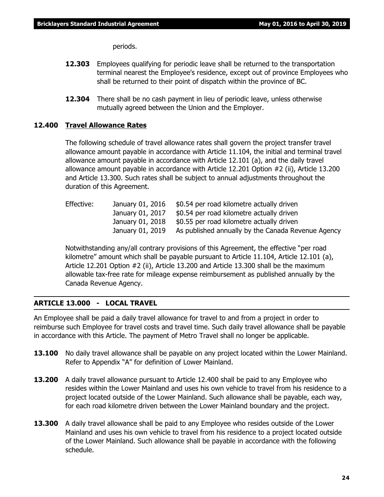periods.

- **12.303** Employees qualifying for periodic leave shall be returned to the transportation terminal nearest the Employee's residence, except out of province Employees who shall be returned to their point of dispatch within the province of BC.
- **12.304** There shall be no cash payment in lieu of periodic leave, unless otherwise mutually agreed between the Union and the Employer.

#### **12.400 Travel Allowance Rates**

The following schedule of travel allowance rates shall govern the project transfer travel allowance amount payable in accordance with Article 11.104, the initial and terminal travel allowance amount payable in accordance with Article 12.101 (a), and the daily travel allowance amount payable in accordance with Article 12.201 Option #2 (ii), Article 13.200 and Article 13.300. Such rates shall be subject to annual adjustments throughout the duration of this Agreement.

| Effective: | January 01, 2016 | \$0.54 per road kilometre actually driven          |
|------------|------------------|----------------------------------------------------|
|            | January 01, 2017 | \$0.54 per road kilometre actually driven          |
|            | January 01, 2018 | \$0.55 per road kilometre actually driven          |
|            | January 01, 2019 | As published annually by the Canada Revenue Agency |

Notwithstanding any/all contrary provisions of this Agreement, the effective "per road kilometre" amount which shall be payable pursuant to Article 11.104, Article 12.101 (a), Article 12.201 Option #2 (ii), Article 13.200 and Article 13.300 shall be the maximum allowable tax-free rate for mileage expense reimbursement as published annually by the Canada Revenue Agency.

#### **ARTICLE 13.000 - LOCAL TRAVEL**

An Employee shall be paid a daily travel allowance for travel to and from a project in order to reimburse such Employee for travel costs and travel time. Such daily travel allowance shall be payable in accordance with this Article. The payment of Metro Travel shall no longer be applicable.

- **13.100** No daily travel allowance shall be payable on any project located within the Lower Mainland. Refer to Appendix "A" for definition of Lower Mainland.
- **13.200** A daily travel allowance pursuant to Article 12.400 shall be paid to any Employee who resides within the Lower Mainland and uses his own vehicle to travel from his residence to a project located outside of the Lower Mainland. Such allowance shall be payable, each way, for each road kilometre driven between the Lower Mainland boundary and the project.
- **13.300** A daily travel allowance shall be paid to any Employee who resides outside of the Lower Mainland and uses his own vehicle to travel from his residence to a project located outside of the Lower Mainland. Such allowance shall be payable in accordance with the following schedule.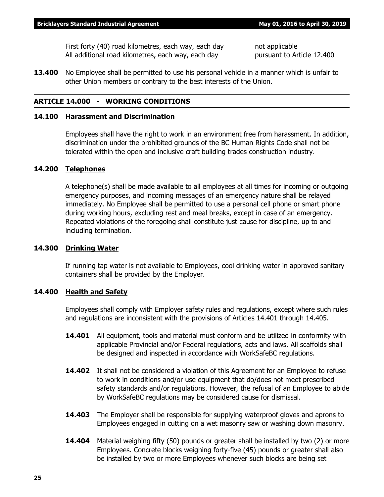First forty (40) road kilometres, each way, each day hot applicable All additional road kilometres, each way, each day pursuant to Article 12.400

**13.400** No Employee shall be permitted to use his personal vehicle in a manner which is unfair to other Union members or contrary to the best interests of the Union.

#### **ARTICLE 14.000 - WORKING CONDITIONS**

#### **14.100 Harassment and Discrimination**

Employees shall have the right to work in an environment free from harassment. In addition, discrimination under the prohibited grounds of the *BC Human Rights Code* shall not be tolerated within the open and inclusive craft building trades construction industry.

#### **14.200 Telephones**

A telephone(s) shall be made available to all employees at all times for incoming or outgoing emergency purposes, and incoming messages of an emergency nature shall be relayed immediately. No Employee shall be permitted to use a personal cell phone or smart phone during working hours, excluding rest and meal breaks, except in case of an emergency. Repeated violations of the foregoing shall constitute just cause for discipline, up to and including termination.

#### **14.300 Drinking Water**

If running tap water is not available to Employees, cool drinking water in approved sanitary containers shall be provided by the Employer.

#### **14.400 Health and Safety**

Employees shall comply with Employer safety rules and regulations, except where such rules and regulations are inconsistent with the provisions of Articles 14.401 through 14.405.

- **14.401** All equipment, tools and material must conform and be utilized in conformity with applicable Provincial and/or Federal regulations, acts and laws. All scaffolds shall be designed and inspected in accordance with WorkSafeBC regulations.
- **14.402** It shall not be considered a violation of this Agreement for an Employee to refuse to work in conditions and/or use equipment that do/does not meet prescribed safety standards and/or regulations. However, the refusal of an Employee to abide by WorkSafeBC regulations may be considered cause for dismissal.
- **14.403** The Employer shall be responsible for supplying waterproof gloves and aprons to Employees engaged in cutting on a wet masonry saw or washing down masonry.
- **14.404** Material weighing fifty (50) pounds or greater shall be installed by two (2) or more Employees. Concrete blocks weighing forty-five (45) pounds or greater shall also be installed by two or more Employees whenever such blocks are being set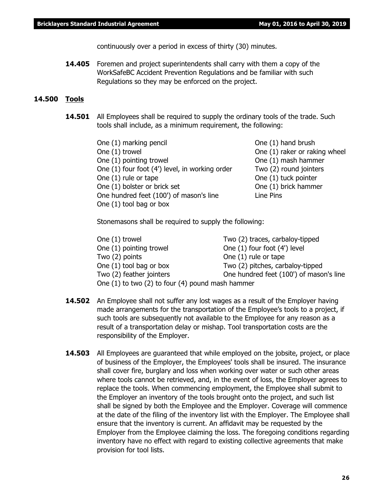continuously over a period in excess of thirty (30) minutes.

**14.405** Foremen and project superintendents shall carry with them a copy of the WorkSafeBC Accident Prevention Regulations and be familiar with such Regulations so they may be enforced on the project.

#### **14.500 Tools**

**14.501** All Employees shall be required to supply the ordinary tools of the trade. Such tools shall include, as a minimum requirement, the following:

| One (1) marking pencil                         | One (1) hand brush            |
|------------------------------------------------|-------------------------------|
| One (1) trowel                                 | One (1) raker or raking wheel |
| One (1) pointing trowel                        | One (1) mash hammer           |
| One (1) four foot (4') level, in working order | Two (2) round jointers        |
| One (1) rule or tape                           | One (1) tuck pointer          |
| One (1) bolster or brick set                   | One (1) brick hammer          |
| One hundred feet (100') of mason's line        | Line Pins                     |
| One (1) tool bag or box                        |                               |

Stonemasons shall be required to supply the following:

| Two (2) traces, carbaloy-tipped                  |
|--------------------------------------------------|
| One (1) four foot (4') level                     |
| One (1) rule or tape                             |
| Two (2) pitches, carbaloy-tipped                 |
| One hundred feet (100') of mason's line          |
| One (1) to two (2) to four (4) pound mash hammer |
|                                                  |

- **14.502** An Employee shall not suffer any lost wages as a result of the Employer having made arrangements for the transportation of the Employee's tools to a project, if such tools are subsequently not available to the Employee for any reason as a result of a transportation delay or mishap. Tool transportation costs are the responsibility of the Employer.
- **14.503** All Employees are quaranteed that while employed on the jobsite, project, or place of business of the Employer, the Employees' tools shall be insured. The insurance shall cover fire, burglary and loss when working over water or such other areas where tools cannot be retrieved, and, in the event of loss, the Employer agrees to replace the tools. When commencing employment, the Employee shall submit to the Employer an inventory of the tools brought onto the project, and such list shall be signed by both the Employee and the Employer. Coverage will commence at the date of the filing of the inventory list with the Employer. The Employee shall ensure that the inventory is current. An affidavit may be requested by the Employer from the Employee claiming the loss. The foregoing conditions regarding inventory have no effect with regard to existing collective agreements that make provision for tool lists.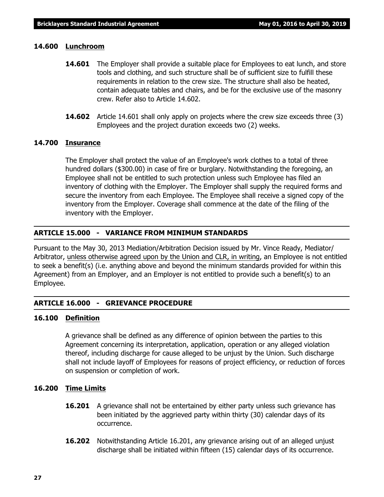#### **14.600 Lunchroom**

- **14.601** The Employer shall provide a suitable place for Employees to eat lunch, and store tools and clothing, and such structure shall be of sufficient size to fulfill these requirements in relation to the crew size. The structure shall also be heated, contain adequate tables and chairs, and be for the exclusive use of the masonry crew. Refer also to Article 14.602.
- **14.602** Article 14.601 shall only apply on projects where the crew size exceeds three (3) Employees and the project duration exceeds two (2) weeks.

### **14.700 Insurance**

The Employer shall protect the value of an Employee's work clothes to a total of three hundred dollars (\$300.00) in case of fire or burglary. Notwithstanding the foregoing, an Employee shall not be entitled to such protection unless such Employee has filed an inventory of clothing with the Employer. The Employer shall supply the required forms and secure the inventory from each Employee. The Employee shall receive a signed copy of the inventory from the Employer. Coverage shall commence at the date of the filing of the inventory with the Employer.

#### **ARTICLE 15.000 - VARIANCE FROM MINIMUM STANDARDS**

Pursuant to the May 30, 2013 Mediation/Arbitration Decision issued by Mr. Vince Ready, Mediator/ Arbitrator, unless otherwise agreed upon by the Union and CLR, in writing, an Employee is not entitled to seek a benefit(s) (i.e. anything above and beyond the minimum standards provided for within this Agreement) from an Employer, and an Employer is not entitled to provide such a benefit(s) to an Employee.

#### **ARTICLE 16.000 - GRIEVANCE PROCEDURE**

#### **16.100 Definition**

A grievance shall be defined as any difference of opinion between the parties to this Agreement concerning its interpretation, application, operation or any alleged violation thereof, including discharge for cause alleged to be unjust by the Union. Such discharge shall not include layoff of Employees for reasons of project efficiency, or reduction of forces on suspension or completion of work.

#### **16.200 Time Limits**

- **16.201** A grievance shall not be entertained by either party unless such grievance has been initiated by the aggrieved party within thirty (30) calendar days of its occurrence.
- **16.202** Notwithstanding Article 16.201, any grievance arising out of an alleged unjust discharge shall be initiated within fifteen (15) calendar days of its occurrence.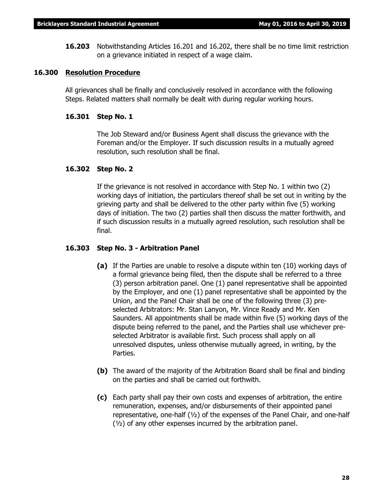**16.203** Notwithstanding Articles 16.201 and 16.202, there shall be no time limit restriction on a grievance initiated in respect of a wage claim.

#### **16.300 Resolution Procedure**

All grievances shall be finally and conclusively resolved in accordance with the following Steps. Related matters shall normally be dealt with during regular working hours.

#### **16.301 Step No. 1**

The Job Steward and/or Business Agent shall discuss the grievance with the Foreman and/or the Employer. If such discussion results in a mutually agreed resolution, such resolution shall be final.

#### **16.302 Step No. 2**

If the grievance is not resolved in accordance with Step No. 1 within two (2) working days of initiation, the particulars thereof shall be set out in writing by the grieving party and shall be delivered to the other party within five (5) working days of initiation. The two (2) parties shall then discuss the matter forthwith, and if such discussion results in a mutually agreed resolution, such resolution shall be final.

#### **16.303 Step No. 3 - Arbitration Panel**

- **(a)** If the Parties are unable to resolve a dispute within ten (10) working days of a formal grievance being filed, then the dispute shall be referred to a three (3) person arbitration panel. One (1) panel representative shall be appointed by the Employer, and one (1) panel representative shall be appointed by the Union, and the Panel Chair shall be one of the following three (3) preselected Arbitrators: Mr. Stan Lanyon, Mr. Vince Ready and Mr. Ken Saunders. All appointments shall be made within five (5) working days of the dispute being referred to the panel, and the Parties shall use whichever preselected Arbitrator is available first. Such process shall apply on all unresolved disputes, unless otherwise mutually agreed, in writing, by the Parties.
- **(b)** The award of the majority of the Arbitration Board shall be final and binding on the parties and shall be carried out forthwith.
- **(c)** Each party shall pay their own costs and expenses of arbitration, the entire remuneration, expenses, and/or disbursements of their appointed panel representative, one-half (½) of the expenses of the Panel Chair, and one-half  $(y<sub>2</sub>)$  of any other expenses incurred by the arbitration panel.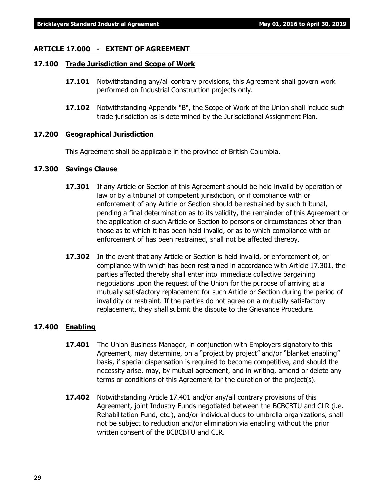#### **ARTICLE 17.000 - EXTENT OF AGREEMENT**

#### **17.100 Trade Jurisdiction and Scope of Work**

- **17.101** Notwithstanding any/all contrary provisions, this Agreement shall govern work performed on Industrial Construction projects only.
- **17.102** Notwithstanding Appendix "B", the Scope of Work of the Union shall include such trade jurisdiction as is determined by the Jurisdictional Assignment Plan.

#### **17.200 Geographical Jurisdiction**

This Agreement shall be applicable in the province of British Columbia.

#### **17.300 Savings Clause**

- **17.301** If any Article or Section of this Agreement should be held invalid by operation of law or by a tribunal of competent jurisdiction, or if compliance with or enforcement of any Article or Section should be restrained by such tribunal, pending a final determination as to its validity, the remainder of this Agreement or the application of such Article or Section to persons or circumstances other than those as to which it has been held invalid, or as to which compliance with or enforcement of has been restrained, shall not be affected thereby.
- **17.302** In the event that any Article or Section is held invalid, or enforcement of, or compliance with which has been restrained in accordance with Article 17.301, the parties affected thereby shall enter into immediate collective bargaining negotiations upon the request of the Union for the purpose of arriving at a mutually satisfactory replacement for such Article or Section during the period of invalidity or restraint. If the parties do not agree on a mutually satisfactory replacement, they shall submit the dispute to the Grievance Procedure.

#### **17.400 Enabling**

- **17.401** The Union Business Manager, in conjunction with Employers signatory to this Agreement, may determine, on a "project by project" and/or "blanket enabling" basis, if special dispensation is required to become competitive, and should the necessity arise, may, by mutual agreement, and in writing, amend or delete any terms or conditions of this Agreement for the duration of the project(s).
- **17.402** Notwithstanding Article 17.401 and/or any/all contrary provisions of this Agreement, joint Industry Funds negotiated between the BCBCBTU and CLR (i.e. Rehabilitation Fund, etc.), and/or individual dues to umbrella organizations, shall not be subject to reduction and/or elimination via enabling without the prior written consent of the BCBCBTU and CLR.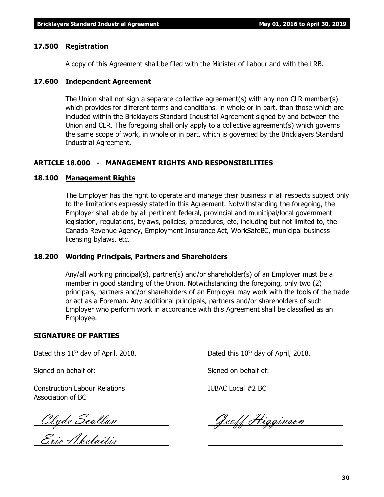#### **17.500 Registration**

A copy of this Agreement shall be filed with the Minister of Labour and with the LRB.

#### **17.600 Independent Agreement**

The Union shall not sign a separate collective agreement(s) with any non CLR member(s) which provides for different terms and conditions, in whole or in part, than those which are included within the Bricklayers Standard Industrial Agreement signed by and between the Union and CLR. The foregoing shall only apply to a collective agreement(s) which governs the same scope of work, in whole or in part, which is governed by the Bricklayers Standard Industrial Agreement.

#### **ARTICLE 18.000 - MANAGEMENT RIGHTS AND RESPONSIBILITIES**

#### **18.100 Management Rights**

The Employer has the right to operate and manage their business in all respects subject only to the limitations expressly stated in this Agreement. Notwithstanding the foregoing, the Employer shall abide by all pertinent federal, provincial and municipal/local government legislation, regulations, bylaws, policies, procedures, etc, including but not limited to, the Canada Revenue Agency, Employment Insurance Act, WorkSafeBC, municipal business licensing bylaws, etc.

#### **18.200 Working Principals, Partners and Shareholders**

Any/all working principal(s), partner(s) and/or shareholder(s) of an Employer must be a member in good standing of the Union. Notwithstanding the foregoing, only two (2) principals, partners and/or shareholders of an Employer may work with the tools of the trade or act as a Foreman. Any additional principals, partners and/or shareholders of such Employer who perform work in accordance with this Agreement shall be classified as an Employee.

#### **SIGNATURE OF PARTIES**

Signed on behalf of: Signed on behalf of:

Construction Labour Relations IUBAC Local #2 BC Association of BC

Eric Akelaitis

Dated this  $11<sup>th</sup>$  day of April, 2018. Dated this  $10<sup>th</sup>$  day of April, 2018.

Clyde Scollan Geoff Higginson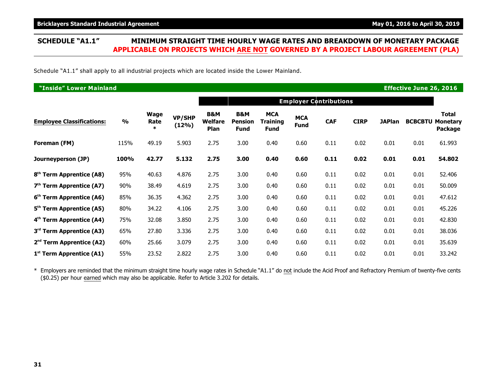Schedule "A1.1" shall apply to all industrial projects which are located inside the Lower Mainland.

| <b>"Inside" Lower Mainland</b>       |               |                               |                        |                                          |                                      |                                              |                    |            |             |               | <b>Effective June 26, 2016</b> |                                            |  |
|--------------------------------------|---------------|-------------------------------|------------------------|------------------------------------------|--------------------------------------|----------------------------------------------|--------------------|------------|-------------|---------------|--------------------------------|--------------------------------------------|--|
|                                      |               |                               |                        | <b>Employer Contributions</b>            |                                      |                                              |                    |            |             |               |                                |                                            |  |
| <b>Employee Classifications:</b>     | $\frac{1}{2}$ | <b>Wage</b><br>Rate<br>$\ast$ | <b>VP/SHP</b><br>(12%) | <b>B&amp;M</b><br><b>Welfare</b><br>Plan | B&M<br><b>Pension</b><br><b>Fund</b> | <b>MCA</b><br><b>Training</b><br><b>Fund</b> | <b>MCA</b><br>Fund | <b>CAF</b> | <b>CIRP</b> | <b>JAPlan</b> | <b>BCBCBTU</b>                 | <b>Total</b><br><b>Monetary</b><br>Package |  |
| Foreman (FM)                         | 115%          | 49.19                         | 5.903                  | 2.75                                     | 3.00                                 | 0.40                                         | 0.60               | 0.11       | 0.02        | 0.01          | 0.01                           | 61.993                                     |  |
| Journeyperson (JP)                   | 100%          | 42.77                         | 5.132                  | 2.75                                     | 3.00                                 | 0.40                                         | 0.60               | 0.11       | 0.02        | 0.01          | 0.01                           | 54.802                                     |  |
| 8 <sup>th</sup> Term Apprentice (A8) | 95%           | 40.63                         | 4.876                  | 2.75                                     | 3.00                                 | 0.40                                         | 0.60               | 0.11       | 0.02        | 0.01          | 0.01                           | 52.406                                     |  |
| $7th$ Term Apprentice (A7)           | 90%           | 38.49                         | 4.619                  | 2.75                                     | 3.00                                 | 0.40                                         | 0.60               | 0.11       | 0.02        | 0.01          | 0.01                           | 50.009                                     |  |
| 6 <sup>th</sup> Term Apprentice (A6) | 85%           | 36.35                         | 4.362                  | 2.75                                     | 3.00                                 | 0.40                                         | 0.60               | 0.11       | 0.02        | 0.01          | 0.01                           | 47.612                                     |  |
| 5 <sup>th</sup> Term Apprentice (A5) | 80%           | 34.22                         | 4.106                  | 2.75                                     | 3.00                                 | 0.40                                         | 0.60               | 0.11       | 0.02        | 0.01          | 0.01                           | 45.226                                     |  |
| 4 <sup>th</sup> Term Apprentice (A4) | 75%           | 32.08                         | 3.850                  | 2.75                                     | 3.00                                 | 0.40                                         | 0.60               | 0.11       | 0.02        | 0.01          | 0.01                           | 42.830                                     |  |
| 3 <sup>rd</sup> Term Apprentice (A3) | 65%           | 27.80                         | 3.336                  | 2.75                                     | 3.00                                 | 0.40                                         | 0.60               | 0.11       | 0.02        | 0.01          | 0.01                           | 38.036                                     |  |
| $2nd$ Term Apprentice (A2)           | 60%           | 25.66                         | 3.079                  | 2.75                                     | 3.00                                 | 0.40                                         | 0.60               | 0.11       | 0.02        | 0.01          | 0.01                           | 35.639                                     |  |
| 1 <sup>st</sup> Term Apprentice (A1) | 55%           | 23.52                         | 2.822                  | 2.75                                     | 3.00                                 | 0.40                                         | 0.60               | 0.11       | 0.02        | 0.01          | 0.01                           | 33.242                                     |  |

\* Employers are reminded that the minimum straight time hourly wage rates in Schedule "A1.1" do not include the Acid Proof and Refractory Premium of twenty-five cents (\$0.25) per hour earned which may also be applicable. Refer to Article 3.202 for details.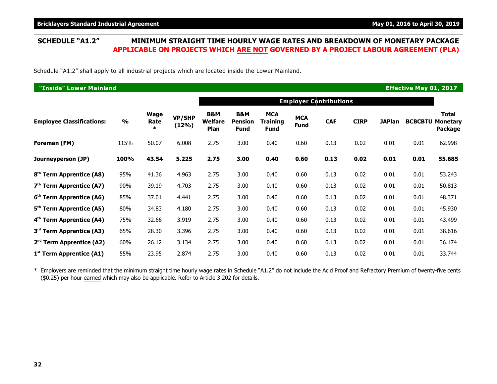Schedule "A1.2" shall apply to all industrial projects which are located inside the Lower Mainland.

| <b>"Inside" Lower Mainland</b><br><b>Effective May 01, 2017</b> |                         |                        |                        |                               |                                      |                                       |                    |            |             |               |                |                                            |  |
|-----------------------------------------------------------------|-------------------------|------------------------|------------------------|-------------------------------|--------------------------------------|---------------------------------------|--------------------|------------|-------------|---------------|----------------|--------------------------------------------|--|
|                                                                 |                         |                        |                        | <b>Employer Contributions</b> |                                      |                                       |                    |            |             |               |                |                                            |  |
| <b>Employee Classifications:</b>                                | $\mathbf{0}/\mathbf{0}$ | Wage<br>Rate<br>$\ast$ | <b>VP/SHP</b><br>(12%) | B&M<br>Welfare<br>Plan        | B&M<br><b>Pension</b><br><b>Fund</b> | <b>MCA</b><br>Training<br><b>Fund</b> | <b>MCA</b><br>Fund | <b>CAF</b> | <b>CIRP</b> | <b>JAPlan</b> | <b>BCBCBTU</b> | <b>Total</b><br><b>Monetary</b><br>Package |  |
| Foreman (FM)                                                    | 115%                    | 50.07                  | 6.008                  | 2.75                          | 3.00                                 | 0.40                                  | 0.60               | 0.13       | 0.02        | 0.01          | 0.01           | 62.998                                     |  |
| Journeyperson (JP)                                              | 100%                    | 43.54                  | 5.225                  | 2.75                          | 3.00                                 | 0.40                                  | 0.60               | 0.13       | 0.02        | 0.01          | 0.01           | 55.685                                     |  |
| 8 <sup>th</sup> Term Apprentice (A8)                            | 95%                     | 41.36                  | 4.963                  | 2.75                          | 3.00                                 | 0.40                                  | 0.60               | 0.13       | 0.02        | 0.01          | 0.01           | 53.243                                     |  |
| $7th$ Term Apprentice (A7)                                      | 90%                     | 39.19                  | 4.703                  | 2.75                          | 3.00                                 | 0.40                                  | 0.60               | 0.13       | 0.02        | 0.01          | 0.01           | 50.813                                     |  |
| 6 <sup>th</sup> Term Apprentice (A6)                            | 85%                     | 37.01                  | 4.441                  | 2.75                          | 3.00                                 | 0.40                                  | 0.60               | 0.13       | 0.02        | 0.01          | 0.01           | 48.371                                     |  |
| 5 <sup>th</sup> Term Apprentice (A5)                            | 80%                     | 34.83                  | 4.180                  | 2.75                          | 3.00                                 | 0.40                                  | 0.60               | 0.13       | 0.02        | 0.01          | 0.01           | 45.930                                     |  |
| 4 <sup>th</sup> Term Apprentice (A4)                            | 75%                     | 32.66                  | 3.919                  | 2.75                          | 3.00                                 | 0.40                                  | 0.60               | 0.13       | 0.02        | 0.01          | 0.01           | 43.499                                     |  |
| 3 <sup>rd</sup> Term Apprentice (A3)                            | 65%                     | 28.30                  | 3.396                  | 2.75                          | 3.00                                 | 0.40                                  | 0.60               | 0.13       | 0.02        | 0.01          | 0.01           | 38.616                                     |  |
| $2nd$ Term Apprentice (A2)                                      | 60%                     | 26.12                  | 3.134                  | 2.75                          | 3.00                                 | 0.40                                  | 0.60               | 0.13       | 0.02        | 0.01          | 0.01           | 36.174                                     |  |
| 1 <sup>st</sup> Term Apprentice (A1)                            | 55%                     | 23.95                  | 2.874                  | 2.75                          | 3.00                                 | 0.40                                  | 0.60               | 0.13       | 0.02        | 0.01          | 0.01           | 33.744                                     |  |

\* Employers are reminded that the minimum straight time hourly wage rates in Schedule "A1.2" do not include the Acid Proof and Refractory Premium of twenty-five cents (\$0.25) per hour earned which may also be applicable. Refer to Article 3.202 for details.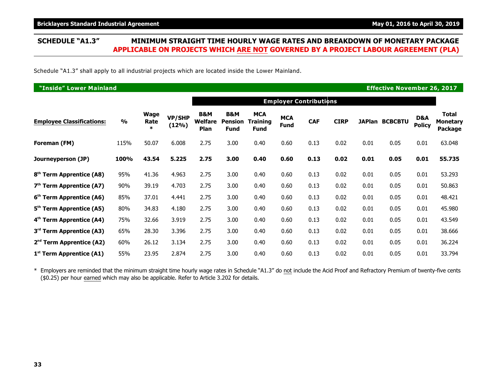Schedule "A1.3" shall apply to all industrial projects which are located inside the Lower Mainland.

| <b>"Inside" Lower Mainland</b><br><b>Effective November 26, 2017</b> |               |                               |                 |                                          |                                                 |                                       |                           |            |             |      |                |                      |                                            |
|----------------------------------------------------------------------|---------------|-------------------------------|-----------------|------------------------------------------|-------------------------------------------------|---------------------------------------|---------------------------|------------|-------------|------|----------------|----------------------|--------------------------------------------|
|                                                                      |               |                               |                 |                                          |                                                 |                                       |                           |            |             |      |                |                      |                                            |
| <b>Employee Classifications:</b>                                     | $\frac{0}{0}$ | <b>Wage</b><br>Rate<br>$\ast$ | VP/SHP<br>(12%) | <b>B&amp;M</b><br><b>Welfare</b><br>Plan | <b>B&amp;M</b><br><b>Pension</b><br><b>Fund</b> | <b>MCA</b><br>Training<br><b>Fund</b> | <b>MCA</b><br><b>Fund</b> | <b>CAF</b> | <b>CIRP</b> |      | JAPlan BCBCBTU | D&A<br><b>Policy</b> | <b>Total</b><br><b>Monetary</b><br>Package |
| Foreman (FM)                                                         | 115%          | 50.07                         | 6.008           | 2.75                                     | 3.00                                            | 0.40                                  | 0.60                      | 0.13       | 0.02        | 0.01 | 0.05           | 0.01                 | 63.048                                     |
| Journeyperson (JP)                                                   | 100%          | 43.54                         | 5.225           | 2.75                                     | 3.00                                            | 0.40                                  | 0.60                      | 0.13       | 0.02        | 0.01 | 0.05           | 0.01                 | 55.735                                     |
| 8 <sup>th</sup> Term Apprentice (A8)                                 | 95%           | 41.36                         | 4.963           | 2.75                                     | 3.00                                            | 0.40                                  | 0.60                      | 0.13       | 0.02        | 0.01 | 0.05           | 0.01                 | 53.293                                     |
| $7th$ Term Apprentice (A7)                                           | 90%           | 39.19                         | 4.703           | 2.75                                     | 3.00                                            | 0.40                                  | 0.60                      | 0.13       | 0.02        | 0.01 | 0.05           | 0.01                 | 50.863                                     |
| 6 <sup>th</sup> Term Apprentice (A6)                                 | 85%           | 37.01                         | 4.441           | 2.75                                     | 3.00                                            | 0.40                                  | 0.60                      | 0.13       | 0.02        | 0.01 | 0.05           | 0.01                 | 48.421                                     |
| 5 <sup>th</sup> Term Apprentice (A5)                                 | 80%           | 34.83                         | 4.180           | 2.75                                     | 3.00                                            | 0.40                                  | 0.60                      | 0.13       | 0.02        | 0.01 | 0.05           | 0.01                 | 45.980                                     |
| 4 <sup>th</sup> Term Apprentice (A4)                                 | 75%           | 32.66                         | 3.919           | 2.75                                     | 3.00                                            | 0.40                                  | 0.60                      | 0.13       | 0.02        | 0.01 | 0.05           | 0.01                 | 43.549                                     |
| 3 <sup>rd</sup> Term Apprentice (A3)                                 | 65%           | 28.30                         | 3.396           | 2.75                                     | 3.00                                            | 0.40                                  | 0.60                      | 0.13       | 0.02        | 0.01 | 0.05           | 0.01                 | 38.666                                     |
| $2nd$ Term Apprentice (A2)                                           | 60%           | 26.12                         | 3.134           | 2.75                                     | 3.00                                            | 0.40                                  | 0.60                      | 0.13       | 0.02        | 0.01 | 0.05           | 0.01                 | 36.224                                     |
| 1 <sup>st</sup> Term Apprentice (A1)                                 | 55%           | 23.95                         | 2.874           | 2.75                                     | 3.00                                            | 0.40                                  | 0.60                      | 0.13       | 0.02        | 0.01 | 0.05           | 0.01                 | 33.794                                     |

\* Employers are reminded that the minimum straight time hourly wage rates in Schedule "A1.3" do not include the Acid Proof and Refractory Premium of twenty-five cents (\$0.25) per hour earned which may also be applicable. Refer to Article 3.202 for details.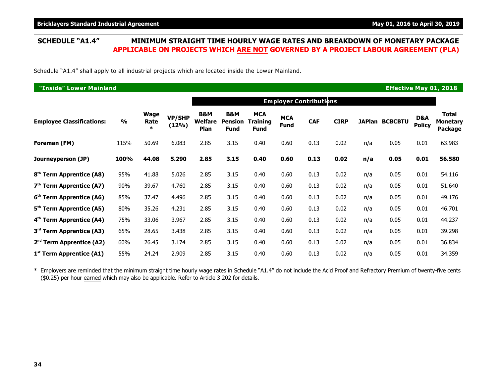### **SCHEDULE "A1.4" MINIMUM STRAIGHT TIME HOURLY WAGE RATES AND BREAKDOWN OF MONETARY PACKAGE APPLICABLE ON PROJECTS WHICH ARE NOT GOVERNED BY A PROJECT LABOUR AGREEMENT (PLA)**

Schedule "A1.4" shall apply to all industrial projects which are located inside the Lower Mainland.

| "Inside" Lower Mainland<br><b>Effective May 01, 2018</b> |               |                               |                        |                                   |                                      |                                       |                           |                               |             |     |                       |                      |                                     |
|----------------------------------------------------------|---------------|-------------------------------|------------------------|-----------------------------------|--------------------------------------|---------------------------------------|---------------------------|-------------------------------|-------------|-----|-----------------------|----------------------|-------------------------------------|
|                                                          |               |                               |                        |                                   |                                      |                                       |                           | <b>Employer Contributions</b> |             |     |                       |                      |                                     |
| <b>Employee Classifications:</b>                         | $\frac{9}{0}$ | <b>Wage</b><br>Rate<br>$\ast$ | <b>VP/SHP</b><br>(12%) | <b>B&amp;M</b><br>Welfare<br>Plan | B&M<br><b>Pension</b><br><b>Fund</b> | <b>MCA</b><br>Training<br><b>Fund</b> | <b>MCA</b><br><b>Fund</b> | <b>CAF</b>                    | <b>CIRP</b> |     | <b>JAPlan BCBCBTU</b> | D&A<br><b>Policy</b> | Total<br><b>Monetary</b><br>Package |
| Foreman (FM)                                             | 115%          | 50.69                         | 6.083                  | 2.85                              | 3.15                                 | 0.40                                  | 0.60                      | 0.13                          | 0.02        | n/a | 0.05                  | 0.01                 | 63.983                              |
| Journeyperson (JP)                                       | 100%          | 44.08                         | 5.290                  | 2.85                              | 3.15                                 | 0.40                                  | 0.60                      | 0.13                          | 0.02        | n/a | 0.05                  | 0.01                 | 56.580                              |
| 8 <sup>th</sup> Term Apprentice (A8)                     | 95%           | 41.88                         | 5.026                  | 2.85                              | 3.15                                 | 0.40                                  | 0.60                      | 0.13                          | 0.02        | n/a | 0.05                  | 0.01                 | 54.116                              |
| $7th$ Term Apprentice (A7)                               | 90%           | 39.67                         | 4.760                  | 2.85                              | 3.15                                 | 0.40                                  | 0.60                      | 0.13                          | 0.02        | n/a | 0.05                  | 0.01                 | 51.640                              |
| 6 <sup>th</sup> Term Apprentice (A6)                     | 85%           | 37.47                         | 4.496                  | 2.85                              | 3.15                                 | 0.40                                  | 0.60                      | 0.13                          | 0.02        | n/a | 0.05                  | 0.01                 | 49.176                              |
| 5 <sup>th</sup> Term Apprentice (A5)                     | 80%           | 35.26                         | 4.231                  | 2.85                              | 3.15                                 | 0.40                                  | 0.60                      | 0.13                          | 0.02        | n/a | 0.05                  | 0.01                 | 46.701                              |
| 4 <sup>th</sup> Term Apprentice (A4)                     | 75%           | 33.06                         | 3.967                  | 2.85                              | 3.15                                 | 0.40                                  | 0.60                      | 0.13                          | 0.02        | n/a | 0.05                  | 0.01                 | 44.237                              |
| 3 <sup>rd</sup> Term Apprentice (A3)                     | 65%           | 28.65                         | 3.438                  | 2.85                              | 3.15                                 | 0.40                                  | 0.60                      | 0.13                          | 0.02        | n/a | 0.05                  | 0.01                 | 39.298                              |
| 2 <sup>nd</sup> Term Apprentice (A2)                     | 60%           | 26.45                         | 3.174                  | 2.85                              | 3.15                                 | 0.40                                  | 0.60                      | 0.13                          | 0.02        | n/a | 0.05                  | 0.01                 | 36.834                              |
| 1 <sup>st</sup> Term Apprentice (A1)                     | 55%           | 24.24                         | 2.909                  | 2.85                              | 3.15                                 | 0.40                                  | 0.60                      | 0.13                          | 0.02        | n/a | 0.05                  | 0.01                 | 34.359                              |

\* Employers are reminded that the minimum straight time hourly wage rates in Schedule "A1.4" do not include the Acid Proof and Refractory Premium of twenty-five cents (\$0.25) per hour earned which may also be applicable. Refer to Article 3.202 for details.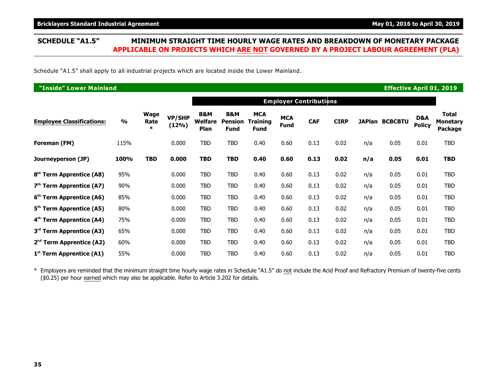### **SCHEDULE "A1.5" MINIMUM STRAIGHT TIME HOURLY WAGE RATES AND BREAKDOWN OF MONETARY PACKAGE APPLICABLE ON PROJECTS WHICH ARE NOT GOVERNED BY A PROJECT LABOUR AGREEMENT (PLA)**

Schedule "A1.5" shall apply to all industrial projects which are located inside the Lower Mainland.

| "Inside" Lower Mainland<br><b>Effective April 01, 2019</b> |               |                        |                    |                                   |                                      |                                       |                           |                               |             |     |                       |                      |                                            |
|------------------------------------------------------------|---------------|------------------------|--------------------|-----------------------------------|--------------------------------------|---------------------------------------|---------------------------|-------------------------------|-------------|-----|-----------------------|----------------------|--------------------------------------------|
|                                                            |               |                        |                    |                                   |                                      |                                       |                           | <b>Employer Contributions</b> |             |     |                       |                      |                                            |
| <b>Employee Classifications:</b>                           | $\frac{9}{6}$ | Wage<br>Rate<br>$\ast$ | VP/SHP<br>$(12\%)$ | <b>B&amp;M</b><br>Welfare<br>Plan | B&M<br><b>Pension</b><br><b>Fund</b> | <b>MCA</b><br>Training<br><b>Fund</b> | <b>MCA</b><br><b>Fund</b> | <b>CAF</b>                    | <b>CIRP</b> |     | <b>JAPlan BCBCBTU</b> | D&A<br><b>Policy</b> | <b>Total</b><br><b>Monetary</b><br>Package |
| Foreman (FM)                                               | 115%          |                        | 0.000              | <b>TBD</b>                        | <b>TBD</b>                           | 0.40                                  | 0.60                      | 0.13                          | 0.02        | n/a | 0.05                  | 0.01                 | <b>TBD</b>                                 |
| Journeyperson (JP)                                         | 100%          | <b>TBD</b>             | 0.000              | <b>TBD</b>                        | TBD                                  | 0.40                                  | 0.60                      | 0.13                          | 0.02        | n/a | 0.05                  | 0.01                 | <b>TBD</b>                                 |
| 8 <sup>th</sup> Term Apprentice (A8)                       | 95%           |                        | 0.000              | <b>TBD</b>                        | <b>TBD</b>                           | 0.40                                  | 0.60                      | 0.13                          | 0.02        | n/a | 0.05                  | 0.01                 | <b>TBD</b>                                 |
| $7th$ Term Apprentice (A7)                                 | 90%           |                        | 0.000              | TBD                               | <b>TBD</b>                           | 0.40                                  | 0.60                      | 0.13                          | 0.02        | n/a | 0.05                  | 0.01                 | <b>TBD</b>                                 |
| 6 <sup>th</sup> Term Apprentice (A6)                       | 85%           |                        | 0.000              | <b>TBD</b>                        | <b>TBD</b>                           | 0.40                                  | 0.60                      | 0.13                          | 0.02        | n/a | 0.05                  | 0.01                 | TBD                                        |
| 5 <sup>th</sup> Term Apprentice (A5)                       | 80%           |                        | 0.000              | <b>TBD</b>                        | <b>TBD</b>                           | 0.40                                  | 0.60                      | 0.13                          | 0.02        | n/a | 0.05                  | 0.01                 | TBD                                        |
| 4 <sup>th</sup> Term Apprentice (A4)                       | 75%           |                        | 0.000              | TBD                               | <b>TBD</b>                           | 0.40                                  | 0.60                      | 0.13                          | 0.02        | n/a | 0.05                  | 0.01                 | TBD                                        |
| 3 <sup>rd</sup> Term Apprentice (A3)                       | 65%           |                        | 0.000              | TBD                               | <b>TBD</b>                           | 0.40                                  | 0.60                      | 0.13                          | 0.02        | n/a | 0.05                  | 0.01                 | TBD                                        |
| $2nd$ Term Apprentice (A2)                                 | 60%           |                        | 0.000              | <b>TBD</b>                        | <b>TBD</b>                           | 0.40                                  | 0.60                      | 0.13                          | 0.02        | n/a | 0.05                  | 0.01                 | TBD                                        |
| $1st$ Term Apprentice (A1)                                 | 55%           |                        | 0.000              | <b>TBD</b>                        | <b>TBD</b>                           | 0.40                                  | 0.60                      | 0.13                          | 0.02        | n/a | 0.05                  | 0.01                 | TBD                                        |

\* Employers are reminded that the minimum straight time hourly wage rates in Schedule "A1.5" do not include the Acid Proof and Refractory Premium of twenty-five cents (\$0.25) per hour earned which may also be applicable. Refer to Article 3.202 for details.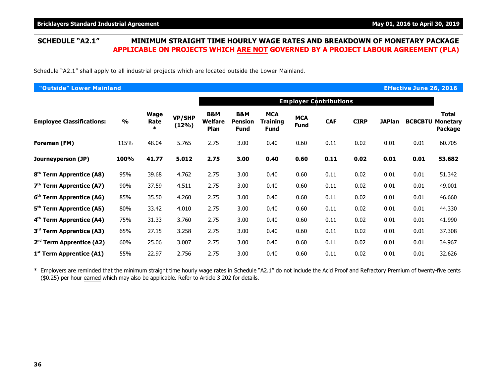Schedule "A2.1" shall apply to all industrial projects which are located outside the Lower Mainland.

| "Outside" Lower Mainland             |               |                               | <b>Effective June 26, 2016</b> |                                          |                                      |                                       |                    |                               |             |               |                |                                                   |
|--------------------------------------|---------------|-------------------------------|--------------------------------|------------------------------------------|--------------------------------------|---------------------------------------|--------------------|-------------------------------|-------------|---------------|----------------|---------------------------------------------------|
|                                      |               |                               |                                |                                          |                                      |                                       |                    | <b>Employer Contributions</b> |             |               |                |                                                   |
| <b>Employee Classifications:</b>     | $\frac{1}{2}$ | <b>Wage</b><br>Rate<br>$\ast$ | <b>VP/SHP</b><br>(12%)         | <b>B&amp;M</b><br><b>Welfare</b><br>Plan | B&M<br><b>Pension</b><br><b>Fund</b> | <b>MCA</b><br>Training<br><b>Fund</b> | <b>MCA</b><br>Fund | <b>CAF</b>                    | <b>CIRP</b> | <b>JAPlan</b> | <b>BCBCBTU</b> | <b>Total</b><br><b>Monetary</b><br><b>Package</b> |
| Foreman (FM)                         | 115%          | 48.04                         | 5.765                          | 2.75                                     | 3.00                                 | 0.40                                  | 0.60               | 0.11                          | 0.02        | 0.01          | 0.01           | 60.705                                            |
| Journeyperson (JP)                   | 100%          | 41.77                         | 5.012                          | 2.75                                     | 3.00                                 | 0.40                                  | 0.60               | 0.11                          | 0.02        | 0.01          | 0.01           | 53.682                                            |
| 8 <sup>th</sup> Term Apprentice (A8) | 95%           | 39.68                         | 4.762                          | 2.75                                     | 3.00                                 | 0.40                                  | 0.60               | 0.11                          | 0.02        | 0.01          | 0.01           | 51.342                                            |
| $7th$ Term Apprentice (A7)           | 90%           | 37.59                         | 4.511                          | 2.75                                     | 3.00                                 | 0.40                                  | 0.60               | 0.11                          | 0.02        | 0.01          | 0.01           | 49.001                                            |
| 6 <sup>th</sup> Term Apprentice (A6) | 85%           | 35.50                         | 4.260                          | 2.75                                     | 3.00                                 | 0.40                                  | 0.60               | 0.11                          | 0.02        | 0.01          | 0.01           | 46.660                                            |
| 5 <sup>th</sup> Term Apprentice (A5) | 80%           | 33.42                         | 4.010                          | 2.75                                     | 3.00                                 | 0.40                                  | 0.60               | 0.11                          | 0.02        | 0.01          | 0.01           | 44.330                                            |
| 4 <sup>th</sup> Term Apprentice (A4) | 75%           | 31.33                         | 3.760                          | 2.75                                     | 3.00                                 | 0.40                                  | 0.60               | 0.11                          | 0.02        | 0.01          | 0.01           | 41.990                                            |
| 3 <sup>rd</sup> Term Apprentice (A3) | 65%           | 27.15                         | 3.258                          | 2.75                                     | 3.00                                 | 0.40                                  | 0.60               | 0.11                          | 0.02        | 0.01          | 0.01           | 37.308                                            |
| $2nd$ Term Apprentice (A2)           | 60%           | 25.06                         | 3.007                          | 2.75                                     | 3.00                                 | 0.40                                  | 0.60               | 0.11                          | 0.02        | 0.01          | 0.01           | 34.967                                            |
| $1st$ Term Apprentice (A1)           | 55%           | 22.97                         | 2.756                          | 2.75                                     | 3.00                                 | 0.40                                  | 0.60               | 0.11                          | 0.02        | 0.01          | 0.01           | 32.626                                            |

\* Employers are reminded that the minimum straight time hourly wage rates in Schedule "A2.1" do not include the Acid Proof and Refractory Premium of twenty-five cents (\$0.25) per hour earned which may also be applicable. Refer to Article 3.202 for details.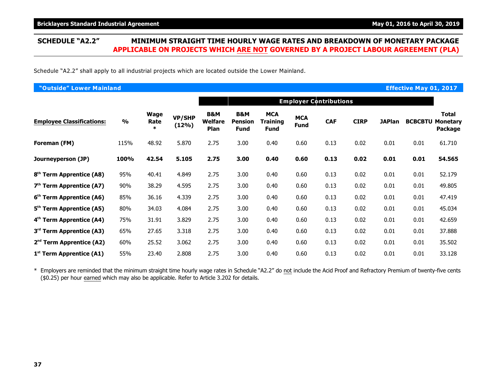Schedule "A2.2" shall apply to all industrial projects which are located outside the Lower Mainland.

| "Outside" Lower Mainland             |               |                               |                        |                               |                                      |                                       |                           |                               |             |               | <b>Effective May 01, 2017</b> |                                                   |
|--------------------------------------|---------------|-------------------------------|------------------------|-------------------------------|--------------------------------------|---------------------------------------|---------------------------|-------------------------------|-------------|---------------|-------------------------------|---------------------------------------------------|
|                                      |               |                               |                        |                               |                                      |                                       |                           | <b>Employer Contributions</b> |             |               |                               |                                                   |
| <b>Employee Classifications:</b>     | $\frac{9}{6}$ | <b>Wage</b><br>Rate<br>$\ast$ | <b>VP/SHP</b><br>(12%) | B&M<br><b>Welfare</b><br>Plan | B&M<br><b>Pension</b><br><b>Fund</b> | <b>MCA</b><br>Training<br><b>Fund</b> | <b>MCA</b><br><b>Fund</b> | <b>CAF</b>                    | <b>CIRP</b> | <b>JAPlan</b> | <b>BCBCBTU</b>                | <b>Total</b><br><b>Monetary</b><br><b>Package</b> |
| Foreman (FM)                         | 115%          | 48.92                         | 5.870                  | 2.75                          | 3.00                                 | 0.40                                  | 0.60                      | 0.13                          | 0.02        | 0.01          | 0.01                          | 61.710                                            |
| Journeyperson (JP)                   | 100%          | 42.54                         | 5.105                  | 2.75                          | 3.00                                 | 0.40                                  | 0.60                      | 0.13                          | 0.02        | 0.01          | 0.01                          | 54.565                                            |
| 8 <sup>th</sup> Term Apprentice (A8) | 95%           | 40.41                         | 4.849                  | 2.75                          | 3.00                                 | 0.40                                  | 0.60                      | 0.13                          | 0.02        | 0.01          | 0.01                          | 52.179                                            |
| $7th$ Term Apprentice (A7)           | 90%           | 38.29                         | 4.595                  | 2.75                          | 3.00                                 | 0.40                                  | 0.60                      | 0.13                          | 0.02        | 0.01          | 0.01                          | 49.805                                            |
| 6 <sup>th</sup> Term Apprentice (A6) | 85%           | 36.16                         | 4.339                  | 2.75                          | 3.00                                 | 0.40                                  | 0.60                      | 0.13                          | 0.02        | 0.01          | 0.01                          | 47.419                                            |
| 5 <sup>th</sup> Term Apprentice (A5) | 80%           | 34.03                         | 4.084                  | 2.75                          | 3.00                                 | 0.40                                  | 0.60                      | 0.13                          | 0.02        | 0.01          | 0.01                          | 45.034                                            |
| 4 <sup>th</sup> Term Apprentice (A4) | 75%           | 31.91                         | 3.829                  | 2.75                          | 3.00                                 | 0.40                                  | 0.60                      | 0.13                          | 0.02        | 0.01          | 0.01                          | 42.659                                            |
| 3 <sup>rd</sup> Term Apprentice (A3) | 65%           | 27.65                         | 3.318                  | 2.75                          | 3.00                                 | 0.40                                  | 0.60                      | 0.13                          | 0.02        | 0.01          | 0.01                          | 37.888                                            |
| $2nd$ Term Apprentice (A2)           | 60%           | 25.52                         | 3.062                  | 2.75                          | 3.00                                 | 0.40                                  | 0.60                      | 0.13                          | 0.02        | 0.01          | 0.01                          | 35.502                                            |
| $1st$ Term Apprentice (A1)           | 55%           | 23.40                         | 2.808                  | 2.75                          | 3.00                                 | 0.40                                  | 0.60                      | 0.13                          | 0.02        | 0.01          | 0.01                          | 33.128                                            |

\* Employers are reminded that the minimum straight time hourly wage rates in Schedule "A2.2" do not include the Acid Proof and Refractory Premium of twenty-five cents (\$0.25) per hour earned which may also be applicable. Refer to Article 3.202 for details.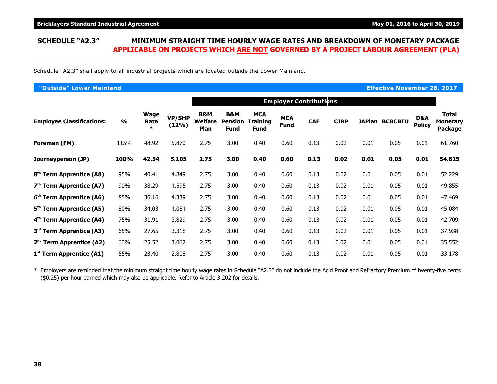Schedule "A2.3" shall apply to all industrial projects which are located outside the Lower Mainland.

| "Outside" Lower Mainland             |               |                        |                        |                                                 |                                      |                                       |                           |                               |             |      | <b>Effective November 26, 2017</b> |                                 |                                            |
|--------------------------------------|---------------|------------------------|------------------------|-------------------------------------------------|--------------------------------------|---------------------------------------|---------------------------|-------------------------------|-------------|------|------------------------------------|---------------------------------|--------------------------------------------|
|                                      |               |                        |                        |                                                 |                                      |                                       |                           | <b>Employer Contributions</b> |             |      |                                    |                                 |                                            |
| <b>Employee Classifications:</b>     | $\frac{9}{6}$ | Wage<br>Rate<br>$\ast$ | <b>VP/SHP</b><br>(12%) | <b>B&amp;M</b><br><b>Welfare</b><br><b>Plan</b> | B&M<br><b>Pension</b><br><b>Fund</b> | <b>MCA</b><br>Training<br><b>Fund</b> | <b>MCA</b><br><b>Fund</b> | <b>CAF</b>                    | <b>CIRP</b> |      | <b>JAPlan BCBCBTU</b>              | <b>D&amp;A</b><br><b>Policy</b> | <b>Total</b><br><b>Monetary</b><br>Package |
| Foreman (FM)                         | 115%          | 48.92                  | 5.870                  | 2.75                                            | 3.00                                 | 0.40                                  | 0.60                      | 0.13                          | 0.02        | 0.01 | 0.05                               | 0.01                            | 61.760                                     |
| Journeyperson (JP)                   | 100%          | 42.54                  | 5.105                  | 2.75                                            | 3.00                                 | 0.40                                  | 0.60                      | 0.13                          | 0.02        | 0.01 | 0.05                               | 0.01                            | 54.615                                     |
| 8 <sup>th</sup> Term Apprentice (A8) | 95%           | 40.41                  | 4.849                  | 2.75                                            | 3.00                                 | 0.40                                  | 0.60                      | 0.13                          | 0.02        | 0.01 | 0.05                               | 0.01                            | 52.229                                     |
| $7th$ Term Apprentice (A7)           | 90%           | 38.29                  | 4.595                  | 2.75                                            | 3.00                                 | 0.40                                  | 0.60                      | 0.13                          | 0.02        | 0.01 | 0.05                               | 0.01                            | 49.855                                     |
| 6 <sup>th</sup> Term Apprentice (A6) | 85%           | 36.16                  | 4.339                  | 2.75                                            | 3.00                                 | 0.40                                  | 0.60                      | 0.13                          | 0.02        | 0.01 | 0.05                               | 0.01                            | 47.469                                     |
| 5 <sup>th</sup> Term Apprentice (A5) | 80%           | 34.03                  | 4.084                  | 2.75                                            | 3.00                                 | 0.40                                  | 0.60                      | 0.13                          | 0.02        | 0.01 | 0.05                               | 0.01                            | 45.084                                     |
| 4 <sup>th</sup> Term Apprentice (A4) | 75%           | 31.91                  | 3.829                  | 2.75                                            | 3.00                                 | 0.40                                  | 0.60                      | 0.13                          | 0.02        | 0.01 | 0.05                               | 0.01                            | 42.709                                     |
| 3 <sup>rd</sup> Term Apprentice (A3) | 65%           | 27.65                  | 3.318                  | 2.75                                            | 3.00                                 | 0.40                                  | 0.60                      | 0.13                          | 0.02        | 0.01 | 0.05                               | 0.01                            | 37.938                                     |
| 2 <sup>nd</sup> Term Apprentice (A2) | 60%           | 25.52                  | 3.062                  | 2.75                                            | 3.00                                 | 0.40                                  | 0.60                      | 0.13                          | 0.02        | 0.01 | 0.05                               | 0.01                            | 35.552                                     |
| $1st$ Term Apprentice (A1)           | 55%           | 23.40                  | 2.808                  | 2.75                                            | 3.00                                 | 0.40                                  | 0.60                      | 0.13                          | 0.02        | 0.01 | 0.05                               | 0.01                            | 33.178                                     |

\* Employers are reminded that the minimum straight time hourly wage rates in Schedule "A2.3" do not include the Acid Proof and Refractory Premium of twenty-five cents (\$0.25) per hour earned which may also be applicable. Refer to Article 3.202 for details.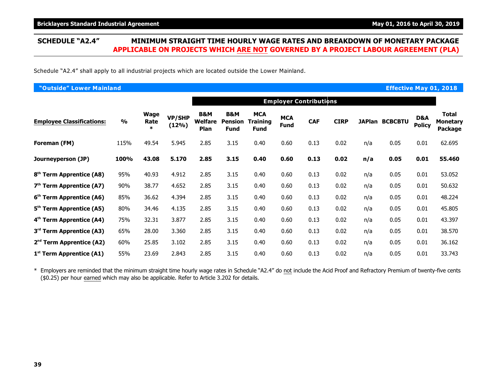### **SCHEDULE "A2.4" MINIMUM STRAIGHT TIME HOURLY WAGE RATES AND BREAKDOWN OF MONETARY PACKAGE APPLICABLE ON PROJECTS WHICH ARE NOT GOVERNED BY A PROJECT LABOUR AGREEMENT (PLA)**

Schedule "A2.4" shall apply to all industrial projects which are located outside the Lower Mainland.

| "Outside" Lower Mainland<br><b>Effective May 01, 2018</b> |               |                        |                        |                                          |                               |                                              |                           |                               |             |     |                       |                      |                              |
|-----------------------------------------------------------|---------------|------------------------|------------------------|------------------------------------------|-------------------------------|----------------------------------------------|---------------------------|-------------------------------|-------------|-----|-----------------------|----------------------|------------------------------|
|                                                           |               |                        |                        |                                          |                               |                                              |                           | <b>Employer Contributions</b> |             |     |                       |                      |                              |
| <b>Employee Classifications:</b>                          | $\frac{1}{2}$ | Wage<br>Rate<br>$\ast$ | <b>VP/SHP</b><br>(12%) | <b>B&amp;M</b><br>Welfare<br><b>Plan</b> | B&M<br>Pension<br><b>Fund</b> | <b>MCA</b><br><b>Training</b><br><b>Fund</b> | <b>MCA</b><br><b>Fund</b> | <b>CAF</b>                    | <b>CIRP</b> |     | <b>JAPlan BCBCBTU</b> | D&A<br><b>Policy</b> | Total<br>Monetary<br>Package |
| Foreman (FM)                                              | 115%          | 49.54                  | 5.945                  | 2.85                                     | 3.15                          | 0.40                                         | 0.60                      | 0.13                          | 0.02        | n/a | 0.05                  | 0.01                 | 62.695                       |
| Journeyperson (JP)                                        | 100%          | 43.08                  | 5.170                  | 2.85                                     | 3.15                          | 0.40                                         | 0.60                      | 0.13                          | 0.02        | n/a | 0.05                  | 0.01                 | 55.460                       |
| 8 <sup>th</sup> Term Apprentice (A8)                      | 95%           | 40.93                  | 4.912                  | 2.85                                     | 3.15                          | 0.40                                         | 0.60                      | 0.13                          | 0.02        | n/a | 0.05                  | 0.01                 | 53.052                       |
| $7th$ Term Apprentice (A7)                                | 90%           | 38.77                  | 4.652                  | 2.85                                     | 3.15                          | 0.40                                         | 0.60                      | 0.13                          | 0.02        | n/a | 0.05                  | 0.01                 | 50.632                       |
| 6 <sup>th</sup> Term Apprentice (A6)                      | 85%           | 36.62                  | 4.394                  | 2.85                                     | 3.15                          | 0.40                                         | 0.60                      | 0.13                          | 0.02        | n/a | 0.05                  | 0.01                 | 48.224                       |
| 5 <sup>th</sup> Term Apprentice (A5)                      | 80%           | 34.46                  | 4.135                  | 2.85                                     | 3.15                          | 0.40                                         | 0.60                      | 0.13                          | 0.02        | n/a | 0.05                  | 0.01                 | 45.805                       |
| 4 <sup>th</sup> Term Apprentice (A4)                      | 75%           | 32.31                  | 3.877                  | 2.85                                     | 3.15                          | 0.40                                         | 0.60                      | 0.13                          | 0.02        | n/a | 0.05                  | 0.01                 | 43.397                       |
| 3 <sup>rd</sup> Term Apprentice (A3)                      | 65%           | 28.00                  | 3.360                  | 2.85                                     | 3.15                          | 0.40                                         | 0.60                      | 0.13                          | 0.02        | n/a | 0.05                  | 0.01                 | 38.570                       |
| $2nd$ Term Apprentice (A2)                                | 60%           | 25.85                  | 3.102                  | 2.85                                     | 3.15                          | 0.40                                         | 0.60                      | 0.13                          | 0.02        | n/a | 0.05                  | 0.01                 | 36.162                       |
| $1st$ Term Apprentice (A1)                                | 55%           | 23.69                  | 2.843                  | 2.85                                     | 3.15                          | 0.40                                         | 0.60                      | 0.13                          | 0.02        | n/a | 0.05                  | 0.01                 | 33.743                       |

\* Employers are reminded that the minimum straight time hourly wage rates in Schedule "A2.4" do not include the Acid Proof and Refractory Premium of twenty-five cents (\$0.25) per hour earned which may also be applicable. Refer to Article 3.202 for details.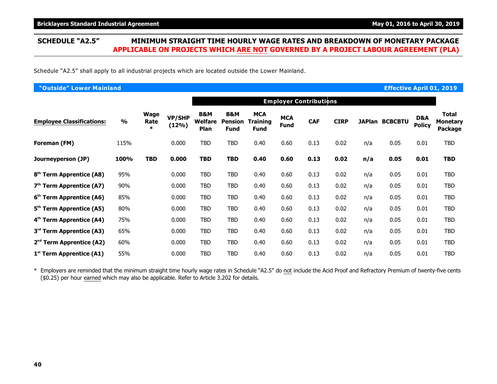### **SCHEDULE "A2.5" MINIMUM STRAIGHT TIME HOURLY WAGE RATES AND BREAKDOWN OF MONETARY PACKAGE APPLICABLE ON PROJECTS WHICH ARE NOT GOVERNED BY A PROJECT LABOUR AGREEMENT (PLA)**

Schedule "A2.5" shall apply to all industrial projects which are located outside the Lower Mainland.

| "Outside" Lower Mainland             |               |                        |                        |                                   |                                                 |                                       |                           |                               |             |     | <b>Effective April 01, 2019</b> |                      |                                            |
|--------------------------------------|---------------|------------------------|------------------------|-----------------------------------|-------------------------------------------------|---------------------------------------|---------------------------|-------------------------------|-------------|-----|---------------------------------|----------------------|--------------------------------------------|
|                                      |               |                        |                        |                                   |                                                 |                                       |                           | <b>Employer Contributions</b> |             |     |                                 |                      |                                            |
| <b>Employee Classifications:</b>     | $\frac{9}{0}$ | Wage<br>Rate<br>$\ast$ | <b>VP/SHP</b><br>(12%) | <b>B&amp;M</b><br>Welfare<br>Plan | <b>B&amp;M</b><br><b>Pension</b><br><b>Fund</b> | <b>MCA</b><br><b>Training</b><br>Fund | <b>MCA</b><br><b>Fund</b> | <b>CAF</b>                    | <b>CIRP</b> |     | <b>JAPlan BCBCBTU</b>           | D&A<br><b>Policy</b> | <b>Total</b><br><b>Monetary</b><br>Package |
| Foreman (FM)                         | 115%          |                        | 0.000                  | <b>TBD</b>                        | TBD                                             | 0.40                                  | 0.60                      | 0.13                          | 0.02        | n/a | 0.05                            | 0.01                 | TBD                                        |
| Journeyperson (JP)                   | 100%          | <b>TBD</b>             | 0.000                  | <b>TBD</b>                        | <b>TBD</b>                                      | 0.40                                  | 0.60                      | 0.13                          | 0.02        | n/a | 0.05                            | 0.01                 | <b>TBD</b>                                 |
| 8 <sup>th</sup> Term Apprentice (A8) | 95%           |                        | 0.000                  | <b>TBD</b>                        | TBD                                             | 0.40                                  | 0.60                      | 0.13                          | 0.02        | n/a | 0.05                            | 0.01                 | TBD                                        |
| $7th$ Term Apprentice (A7)           | 90%           |                        | 0.000                  | TBD                               | <b>TBD</b>                                      | 0.40                                  | 0.60                      | 0.13                          | 0.02        | n/a | 0.05                            | 0.01                 | TBD                                        |
| 6 <sup>th</sup> Term Apprentice (A6) | 85%           |                        | 0.000                  | TBD                               | <b>TBD</b>                                      | 0.40                                  | 0.60                      | 0.13                          | 0.02        | n/a | 0.05                            | 0.01                 | TBD                                        |
| 5 <sup>th</sup> Term Apprentice (A5) | 80%           |                        | 0.000                  | <b>TBD</b>                        | <b>TBD</b>                                      | 0.40                                  | 0.60                      | 0.13                          | 0.02        | n/a | 0.05                            | 0.01                 | TBD                                        |
| 4 <sup>th</sup> Term Apprentice (A4) | 75%           |                        | 0.000                  | <b>TBD</b>                        | <b>TBD</b>                                      | 0.40                                  | 0.60                      | 0.13                          | 0.02        | n/a | 0.05                            | 0.01                 | TBD                                        |
| 3 <sup>rd</sup> Term Apprentice (A3) | 65%           |                        | 0.000                  | TBD                               | TBD                                             | 0.40                                  | 0.60                      | 0.13                          | 0.02        | n/a | 0.05                            | 0.01                 | TBD                                        |
| $2nd$ Term Apprentice (A2)           | 60%           |                        | 0.000                  | TBD                               | <b>TBD</b>                                      | 0.40                                  | 0.60                      | 0.13                          | 0.02        | n/a | 0.05                            | 0.01                 | TBD                                        |
| $1st$ Term Apprentice (A1)           | 55%           |                        | 0.000                  | <b>TBD</b>                        | <b>TBD</b>                                      | 0.40                                  | 0.60                      | 0.13                          | 0.02        | n/a | 0.05                            | 0.01                 | TBD                                        |

\* Employers are reminded that the minimum straight time hourly wage rates in Schedule "A2.5" do not include the Acid Proof and Refractory Premium of twenty-five cents (\$0.25) per hour earned which may also be applicable. Refer to Article 3.202 for details.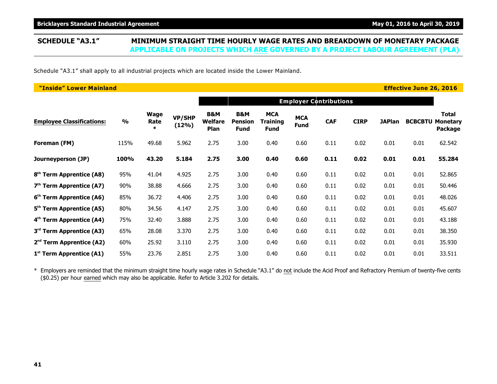Schedule "A3.1" shall apply to all industrial projects which are located inside the Lower Mainland.

| "Inside" Lower Mainland              |               |                               |                        |                               |                                      |                                       |                           |                               |             |               | <b>Effective June 26, 2016</b> |                                            |
|--------------------------------------|---------------|-------------------------------|------------------------|-------------------------------|--------------------------------------|---------------------------------------|---------------------------|-------------------------------|-------------|---------------|--------------------------------|--------------------------------------------|
|                                      |               |                               |                        |                               |                                      |                                       |                           | <b>Employer Contributions</b> |             |               |                                |                                            |
| <b>Employee Classifications:</b>     | $\frac{9}{6}$ | <b>Wage</b><br>Rate<br>$\ast$ | <b>VP/SHP</b><br>(12%) | B&M<br><b>Welfare</b><br>Plan | B&M<br><b>Pension</b><br><b>Fund</b> | <b>MCA</b><br>Training<br><b>Fund</b> | <b>MCA</b><br><b>Fund</b> | <b>CAF</b>                    | <b>CIRP</b> | <b>JAPlan</b> | <b>BCBCBTU</b>                 | Total<br><b>Monetary</b><br><b>Package</b> |
| Foreman (FM)                         | 115%          | 49.68                         | 5.962                  | 2.75                          | 3.00                                 | 0.40                                  | 0.60                      | 0.11                          | 0.02        | 0.01          | 0.01                           | 62.542                                     |
| Journeyperson (JP)                   | 100%          | 43.20                         | 5.184                  | 2.75                          | 3.00                                 | 0.40                                  | 0.60                      | 0.11                          | 0.02        | 0.01          | 0.01                           | 55.284                                     |
| 8 <sup>th</sup> Term Apprentice (A8) | 95%           | 41.04                         | 4.925                  | 2.75                          | 3.00                                 | 0.40                                  | 0.60                      | 0.11                          | 0.02        | 0.01          | 0.01                           | 52.865                                     |
| $7th$ Term Apprentice (A7)           | 90%           | 38.88                         | 4.666                  | 2.75                          | 3.00                                 | 0.40                                  | 0.60                      | 0.11                          | 0.02        | 0.01          | 0.01                           | 50.446                                     |
| 6 <sup>th</sup> Term Apprentice (A6) | 85%           | 36.72                         | 4.406                  | 2.75                          | 3.00                                 | 0.40                                  | 0.60                      | 0.11                          | 0.02        | 0.01          | 0.01                           | 48.026                                     |
| 5 <sup>th</sup> Term Apprentice (A5) | 80%           | 34.56                         | 4.147                  | 2.75                          | 3.00                                 | 0.40                                  | 0.60                      | 0.11                          | 0.02        | 0.01          | 0.01                           | 45.607                                     |
| 4 <sup>th</sup> Term Apprentice (A4) | 75%           | 32.40                         | 3.888                  | 2.75                          | 3.00                                 | 0.40                                  | 0.60                      | 0.11                          | 0.02        | 0.01          | 0.01                           | 43.188                                     |
| 3 <sup>rd</sup> Term Apprentice (A3) | 65%           | 28.08                         | 3.370                  | 2.75                          | 3.00                                 | 0.40                                  | 0.60                      | 0.11                          | 0.02        | 0.01          | 0.01                           | 38.350                                     |
| $2nd$ Term Apprentice (A2)           | 60%           | 25.92                         | 3.110                  | 2.75                          | 3.00                                 | 0.40                                  | 0.60                      | 0.11                          | 0.02        | 0.01          | 0.01                           | 35.930                                     |
| $1st$ Term Apprentice (A1)           | 55%           | 23.76                         | 2.851                  | 2.75                          | 3.00                                 | 0.40                                  | 0.60                      | 0.11                          | 0.02        | 0.01          | 0.01                           | 33.511                                     |

\* Employers are reminded that the minimum straight time hourly wage rates in Schedule "A3.1" do not include the Acid Proof and Refractory Premium of twenty-five cents (\$0.25) per hour earned which may also be applicable. Refer to Article 3.202 for details.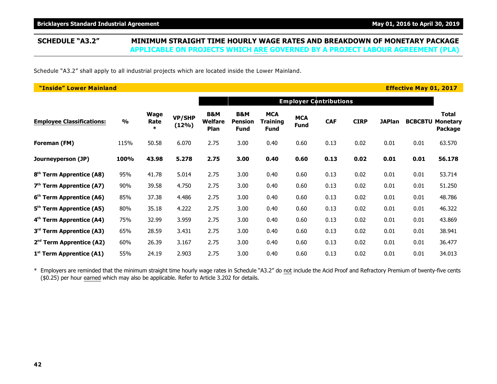Schedule "A3.2" shall apply to all industrial projects which are located inside the Lower Mainland.

| "Inside" Lower Mainland              |               |                               |                        |                               |                                      |                                       |                           |                               |             |               | <b>Effective May 01, 2017</b> |                                            |
|--------------------------------------|---------------|-------------------------------|------------------------|-------------------------------|--------------------------------------|---------------------------------------|---------------------------|-------------------------------|-------------|---------------|-------------------------------|--------------------------------------------|
|                                      |               |                               |                        |                               |                                      |                                       |                           | <b>Employer Contributions</b> |             |               |                               |                                            |
| <b>Employee Classifications:</b>     | $\frac{9}{6}$ | <b>Wage</b><br>Rate<br>$\ast$ | <b>VP/SHP</b><br>(12%) | B&M<br><b>Welfare</b><br>Plan | B&M<br><b>Pension</b><br><b>Fund</b> | <b>MCA</b><br>Training<br><b>Fund</b> | <b>MCA</b><br><b>Fund</b> | <b>CAF</b>                    | <b>CIRP</b> | <b>JAPlan</b> | <b>BCBCBTU</b>                | Total<br><b>Monetary</b><br><b>Package</b> |
| Foreman (FM)                         | 115%          | 50.58                         | 6.070                  | 2.75                          | 3.00                                 | 0.40                                  | 0.60                      | 0.13                          | 0.02        | 0.01          | 0.01                          | 63.570                                     |
| Journeyperson (JP)                   | 100%          | 43.98                         | 5.278                  | 2.75                          | 3.00                                 | 0.40                                  | 0.60                      | 0.13                          | 0.02        | 0.01          | 0.01                          | 56.178                                     |
| 8 <sup>th</sup> Term Apprentice (A8) | 95%           | 41.78                         | 5.014                  | 2.75                          | 3.00                                 | 0.40                                  | 0.60                      | 0.13                          | 0.02        | 0.01          | 0.01                          | 53.714                                     |
| $7th$ Term Apprentice (A7)           | 90%           | 39.58                         | 4.750                  | 2.75                          | 3.00                                 | 0.40                                  | 0.60                      | 0.13                          | 0.02        | 0.01          | 0.01                          | 51.250                                     |
| 6 <sup>th</sup> Term Apprentice (A6) | 85%           | 37.38                         | 4.486                  | 2.75                          | 3.00                                 | 0.40                                  | 0.60                      | 0.13                          | 0.02        | 0.01          | 0.01                          | 48.786                                     |
| 5 <sup>th</sup> Term Apprentice (A5) | 80%           | 35.18                         | 4.222                  | 2.75                          | 3.00                                 | 0.40                                  | 0.60                      | 0.13                          | 0.02        | 0.01          | 0.01                          | 46.322                                     |
| 4 <sup>th</sup> Term Apprentice (A4) | 75%           | 32.99                         | 3.959                  | 2.75                          | 3.00                                 | 0.40                                  | 0.60                      | 0.13                          | 0.02        | 0.01          | 0.01                          | 43.869                                     |
| 3 <sup>rd</sup> Term Apprentice (A3) | 65%           | 28.59                         | 3.431                  | 2.75                          | 3.00                                 | 0.40                                  | 0.60                      | 0.13                          | 0.02        | 0.01          | 0.01                          | 38.941                                     |
| $2nd$ Term Apprentice (A2)           | 60%           | 26.39                         | 3.167                  | 2.75                          | 3.00                                 | 0.40                                  | 0.60                      | 0.13                          | 0.02        | 0.01          | 0.01                          | 36.477                                     |
| $1st$ Term Apprentice (A1)           | 55%           | 24.19                         | 2.903                  | 2.75                          | 3.00                                 | 0.40                                  | 0.60                      | 0.13                          | 0.02        | 0.01          | 0.01                          | 34.013                                     |

\* Employers are reminded that the minimum straight time hourly wage rates in Schedule "A3.2" do not include the Acid Proof and Refractory Premium of twenty-five cents (\$0.25) per hour earned which may also be applicable. Refer to Article 3.202 for details.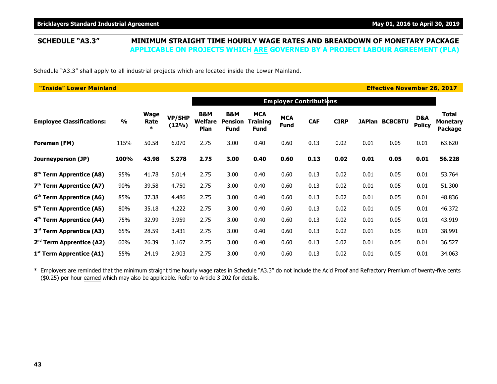Schedule "A3.3" shall apply to all industrial projects which are located inside the Lower Mainland.

| "Inside" Lower Mainland              |               |                               |                        |                                          |                                                 |                                       |                           |                               |             |      | <b>Effective November 26, 2017</b> |                      |                                                   |
|--------------------------------------|---------------|-------------------------------|------------------------|------------------------------------------|-------------------------------------------------|---------------------------------------|---------------------------|-------------------------------|-------------|------|------------------------------------|----------------------|---------------------------------------------------|
|                                      |               |                               |                        |                                          |                                                 |                                       |                           | <b>Employer Contributions</b> |             |      |                                    |                      |                                                   |
| <b>Employee Classifications:</b>     | $\frac{1}{2}$ | <b>Wage</b><br>Rate<br>$\ast$ | <b>VP/SHP</b><br>(12%) | <b>B&amp;M</b><br><b>Welfare</b><br>Plan | <b>B&amp;M</b><br><b>Pension</b><br><b>Fund</b> | <b>MCA</b><br>Training<br><b>Fund</b> | <b>MCA</b><br><b>Fund</b> | <b>CAF</b>                    | <b>CIRP</b> |      | <b>JAPlan BCBCBTU</b>              | D&A<br><b>Policy</b> | <b>Total</b><br><b>Monetary</b><br><b>Package</b> |
| Foreman (FM)                         | 115%          | 50.58                         | 6.070                  | 2.75                                     | 3.00                                            | 0.40                                  | 0.60                      | 0.13                          | 0.02        | 0.01 | 0.05                               | 0.01                 | 63.620                                            |
| Journeyperson (JP)                   | 100%          | 43.98                         | 5.278                  | 2.75                                     | 3.00                                            | 0.40                                  | 0.60                      | 0.13                          | 0.02        | 0.01 | 0.05                               | 0.01                 | 56.228                                            |
| 8 <sup>th</sup> Term Apprentice (A8) | 95%           | 41.78                         | 5.014                  | 2.75                                     | 3.00                                            | 0.40                                  | 0.60                      | 0.13                          | 0.02        | 0.01 | 0.05                               | 0.01                 | 53.764                                            |
| $7th$ Term Apprentice (A7)           | 90%           | 39.58                         | 4.750                  | 2.75                                     | 3.00                                            | 0.40                                  | 0.60                      | 0.13                          | 0.02        | 0.01 | 0.05                               | 0.01                 | 51.300                                            |
| 6 <sup>th</sup> Term Apprentice (A6) | 85%           | 37.38                         | 4.486                  | 2.75                                     | 3.00                                            | 0.40                                  | 0.60                      | 0.13                          | 0.02        | 0.01 | 0.05                               | 0.01                 | 48.836                                            |
| 5 <sup>th</sup> Term Apprentice (A5) | 80%           | 35.18                         | 4.222                  | 2.75                                     | 3.00                                            | 0.40                                  | 0.60                      | 0.13                          | 0.02        | 0.01 | 0.05                               | 0.01                 | 46.372                                            |
| 4 <sup>th</sup> Term Apprentice (A4) | 75%           | 32.99                         | 3.959                  | 2.75                                     | 3.00                                            | 0.40                                  | 0.60                      | 0.13                          | 0.02        | 0.01 | 0.05                               | 0.01                 | 43.919                                            |
| 3 <sup>rd</sup> Term Apprentice (A3) | 65%           | 28.59                         | 3.431                  | 2.75                                     | 3.00                                            | 0.40                                  | 0.60                      | 0.13                          | 0.02        | 0.01 | 0.05                               | 0.01                 | 38.991                                            |
| $2nd$ Term Apprentice (A2)           | 60%           | 26.39                         | 3.167                  | 2.75                                     | 3.00                                            | 0.40                                  | 0.60                      | 0.13                          | 0.02        | 0.01 | 0.05                               | 0.01                 | 36.527                                            |
| 1 <sup>st</sup> Term Apprentice (A1) | 55%           | 24.19                         | 2.903                  | 2.75                                     | 3.00                                            | 0.40                                  | 0.60                      | 0.13                          | 0.02        | 0.01 | 0.05                               | 0.01                 | 34.063                                            |

\* Employers are reminded that the minimum straight time hourly wage rates in Schedule "A3.3" do not include the Acid Proof and Refractory Premium of twenty-five cents (\$0.25) per hour earned which may also be applicable. Refer to Article 3.202 for details.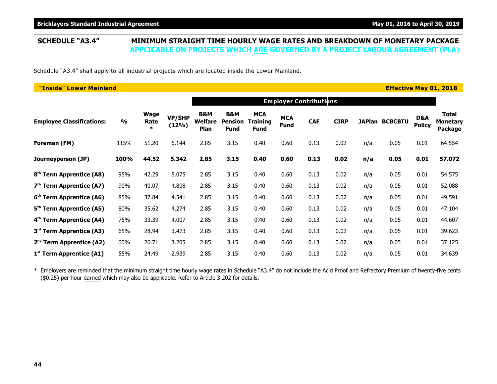### **SCHEDULE "A3.4" MINIMUM STRAIGHT TIME HOURLY WAGE RATES AND BREAKDOWN OF MONETARY PACKAGE APPLICABLE ON PROJECTS WHICH ARE GOVERNED BY A PROJECT LABOUR AGREEMENT (PLA)**

Schedule "A3.4" shall apply to all industrial projects which are located inside the Lower Mainland.

| "Inside" Lower Mainland              |               |                        |                        |                               |                                                 |                                              |                           |                               |             |     |                       |                      | <b>Effective May 01, 2018</b>              |
|--------------------------------------|---------------|------------------------|------------------------|-------------------------------|-------------------------------------------------|----------------------------------------------|---------------------------|-------------------------------|-------------|-----|-----------------------|----------------------|--------------------------------------------|
|                                      |               |                        |                        |                               |                                                 |                                              |                           | <b>Employer Contributions</b> |             |     |                       |                      |                                            |
| <b>Employee Classifications:</b>     | $\frac{1}{2}$ | Wage<br>Rate<br>$\ast$ | <b>VP/SHP</b><br>(12%) | B&M<br><b>Welfare</b><br>Plan | <b>B&amp;M</b><br><b>Pension</b><br><b>Fund</b> | <b>MCA</b><br><b>Training</b><br><b>Fund</b> | <b>MCA</b><br><b>Fund</b> | <b>CAF</b>                    | <b>CIRP</b> |     | <b>JAPlan BCBCBTU</b> | D&A<br><b>Policy</b> | Total<br><b>Monetary</b><br><b>Package</b> |
| Foreman (FM)                         | 115%          | 51.20                  | 6.144                  | 2.85                          | 3.15                                            | 0.40                                         | 0.60                      | 0.13                          | 0.02        | n/a | 0.05                  | 0.01                 | 64.554                                     |
| Journeyperson (JP)                   | 100%          | 44.52                  | 5.342                  | 2.85                          | 3.15                                            | 0.40                                         | 0.60                      | 0.13                          | 0.02        | n/a | 0.05                  | 0.01                 | 57.072                                     |
| 8 <sup>th</sup> Term Apprentice (A8) | 95%           | 42.29                  | 5.075                  | 2.85                          | 3.15                                            | 0.40                                         | 0.60                      | 0.13                          | 0.02        | n/a | 0.05                  | 0.01                 | 54.575                                     |
| 7 <sup>th</sup> Term Apprentice (A7) | 90%           | 40.07                  | 4.808                  | 2.85                          | 3.15                                            | 0.40                                         | 0.60                      | 0.13                          | 0.02        | n/a | 0.05                  | 0.01                 | 52.088                                     |
| 6 <sup>th</sup> Term Apprentice (A6) | 85%           | 37.84                  | 4.541                  | 2.85                          | 3.15                                            | 0.40                                         | 0.60                      | 0.13                          | 0.02        | n/a | 0.05                  | 0.01                 | 49.591                                     |
| 5 <sup>th</sup> Term Apprentice (A5) | 80%           | 35.62                  | 4.274                  | 2.85                          | 3.15                                            | 0.40                                         | 0.60                      | 0.13                          | 0.02        | n/a | 0.05                  | 0.01                 | 47.104                                     |
| 4 <sup>th</sup> Term Apprentice (A4) | 75%           | 33.39                  | 4.007                  | 2.85                          | 3.15                                            | 0.40                                         | 0.60                      | 0.13                          | 0.02        | n/a | 0.05                  | 0.01                 | 44.607                                     |
| 3 <sup>rd</sup> Term Apprentice (A3) | 65%           | 28.94                  | 3.473                  | 2.85                          | 3.15                                            | 0.40                                         | 0.60                      | 0.13                          | 0.02        | n/a | 0.05                  | 0.01                 | 39.623                                     |
| 2 <sup>nd</sup> Term Apprentice (A2) | 60%           | 26.71                  | 3.205                  | 2.85                          | 3.15                                            | 0.40                                         | 0.60                      | 0.13                          | 0.02        | n/a | 0.05                  | 0.01                 | 37.125                                     |
| $1st$ Term Apprentice (A1)           | 55%           | 24.49                  | 2.939                  | 2.85                          | 3.15                                            | 0.40                                         | 0.60                      | 0.13                          | 0.02        | n/a | 0.05                  | 0.01                 | 34.639                                     |

\* Employers are reminded that the minimum straight time hourly wage rates in Schedule "A3.4" do not include the Acid Proof and Refractory Premium of twenty-five cents (\$0.25) per hour earned which may also be applicable. Refer to Article 3.202 for details.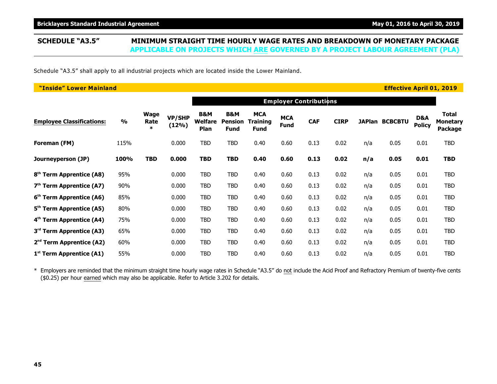### **SCHEDULE "A3.5" MINIMUM STRAIGHT TIME HOURLY WAGE RATES AND BREAKDOWN OF MONETARY PACKAGE APPLICABLE ON PROJECTS WHICH ARE GOVERNED BY A PROJECT LABOUR AGREEMENT (PLA)**

Schedule "A3.5" shall apply to all industrial projects which are located inside the Lower Mainland.

| "Inside" Lower Mainland              |               |                        |                 |                        |                                      |                                              |                           |                               |             |     | <b>Effective April 01, 2019</b> |                      |                                            |
|--------------------------------------|---------------|------------------------|-----------------|------------------------|--------------------------------------|----------------------------------------------|---------------------------|-------------------------------|-------------|-----|---------------------------------|----------------------|--------------------------------------------|
|                                      |               |                        |                 |                        |                                      |                                              |                           | <b>Employer Contributions</b> |             |     |                                 |                      |                                            |
| <b>Employee Classifications:</b>     | $\frac{1}{2}$ | Wage<br>Rate<br>$\ast$ | VP/SHP<br>(12%) | B&M<br>Welfare<br>Plan | B&M<br><b>Pension</b><br><b>Fund</b> | <b>MCA</b><br><b>Training</b><br><b>Fund</b> | <b>MCA</b><br><b>Fund</b> | <b>CAF</b>                    | <b>CIRP</b> |     | JAPlan BCBCBTU                  | D&A<br><b>Policy</b> | <b>Total</b><br><b>Monetary</b><br>Package |
| Foreman (FM)                         | 115%          |                        | 0.000           | TBD                    | TBD                                  | 0.40                                         | 0.60                      | 0.13                          | 0.02        | n/a | 0.05                            | 0.01                 | <b>TBD</b>                                 |
| Journeyperson (JP)                   | 100%          | <b>TBD</b>             | 0.000           | <b>TBD</b>             | <b>TBD</b>                           | 0.40                                         | 0.60                      | 0.13                          | 0.02        | n/a | 0.05                            | 0.01                 | <b>TBD</b>                                 |
| 8 <sup>th</sup> Term Apprentice (A8) | 95%           |                        | 0.000           | <b>TBD</b>             | <b>TBD</b>                           | 0.40                                         | 0.60                      | 0.13                          | 0.02        | n/a | 0.05                            | 0.01                 | <b>TBD</b>                                 |
| $7th$ Term Apprentice (A7)           | 90%           |                        | 0.000           | TBD                    | TBD                                  | 0.40                                         | 0.60                      | 0.13                          | 0.02        | n/a | 0.05                            | 0.01                 | TBD                                        |
| 6 <sup>th</sup> Term Apprentice (A6) | 85%           |                        | 0.000           | <b>TBD</b>             | <b>TBD</b>                           | 0.40                                         | 0.60                      | 0.13                          | 0.02        | n/a | 0.05                            | 0.01                 | <b>TBD</b>                                 |
| 5 <sup>th</sup> Term Apprentice (A5) | 80%           |                        | 0.000           | TBD                    | <b>TBD</b>                           | 0.40                                         | 0.60                      | 0.13                          | 0.02        | n/a | 0.05                            | 0.01                 | <b>TBD</b>                                 |
| 4 <sup>th</sup> Term Apprentice (A4) | 75%           |                        | 0.000           | TBD                    | TBD                                  | 0.40                                         | 0.60                      | 0.13                          | 0.02        | n/a | 0.05                            | 0.01                 | TBD                                        |
| 3 <sup>rd</sup> Term Apprentice (A3) | 65%           |                        | 0.000           | <b>TBD</b>             | <b>TBD</b>                           | 0.40                                         | 0.60                      | 0.13                          | 0.02        | n/a | 0.05                            | 0.01                 | <b>TBD</b>                                 |
| $2nd$ Term Apprentice (A2)           | 60%           |                        | 0.000           | TBD                    | TBD                                  | 0.40                                         | 0.60                      | 0.13                          | 0.02        | n/a | 0.05                            | 0.01                 | TBD                                        |
| $1st$ Term Apprentice (A1)           | 55%           |                        | 0.000           | <b>TBD</b>             | <b>TBD</b>                           | 0.40                                         | 0.60                      | 0.13                          | 0.02        | n/a | 0.05                            | 0.01                 | TBD                                        |

\* Employers are reminded that the minimum straight time hourly wage rates in Schedule "A3.5" do not include the Acid Proof and Refractory Premium of twenty-five cents (\$0.25) per hour earned which may also be applicable. Refer to Article 3.202 for details.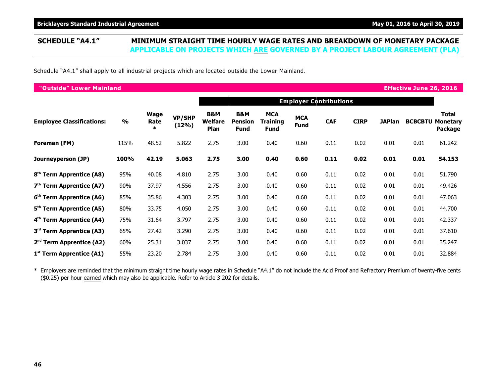Schedule "A4.1" shall apply to all industrial projects which are located outside the Lower Mainland.

| "Outside" Lower Mainland             |               |                               |                        |                                          |                                      |                                       |                           |                               |             |               | <b>Effective June 26, 2016</b> |                                            |
|--------------------------------------|---------------|-------------------------------|------------------------|------------------------------------------|--------------------------------------|---------------------------------------|---------------------------|-------------------------------|-------------|---------------|--------------------------------|--------------------------------------------|
|                                      |               |                               |                        |                                          |                                      |                                       |                           | <b>Employer Contributions</b> |             |               |                                |                                            |
| <b>Employee Classifications:</b>     | $\frac{0}{0}$ | <b>Wage</b><br>Rate<br>$\ast$ | <b>VP/SHP</b><br>(12%) | <b>B&amp;M</b><br><b>Welfare</b><br>Plan | B&M<br><b>Pension</b><br><b>Fund</b> | <b>MCA</b><br>Training<br><b>Fund</b> | <b>MCA</b><br><b>Fund</b> | <b>CAF</b>                    | <b>CIRP</b> | <b>JAPlan</b> | <b>BCBCBTU</b>                 | Total<br><b>Monetary</b><br><b>Package</b> |
| Foreman (FM)                         | 115%          | 48.52                         | 5.822                  | 2.75                                     | 3.00                                 | 0.40                                  | 0.60                      | 0.11                          | 0.02        | 0.01          | 0.01                           | 61.242                                     |
| Journeyperson (JP)                   | 100%          | 42.19                         | 5.063                  | 2.75                                     | 3.00                                 | 0.40                                  | 0.60                      | 0.11                          | 0.02        | 0.01          | 0.01                           | 54.153                                     |
| 8 <sup>th</sup> Term Apprentice (A8) | 95%           | 40.08                         | 4.810                  | 2.75                                     | 3.00                                 | 0.40                                  | 0.60                      | 0.11                          | 0.02        | 0.01          | 0.01                           | 51.790                                     |
| $7th$ Term Apprentice (A7)           | 90%           | 37.97                         | 4.556                  | 2.75                                     | 3.00                                 | 0.40                                  | 0.60                      | 0.11                          | 0.02        | 0.01          | 0.01                           | 49.426                                     |
| 6 <sup>th</sup> Term Apprentice (A6) | 85%           | 35.86                         | 4.303                  | 2.75                                     | 3.00                                 | 0.40                                  | 0.60                      | 0.11                          | 0.02        | 0.01          | 0.01                           | 47.063                                     |
| 5 <sup>th</sup> Term Apprentice (A5) | 80%           | 33.75                         | 4.050                  | 2.75                                     | 3.00                                 | 0.40                                  | 0.60                      | 0.11                          | 0.02        | 0.01          | 0.01                           | 44.700                                     |
| 4 <sup>th</sup> Term Apprentice (A4) | 75%           | 31.64                         | 3.797                  | 2.75                                     | 3.00                                 | 0.40                                  | 0.60                      | 0.11                          | 0.02        | 0.01          | 0.01                           | 42.337                                     |
| 3 <sup>rd</sup> Term Apprentice (A3) | 65%           | 27.42                         | 3.290                  | 2.75                                     | 3.00                                 | 0.40                                  | 0.60                      | 0.11                          | 0.02        | 0.01          | 0.01                           | 37.610                                     |
| $2nd$ Term Apprentice (A2)           | 60%           | 25.31                         | 3.037                  | 2.75                                     | 3.00                                 | 0.40                                  | 0.60                      | 0.11                          | 0.02        | 0.01          | 0.01                           | 35.247                                     |
| $1st$ Term Apprentice (A1)           | 55%           | 23.20                         | 2.784                  | 2.75                                     | 3.00                                 | 0.40                                  | 0.60                      | 0.11                          | 0.02        | 0.01          | 0.01                           | 32.884                                     |

\* Employers are reminded that the minimum straight time hourly wage rates in Schedule "A4.1" do not include the Acid Proof and Refractory Premium of twenty-five cents (\$0.25) per hour earned which may also be applicable. Refer to Article 3.202 for details.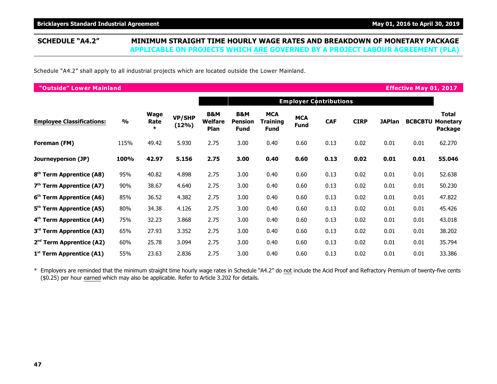Schedule "A4.2" shall apply to all industrial projects which are located outside the Lower Mainland.

| "Outside" Lower Mainland             |               |                               |                        |                                          |                                      |                                       |                    |                               |             |               | <b>Effective May 01, 2017</b> |                                            |
|--------------------------------------|---------------|-------------------------------|------------------------|------------------------------------------|--------------------------------------|---------------------------------------|--------------------|-------------------------------|-------------|---------------|-------------------------------|--------------------------------------------|
|                                      |               |                               |                        |                                          |                                      |                                       |                    | <b>Employer Contributions</b> |             |               |                               |                                            |
| <b>Employee Classifications:</b>     | $\frac{1}{2}$ | <b>Wage</b><br>Rate<br>$\ast$ | <b>VP/SHP</b><br>(12%) | <b>B&amp;M</b><br><b>Welfare</b><br>Plan | B&M<br><b>Pension</b><br><b>Fund</b> | <b>MCA</b><br>Training<br><b>Fund</b> | <b>MCA</b><br>Fund | <b>CAF</b>                    | <b>CIRP</b> | <b>JAPlan</b> | <b>BCBCBTU</b>                | <b>Total</b><br><b>Monetary</b><br>Package |
| Foreman (FM)                         | 115%          | 49.42                         | 5.930                  | 2.75                                     | 3.00                                 | 0.40                                  | 0.60               | 0.13                          | 0.02        | 0.01          | 0.01                          | 62.270                                     |
| Journeyperson (JP)                   | 100%          | 42.97                         | 5.156                  | 2.75                                     | 3.00                                 | 0.40                                  | 0.60               | 0.13                          | 0.02        | 0.01          | 0.01                          | 55.046                                     |
| 8 <sup>th</sup> Term Apprentice (A8) | 95%           | 40.82                         | 4.898                  | 2.75                                     | 3.00                                 | 0.40                                  | 0.60               | 0.13                          | 0.02        | 0.01          | 0.01                          | 52.638                                     |
| $7th$ Term Apprentice (A7)           | 90%           | 38.67                         | 4.640                  | 2.75                                     | 3.00                                 | 0.40                                  | 0.60               | 0.13                          | 0.02        | 0.01          | 0.01                          | 50.230                                     |
| 6 <sup>th</sup> Term Apprentice (A6) | 85%           | 36.52                         | 4.382                  | 2.75                                     | 3.00                                 | 0.40                                  | 0.60               | 0.13                          | 0.02        | 0.01          | 0.01                          | 47.822                                     |
| 5 <sup>th</sup> Term Apprentice (A5) | 80%           | 34.38                         | 4.126                  | 2.75                                     | 3.00                                 | 0.40                                  | 0.60               | 0.13                          | 0.02        | 0.01          | 0.01                          | 45.426                                     |
| 4 <sup>th</sup> Term Apprentice (A4) | 75%           | 32.23                         | 3.868                  | 2.75                                     | 3.00                                 | 0.40                                  | 0.60               | 0.13                          | 0.02        | 0.01          | 0.01                          | 43.018                                     |
| 3 <sup>rd</sup> Term Apprentice (A3) | 65%           | 27.93                         | 3.352                  | 2.75                                     | 3.00                                 | 0.40                                  | 0.60               | 0.13                          | 0.02        | 0.01          | 0.01                          | 38.202                                     |
| $2nd$ Term Apprentice (A2)           | 60%           | 25.78                         | 3.094                  | 2.75                                     | 3.00                                 | 0.40                                  | 0.60               | 0.13                          | 0.02        | 0.01          | 0.01                          | 35.794                                     |
| 1 <sup>st</sup> Term Apprentice (A1) | 55%           | 23.63                         | 2.836                  | 2.75                                     | 3.00                                 | 0.40                                  | 0.60               | 0.13                          | 0.02        | 0.01          | 0.01                          | 33.386                                     |

\* Employers are reminded that the minimum straight time hourly wage rates in Schedule "A4.2" do not include the Acid Proof and Refractory Premium of twenty-five cents (\$0.25) per hour earned which may also be applicable. Refer to Article 3.202 for details.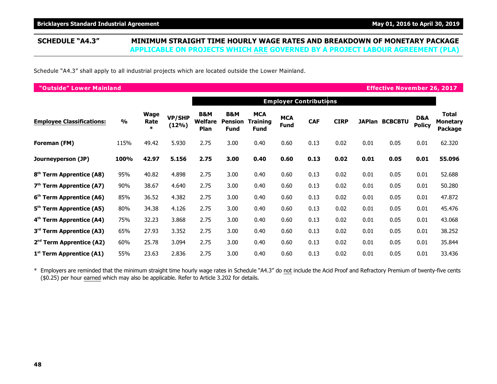Schedule "A4.3" shall apply to all industrial projects which are located outside the Lower Mainland.

| "Outside" Lower Mainland             |               |                        |                        |                                      |                                                 |                                       |                           |                               |             |      | <b>Effective November 26, 2017</b> |                      |                                     |
|--------------------------------------|---------------|------------------------|------------------------|--------------------------------------|-------------------------------------------------|---------------------------------------|---------------------------|-------------------------------|-------------|------|------------------------------------|----------------------|-------------------------------------|
|                                      |               |                        |                        |                                      |                                                 |                                       |                           | <b>Employer Contributions</b> |             |      |                                    |                      |                                     |
| <b>Employee Classifications:</b>     | $\frac{6}{9}$ | Wage<br>Rate<br>$\ast$ | <b>VP/SHP</b><br>(12%) | B&M<br><b>Welfare</b><br><b>Plan</b> | <b>B&amp;M</b><br><b>Pension</b><br><b>Fund</b> | <b>MCA</b><br>Training<br><b>Fund</b> | <b>MCA</b><br><b>Fund</b> | <b>CAF</b>                    | <b>CIRP</b> |      | <b>JAPlan BCBCBTU</b>              | D&A<br><b>Policy</b> | Total<br><b>Monetary</b><br>Package |
| Foreman (FM)                         | 115%          | 49.42                  | 5.930                  | 2.75                                 | 3.00                                            | 0.40                                  | 0.60                      | 0.13                          | 0.02        | 0.01 | 0.05                               | 0.01                 | 62.320                              |
| Journeyperson (JP)                   | 100%          | 42.97                  | 5.156                  | 2.75                                 | 3.00                                            | 0.40                                  | 0.60                      | 0.13                          | 0.02        | 0.01 | 0.05                               | 0.01                 | 55.096                              |
| 8 <sup>th</sup> Term Apprentice (A8) | 95%           | 40.82                  | 4.898                  | 2.75                                 | 3.00                                            | 0.40                                  | 0.60                      | 0.13                          | 0.02        | 0.01 | 0.05                               | 0.01                 | 52.688                              |
| $7th$ Term Apprentice (A7)           | 90%           | 38.67                  | 4.640                  | 2.75                                 | 3.00                                            | 0.40                                  | 0.60                      | 0.13                          | 0.02        | 0.01 | 0.05                               | 0.01                 | 50.280                              |
| 6 <sup>th</sup> Term Apprentice (A6) | 85%           | 36.52                  | 4.382                  | 2.75                                 | 3.00                                            | 0.40                                  | 0.60                      | 0.13                          | 0.02        | 0.01 | 0.05                               | 0.01                 | 47.872                              |
| 5 <sup>th</sup> Term Apprentice (A5) | 80%           | 34.38                  | 4.126                  | 2.75                                 | 3.00                                            | 0.40                                  | 0.60                      | 0.13                          | 0.02        | 0.01 | 0.05                               | 0.01                 | 45.476                              |
| 4 <sup>th</sup> Term Apprentice (A4) | 75%           | 32.23                  | 3.868                  | 2.75                                 | 3.00                                            | 0.40                                  | 0.60                      | 0.13                          | 0.02        | 0.01 | 0.05                               | 0.01                 | 43.068                              |
| 3 <sup>rd</sup> Term Apprentice (A3) | 65%           | 27.93                  | 3.352                  | 2.75                                 | 3.00                                            | 0.40                                  | 0.60                      | 0.13                          | 0.02        | 0.01 | 0.05                               | 0.01                 | 38.252                              |
| $2nd$ Term Apprentice (A2)           | 60%           | 25.78                  | 3.094                  | 2.75                                 | 3.00                                            | 0.40                                  | 0.60                      | 0.13                          | 0.02        | 0.01 | 0.05                               | 0.01                 | 35.844                              |
| 1 <sup>st</sup> Term Apprentice (A1) | 55%           | 23.63                  | 2.836                  | 2.75                                 | 3.00                                            | 0.40                                  | 0.60                      | 0.13                          | 0.02        | 0.01 | 0.05                               | 0.01                 | 33.436                              |

\* Employers are reminded that the minimum straight time hourly wage rates in Schedule "A4.3" do not include the Acid Proof and Refractory Premium of twenty-five cents (\$0.25) per hour earned which may also be applicable. Refer to Article 3.202 for details.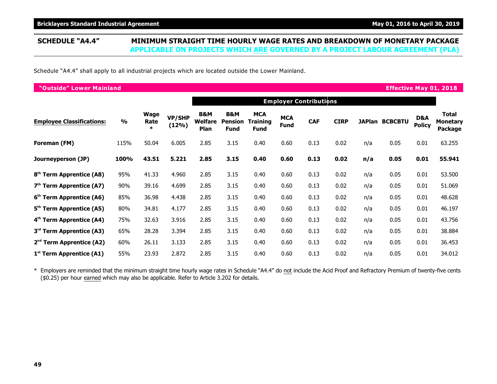### **SCHEDULE "A4.4" MINIMUM STRAIGHT TIME HOURLY WAGE RATES AND BREAKDOWN OF MONETARY PACKAGE APPLICABLE ON PROJECTS WHICH ARE GOVERNED BY A PROJECT LABOUR AGREEMENT (PLA)**

Schedule "A4.4" shall apply to all industrial projects which are located outside the Lower Mainland.

| "Outside" Lower Mainland             |               |                        |                        |                        |                               |                                       |                           |                               |             |     |                       |                                 | <b>Effective May 01, 2018</b>       |
|--------------------------------------|---------------|------------------------|------------------------|------------------------|-------------------------------|---------------------------------------|---------------------------|-------------------------------|-------------|-----|-----------------------|---------------------------------|-------------------------------------|
|                                      |               |                        |                        |                        |                               |                                       |                           | <b>Employer Contributions</b> |             |     |                       |                                 |                                     |
| <b>Employee Classifications:</b>     | $\frac{0}{0}$ | Wage<br>Rate<br>$\ast$ | <b>VP/SHP</b><br>(12%) | B&M<br>Welfare<br>Plan | B&M<br>Pension<br><b>Fund</b> | <b>MCA</b><br><b>Training</b><br>Fund | <b>MCA</b><br><b>Fund</b> | <b>CAF</b>                    | <b>CIRP</b> |     | <b>JAPlan BCBCBTU</b> | <b>D&amp;A</b><br><b>Policy</b> | Total<br><b>Monetary</b><br>Package |
| Foreman (FM)                         | 115%          | 50.04                  | 6.005                  | 2.85                   | 3.15                          | 0.40                                  | 0.60                      | 0.13                          | 0.02        | n/a | 0.05                  | 0.01                            | 63.255                              |
| Journeyperson (JP)                   | 100%          | 43.51                  | 5.221                  | 2.85                   | 3.15                          | 0.40                                  | 0.60                      | 0.13                          | 0.02        | n/a | 0.05                  | 0.01                            | 55.941                              |
| 8 <sup>th</sup> Term Apprentice (A8) | 95%           | 41.33                  | 4.960                  | 2.85                   | 3.15                          | 0.40                                  | 0.60                      | 0.13                          | 0.02        | n/a | 0.05                  | 0.01                            | 53.500                              |
| $7th$ Term Apprentice (A7)           | 90%           | 39.16                  | 4.699                  | 2.85                   | 3.15                          | 0.40                                  | 0.60                      | 0.13                          | 0.02        | n/a | 0.05                  | 0.01                            | 51.069                              |
| 6 <sup>th</sup> Term Apprentice (A6) | 85%           | 36.98                  | 4.438                  | 2.85                   | 3.15                          | 0.40                                  | 0.60                      | 0.13                          | 0.02        | n/a | 0.05                  | 0.01                            | 48.628                              |
| 5 <sup>th</sup> Term Apprentice (A5) | 80%           | 34.81                  | 4.177                  | 2.85                   | 3.15                          | 0.40                                  | 0.60                      | 0.13                          | 0.02        | n/a | 0.05                  | 0.01                            | 46.197                              |
| 4 <sup>th</sup> Term Apprentice (A4) | 75%           | 32.63                  | 3.916                  | 2.85                   | 3.15                          | 0.40                                  | 0.60                      | 0.13                          | 0.02        | n/a | 0.05                  | 0.01                            | 43.756                              |
| 3 <sup>rd</sup> Term Apprentice (A3) | 65%           | 28.28                  | 3.394                  | 2.85                   | 3.15                          | 0.40                                  | 0.60                      | 0.13                          | 0.02        | n/a | 0.05                  | 0.01                            | 38.884                              |
| 2 <sup>nd</sup> Term Apprentice (A2) | 60%           | 26.11                  | 3.133                  | 2.85                   | 3.15                          | 0.40                                  | 0.60                      | 0.13                          | 0.02        | n/a | 0.05                  | 0.01                            | 36.453                              |
| $1st$ Term Apprentice (A1)           | 55%           | 23.93                  | 2.872                  | 2.85                   | 3.15                          | 0.40                                  | 0.60                      | 0.13                          | 0.02        | n/a | 0.05                  | 0.01                            | 34.012                              |

\* Employers are reminded that the minimum straight time hourly wage rates in Schedule "A4.4" do not include the Acid Proof and Refractory Premium of twenty-five cents (\$0.25) per hour earned which may also be applicable. Refer to Article 3.202 for details.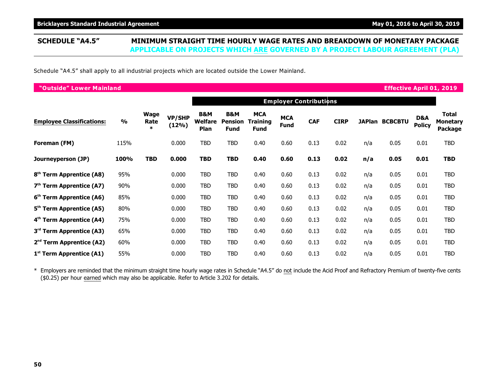### **SCHEDULE "A4.5" MINIMUM STRAIGHT TIME HOURLY WAGE RATES AND BREAKDOWN OF MONETARY PACKAGE APPLICABLE ON PROJECTS WHICH ARE GOVERNED BY A PROJECT LABOUR AGREEMENT (PLA)**

Schedule "A4.5" shall apply to all industrial projects which are located outside the Lower Mainland.

| "Outside" Lower Mainland             |               |                        |                        |                                   |                                      |                                       |                           |                               |             |     | <b>Effective April 01, 2019</b> |                      |                                            |
|--------------------------------------|---------------|------------------------|------------------------|-----------------------------------|--------------------------------------|---------------------------------------|---------------------------|-------------------------------|-------------|-----|---------------------------------|----------------------|--------------------------------------------|
|                                      |               |                        |                        |                                   |                                      |                                       |                           | <b>Employer Contributions</b> |             |     |                                 |                      |                                            |
| <b>Employee Classifications:</b>     | $\frac{0}{0}$ | Wage<br>Rate<br>$\ast$ | <b>VP/SHP</b><br>(12%) | <b>B&amp;M</b><br>Welfare<br>Plan | B&M<br><b>Pension</b><br><b>Fund</b> | <b>MCA</b><br><b>Training</b><br>Fund | <b>MCA</b><br><b>Fund</b> | <b>CAF</b>                    | <b>CIRP</b> |     | <b>JAPlan BCBCBTU</b>           | D&A<br><b>Policy</b> | <b>Total</b><br><b>Monetary</b><br>Package |
| Foreman (FM)                         | 115%          |                        | 0.000                  | <b>TBD</b>                        | <b>TBD</b>                           | 0.40                                  | 0.60                      | 0.13                          | 0.02        | n/a | 0.05                            | 0.01                 | <b>TBD</b>                                 |
| Journeyperson (JP)                   | 100%          | <b>TBD</b>             | 0.000                  | <b>TBD</b>                        | TBD                                  | 0.40                                  | 0.60                      | 0.13                          | 0.02        | n/a | 0.05                            | 0.01                 | <b>TBD</b>                                 |
| 8 <sup>th</sup> Term Apprentice (A8) | 95%           |                        | 0.000                  | <b>TBD</b>                        | <b>TBD</b>                           | 0.40                                  | 0.60                      | 0.13                          | 0.02        | n/a | 0.05                            | 0.01                 | <b>TBD</b>                                 |
| $7th$ Term Apprentice (A7)           | 90%           |                        | 0.000                  | TBD                               | <b>TBD</b>                           | 0.40                                  | 0.60                      | 0.13                          | 0.02        | n/a | 0.05                            | 0.01                 | TBD                                        |
| 6 <sup>th</sup> Term Apprentice (A6) | 85%           |                        | 0.000                  | TBD                               | TBD                                  | 0.40                                  | 0.60                      | 0.13                          | 0.02        | n/a | 0.05                            | 0.01                 | TBD                                        |
| 5 <sup>th</sup> Term Apprentice (A5) | 80%           |                        | 0.000                  | <b>TBD</b>                        | <b>TBD</b>                           | 0.40                                  | 0.60                      | 0.13                          | 0.02        | n/a | 0.05                            | 0.01                 | TBD                                        |
| 4 <sup>th</sup> Term Apprentice (A4) | 75%           |                        | 0.000                  | TBD                               | TBD                                  | 0.40                                  | 0.60                      | 0.13                          | 0.02        | n/a | 0.05                            | 0.01                 | TBD                                        |
| 3 <sup>rd</sup> Term Apprentice (A3) | 65%           |                        | 0.000                  | <b>TBD</b>                        | <b>TBD</b>                           | 0.40                                  | 0.60                      | 0.13                          | 0.02        | n/a | 0.05                            | 0.01                 | TBD                                        |
| 2 <sup>nd</sup> Term Apprentice (A2) | 60%           |                        | 0.000                  | <b>TBD</b>                        | <b>TBD</b>                           | 0.40                                  | 0.60                      | 0.13                          | 0.02        | n/a | 0.05                            | 0.01                 | TBD                                        |
| $1st$ Term Apprentice (A1)           | 55%           |                        | 0.000                  | <b>TBD</b>                        | <b>TBD</b>                           | 0.40                                  | 0.60                      | 0.13                          | 0.02        | n/a | 0.05                            | 0.01                 | TBD                                        |

\* Employers are reminded that the minimum straight time hourly wage rates in Schedule "A4.5" do not include the Acid Proof and Refractory Premium of twenty-five cents (\$0.25) per hour earned which may also be applicable. Refer to Article 3.202 for details.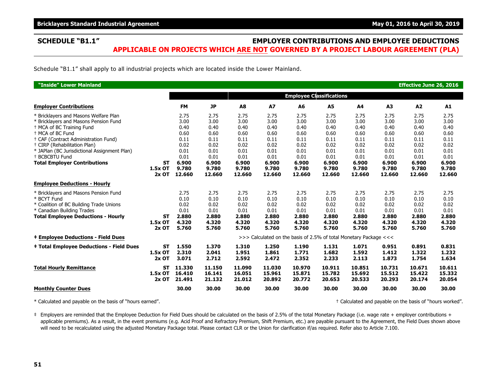### **SCHEDULE "B1.1" EMPLOYER CONTRIBUTIONS AND EMPLOYEE DEDUCTIONS APPLICABLE ON PROJECTS WHICH ARE NOT GOVERNED BY A PROJECT LABOUR AGREEMENT (PLA)**

Schedule "B1.1" shall apply to all industrial projects which are located inside the Lower Mainland.

| "Inside" Lower Mainland                                                                                                                                                                                                                                                                                                                                      |                                   |                                                                                          |                                                                                          |                                                                                          |                                                                                          |                                                                                          |                                                                                          |                                                                                          |                                                                                          | Effective June 26, 2016                                                                  |                                                                                          |
|--------------------------------------------------------------------------------------------------------------------------------------------------------------------------------------------------------------------------------------------------------------------------------------------------------------------------------------------------------------|-----------------------------------|------------------------------------------------------------------------------------------|------------------------------------------------------------------------------------------|------------------------------------------------------------------------------------------|------------------------------------------------------------------------------------------|------------------------------------------------------------------------------------------|------------------------------------------------------------------------------------------|------------------------------------------------------------------------------------------|------------------------------------------------------------------------------------------|------------------------------------------------------------------------------------------|------------------------------------------------------------------------------------------|
|                                                                                                                                                                                                                                                                                                                                                              |                                   |                                                                                          |                                                                                          |                                                                                          |                                                                                          |                                                                                          | <b>Employee Classifications</b>                                                          |                                                                                          |                                                                                          |                                                                                          |                                                                                          |
| <b>Employer Contributions</b>                                                                                                                                                                                                                                                                                                                                |                                   | <b>FM</b>                                                                                | <b>JP</b>                                                                                | A8                                                                                       | <b>A7</b>                                                                                | A6                                                                                       | A5                                                                                       | A4                                                                                       | A <sub>3</sub>                                                                           | A2                                                                                       | A1                                                                                       |
| * Bricklayers and Masons Welfare Plan<br>* Bricklayers and Masons Pension Fund<br><sup>†</sup> MCA of BC Training Fund<br><sup>+</sup> MCA of BC Fund<br>+ CAF (Contract Administration Fund)<br><sup>†</sup> CIRP (Rehabilitation Plan)<br>* JAPlan (BC Jurisdictional Assignment Plan)<br><sup>+</sup> BCBCBTU Fund<br><b>Total Employer Contributions</b> | <b>ST</b><br>1.5x OT<br>$2x$ OT   | 2.75<br>3.00<br>0.40<br>0.60<br>0.11<br>0.02<br>0.01<br>0.01<br>6.900<br>9.780<br>12.660 | 2.75<br>3.00<br>0.40<br>0.60<br>0.11<br>0.02<br>0.01<br>0.01<br>6.900<br>9.780<br>12.660 | 2.75<br>3.00<br>0.40<br>0.60<br>0.11<br>0.02<br>0.01<br>0.01<br>6.900<br>9.780<br>12.660 | 2.75<br>3.00<br>0.40<br>0.60<br>0.11<br>0.02<br>0.01<br>0.01<br>6.900<br>9.780<br>12.660 | 2.75<br>3.00<br>0.40<br>0.60<br>0.11<br>0.02<br>0.01<br>0.01<br>6.900<br>9.780<br>12.660 | 2.75<br>3.00<br>0.40<br>0.60<br>0.11<br>0.02<br>0.01<br>0.01<br>6.900<br>9.780<br>12.660 | 2.75<br>3.00<br>0.40<br>0.60<br>0.11<br>0.02<br>0.01<br>0.01<br>6.900<br>9.780<br>12.660 | 2.75<br>3.00<br>0.40<br>0.60<br>0.11<br>0.02<br>0.01<br>0.01<br>6.900<br>9.780<br>12.660 | 2.75<br>3.00<br>0.40<br>0.60<br>0.11<br>0.02<br>0.01<br>0.01<br>6.900<br>9.780<br>12.660 | 2.75<br>3.00<br>0.40<br>0.60<br>0.11<br>0.02<br>0.01<br>0.01<br>6.900<br>9.780<br>12.660 |
| <b>Employee Deductions - Hourly</b>                                                                                                                                                                                                                                                                                                                          |                                   |                                                                                          |                                                                                          |                                                                                          |                                                                                          |                                                                                          |                                                                                          |                                                                                          |                                                                                          |                                                                                          |                                                                                          |
| * Bricklayers and Masons Pension Fund<br>* BCYT Fund<br>* Coalition of BC Building Trade Unions<br>* Canadian Building Trades<br><b>Total Employee Deductions - Hourly</b>                                                                                                                                                                                   | <b>ST</b><br>1.5x OT<br>$2x$ OT   | 2.75<br>0.10<br>0.02<br>0.01<br>2.880<br>4.320<br>5.760                                  | 2.75<br>0.10<br>0.02<br>0.01<br>2.880<br>4.320<br>5.760                                  | 2.75<br>0.10<br>0.02<br>0.01<br>2.880<br>4.320<br>5.760                                  | 2.75<br>0.10<br>0.02<br>0.01<br>2.880<br>4.320<br>5.760                                  | 2.75<br>0.10<br>0.02<br>0.01<br>2.880<br>4.320<br>5.760                                  | 2.75<br>0.10<br>0.02<br>0.01<br>2.880<br>4.320<br>5.760                                  | 2.75<br>0.10<br>0.02<br>0.01<br>2.880<br>4.320<br>5.760                                  | 2.75<br>0.10<br>0.02<br>0.01<br>2.880<br>4.320<br>5.760                                  | 2.75<br>0.10<br>0.02<br>0.01<br>2.880<br>4.320<br>5.760                                  | 2.75<br>0.10<br>0.02<br>0.01<br>2.880<br>4.320<br>5.760                                  |
| <b>‡ Employee Deductions - Field Dues</b>                                                                                                                                                                                                                                                                                                                    |                                   |                                                                                          |                                                                                          |                                                                                          |                                                                                          |                                                                                          | >>> Calculated on the basis of 2.5% of total Monetary Package <<<                        |                                                                                          |                                                                                          |                                                                                          |                                                                                          |
| <b>‡ Total Employee Deductions - Field Dues</b>                                                                                                                                                                                                                                                                                                              | <b>ST</b><br>1.5x OT<br>$2x$ OT   | 1.550<br>2.310<br>3.071                                                                  | 1.370<br>2.041<br>2.712                                                                  | 1.310<br>1.951<br>2.592                                                                  | 1.250<br>1.861<br>2.472                                                                  | 1.190<br>1.771<br>2.352                                                                  | 1.131<br>1.682<br>2.233                                                                  | 1.071<br>1.592<br>2.113                                                                  | 0.951<br>1.412<br>1.873                                                                  | 0.891<br>1.322<br>1.754                                                                  | 0.831<br>1.232<br>1.634                                                                  |
| <b>Total Hourly Remittance</b>                                                                                                                                                                                                                                                                                                                               | <b>ST</b><br>$1.5x$ OT<br>$2x$ OT | 11.330<br>16.410<br>21.491                                                               | 11.150<br>16.141<br>21.132                                                               | 11.090<br>16.051<br>21.012                                                               | 11.030<br>15.961<br>20.892                                                               | 10.970<br>15.871<br>20.772                                                               | 10.911<br>15.782<br>20.653                                                               | 10.851<br>15.692<br>20.533                                                               | 10.731<br>15.512<br>20.293                                                               | 10.671<br>15.422<br>20.174                                                               | 10.611<br>15.332<br>20.054                                                               |
| <b>Monthly Counter Dues</b>                                                                                                                                                                                                                                                                                                                                  |                                   | 30.00                                                                                    | 30.00                                                                                    | 30.00                                                                                    | 30.00                                                                                    | 30.00                                                                                    | 30.00                                                                                    | 30.00                                                                                    | 30.00                                                                                    | 30.00                                                                                    | 30.00                                                                                    |

\* Calculated and payable on the basis of "hours earned". † Calculated and payable on the basis of "hours worked".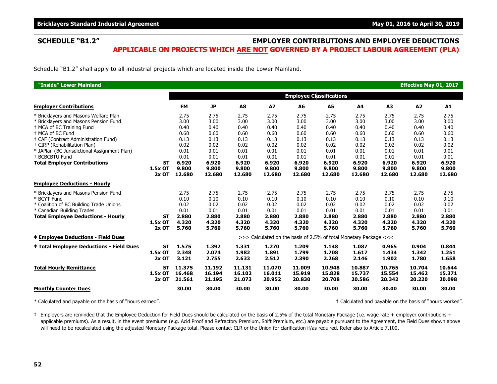### **SCHEDULE "B1.2" EMPLOYER CONTRIBUTIONS AND EMPLOYEE DEDUCTIONS APPLICABLE ON PROJECTS WHICH ARE NOT GOVERNED BY A PROJECT LABOUR AGREEMENT (PLA)**

Schedule "B1.2" shall apply to all industrial projects which are located inside the Lower Mainland.

| "Inside" Lower Mainland                                                                                                                                                                                                                                                                                                                                      |                                 |                                                                                          |                                                                                          |                                                                                          |                                                                                          |                                                                                          |                                                                                          |                                                                                          |                                                                                          | Effective May 01, 2017                                                                   |                                                                                          |
|--------------------------------------------------------------------------------------------------------------------------------------------------------------------------------------------------------------------------------------------------------------------------------------------------------------------------------------------------------------|---------------------------------|------------------------------------------------------------------------------------------|------------------------------------------------------------------------------------------|------------------------------------------------------------------------------------------|------------------------------------------------------------------------------------------|------------------------------------------------------------------------------------------|------------------------------------------------------------------------------------------|------------------------------------------------------------------------------------------|------------------------------------------------------------------------------------------|------------------------------------------------------------------------------------------|------------------------------------------------------------------------------------------|
|                                                                                                                                                                                                                                                                                                                                                              |                                 |                                                                                          |                                                                                          |                                                                                          |                                                                                          | <b>Employee Classifications</b>                                                          |                                                                                          |                                                                                          |                                                                                          |                                                                                          |                                                                                          |
| <b>Employer Contributions</b>                                                                                                                                                                                                                                                                                                                                |                                 | <b>FM</b>                                                                                | <b>JP</b>                                                                                | A8                                                                                       | <b>A7</b>                                                                                | A6                                                                                       | <b>A5</b>                                                                                | A4                                                                                       | A <sub>3</sub>                                                                           | A2                                                                                       | A1                                                                                       |
| * Bricklayers and Masons Welfare Plan<br>* Bricklayers and Masons Pension Fund<br><sup>†</sup> MCA of BC Training Fund<br><sup>+</sup> MCA of BC Fund<br>+ CAF (Contract Administration Fund)<br><sup>†</sup> CIRP (Rehabilitation Plan)<br>* JAPlan (BC Jurisdictional Assignment Plan)<br><sup>+</sup> BCBCBTU Fund<br><b>Total Employer Contributions</b> | <b>ST</b><br>1.5x OT<br>$2x$ OT | 2.75<br>3.00<br>0.40<br>0.60<br>0.13<br>0.02<br>0.01<br>0.01<br>6.920<br>9.800<br>12.680 | 2.75<br>3.00<br>0.40<br>0.60<br>0.13<br>0.02<br>0.01<br>0.01<br>6.920<br>9.800<br>12.680 | 2.75<br>3.00<br>0.40<br>0.60<br>0.13<br>0.02<br>0.01<br>0.01<br>6.920<br>9.800<br>12.680 | 2.75<br>3.00<br>0.40<br>0.60<br>0.13<br>0.02<br>0.01<br>0.01<br>6.920<br>9.800<br>12.680 | 2.75<br>3.00<br>0.40<br>0.60<br>0.13<br>0.02<br>0.01<br>0.01<br>6.920<br>9.800<br>12.680 | 2.75<br>3.00<br>0.40<br>0.60<br>0.13<br>0.02<br>0.01<br>0.01<br>6.920<br>9.800<br>12.680 | 2.75<br>3.00<br>0.40<br>0.60<br>0.13<br>0.02<br>0.01<br>0.01<br>6.920<br>9.800<br>12.680 | 2.75<br>3.00<br>0.40<br>0.60<br>0.13<br>0.02<br>0.01<br>0.01<br>6.920<br>9.800<br>12.680 | 2.75<br>3.00<br>0.40<br>0.60<br>0.13<br>0.02<br>0.01<br>0.01<br>6.920<br>9.800<br>12.680 | 2.75<br>3.00<br>0.40<br>0.60<br>0.13<br>0.02<br>0.01<br>0.01<br>6.920<br>9.800<br>12.680 |
| <b>Employee Deductions - Hourly</b>                                                                                                                                                                                                                                                                                                                          |                                 |                                                                                          |                                                                                          |                                                                                          |                                                                                          |                                                                                          |                                                                                          |                                                                                          |                                                                                          |                                                                                          |                                                                                          |
| * Bricklayers and Masons Pension Fund<br>* BCYT Fund<br>* Coalition of BC Building Trade Unions<br>* Canadian Building Trades<br><b>Total Employee Deductions - Hourly</b>                                                                                                                                                                                   | <b>ST</b><br>1.5x OT<br>$2x$ OT | 2.75<br>0.10<br>0.02<br>0.01<br>2.880<br>4.320<br>5.760                                  | 2.75<br>0.10<br>0.02<br>0.01<br>2.880<br>4.320<br>5.760                                  | 2.75<br>0.10<br>0.02<br>0.01<br>2.880<br>4.320<br>5.760                                  | 2.75<br>0.10<br>0.02<br>0.01<br>2.880<br>4.320<br>5.760                                  | 2.75<br>0.10<br>0.02<br>0.01<br>2.880<br>4.320<br>5.760                                  | 2.75<br>0.10<br>0.02<br>0.01<br>2.880<br>4.320<br>5.760                                  | 2.75<br>0.10<br>0.02<br>0.01<br>2.880<br>4.320<br>5.760                                  | 2.75<br>0.10<br>0.02<br>0.01<br>2.880<br>4.320<br>5.760                                  | 2.75<br>0.10<br>0.02<br>0.01<br>2.880<br>4.320<br>5.760                                  | 2.75<br>0.10<br>0.02<br>0.01<br>2.880<br>4.320<br>5.760                                  |
| <b>‡ Employee Deductions - Field Dues</b>                                                                                                                                                                                                                                                                                                                    |                                 |                                                                                          |                                                                                          |                                                                                          |                                                                                          | >>> Calculated on the basis of 2.5% of total Monetary Package <<<                        |                                                                                          |                                                                                          |                                                                                          |                                                                                          |                                                                                          |
| <b>‡ Total Employee Deductions - Field Dues</b>                                                                                                                                                                                                                                                                                                              | <b>ST</b><br>1.5x OT<br>2x OT   | 1.575<br>2.348<br>3.121                                                                  | 1.392<br>2.074<br>2.755                                                                  | 1.331<br>1.982<br>2.633                                                                  | 1.270<br>1.891<br>2.512                                                                  | 1.209<br>1.799<br>2.390                                                                  | 1.148<br>1.708<br>2.268                                                                  | 1.087<br>1.617<br>2.146                                                                  | 0.965<br>1.434<br>1.902                                                                  | 0.904<br>1.342<br>1.780                                                                  | 0.844<br>1.251<br>1.658                                                                  |
| <b>Total Hourly Remittance</b>                                                                                                                                                                                                                                                                                                                               | <b>ST</b><br>1.5x OT<br>$2x$ OT | 11.375<br>16.468<br>21.561                                                               | 11.192<br>16.194<br>21.195                                                               | 11.131<br>16.102<br>21.073                                                               | 11.070<br>16.011<br>20.952                                                               | 11.009<br>15.919<br>20.830                                                               | 10.948<br>15.828<br>20.708                                                               | 10.887<br>15.737<br>20.586                                                               | 10.765<br>15.554<br>20.342                                                               | 10.704<br>15.462<br>20.220                                                               | 10.644<br>15.371<br>20.098                                                               |
| <b>Monthly Counter Dues</b>                                                                                                                                                                                                                                                                                                                                  |                                 | 30.00                                                                                    | 30.00                                                                                    | 30.00                                                                                    | 30.00                                                                                    | 30.00                                                                                    | 30.00                                                                                    | 30.00                                                                                    | 30.00                                                                                    | 30.00                                                                                    | 30.00                                                                                    |

\* Calculated and payable on the basis of "hours earned". † Calculated and payable on the basis of "hours worked".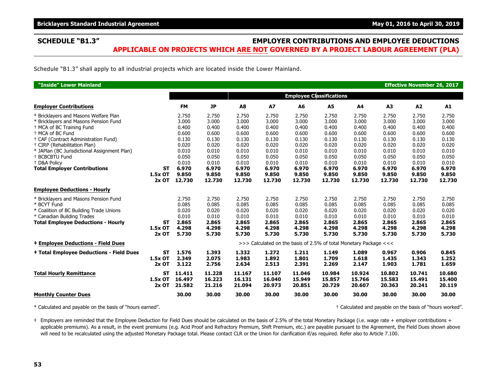### **SCHEDULE "B1.3" EMPLOYER CONTRIBUTIONS AND EMPLOYEE DEDUCTIONS APPLICABLE ON PROJECTS WHICH ARE NOT GOVERNED BY A PROJECT LABOUR AGREEMENT (PLA)**

Schedule "B1.3" shall apply to all industrial projects which are located inside the Lower Mainland.

| "Inside" Lower Mainland                                                                                                                                                                                                                                                                                                                                                                 |                                 |                                                                                                 |                                                                                                 |                                                                                                 |                                                                                                 |                                                                                                 |                                                                                                 |                                                                                                 |                                                                                                 | <b>Effective November 26, 2017</b>                                                              |                                                                                                 |
|-----------------------------------------------------------------------------------------------------------------------------------------------------------------------------------------------------------------------------------------------------------------------------------------------------------------------------------------------------------------------------------------|---------------------------------|-------------------------------------------------------------------------------------------------|-------------------------------------------------------------------------------------------------|-------------------------------------------------------------------------------------------------|-------------------------------------------------------------------------------------------------|-------------------------------------------------------------------------------------------------|-------------------------------------------------------------------------------------------------|-------------------------------------------------------------------------------------------------|-------------------------------------------------------------------------------------------------|-------------------------------------------------------------------------------------------------|-------------------------------------------------------------------------------------------------|
|                                                                                                                                                                                                                                                                                                                                                                                         |                                 |                                                                                                 |                                                                                                 |                                                                                                 |                                                                                                 | <b>Employee Classifications</b>                                                                 |                                                                                                 |                                                                                                 |                                                                                                 |                                                                                                 |                                                                                                 |
| <b>Employer Contributions</b>                                                                                                                                                                                                                                                                                                                                                           |                                 | <b>FM</b>                                                                                       | <b>JP</b>                                                                                       | A8                                                                                              | <b>A7</b>                                                                                       | A <sub>6</sub>                                                                                  | A5                                                                                              | A4                                                                                              | A3                                                                                              | A <sub>2</sub>                                                                                  | A1                                                                                              |
| * Bricklayers and Masons Welfare Plan<br>* Bricklayers and Masons Pension Fund<br><sup>+</sup> MCA of BC Training Fund<br><sup>+</sup> MCA of BC Fund<br>+ CAF (Contract Administration Fund)<br><sup>+</sup> CIRP (Rehabilitation Plan)<br>* JAPlan (BC Jurisdictional Assignment Plan)<br><sup>+</sup> BCBCBTU Fund<br><sup>+</sup> D&A Policv<br><b>Total Employer Contributions</b> | <b>ST</b><br>1.5x OT            | 2.750<br>3.000<br>0.400<br>0.600<br>0.130<br>0.020<br>0.010<br>0.050<br>0.010<br>6.970<br>9.850 | 2.750<br>3.000<br>0.400<br>0.600<br>0.130<br>0.020<br>0.010<br>0.050<br>0.010<br>6.970<br>9.850 | 2.750<br>3.000<br>0.400<br>0.600<br>0.130<br>0.020<br>0.010<br>0.050<br>0.010<br>6.970<br>9.850 | 2.750<br>3.000<br>0.400<br>0.600<br>0.130<br>0.020<br>0.010<br>0.050<br>0.010<br>6.970<br>9.850 | 2.750<br>3.000<br>0.400<br>0.600<br>0.130<br>0.020<br>0.010<br>0.050<br>0.010<br>6.970<br>9.850 | 2.750<br>3.000<br>0.400<br>0.600<br>0.130<br>0.020<br>0.010<br>0.050<br>0.010<br>6.970<br>9.850 | 2.750<br>3.000<br>0.400<br>0.600<br>0.130<br>0.020<br>0.010<br>0.050<br>0.010<br>6.970<br>9.850 | 2.750<br>3.000<br>0.400<br>0.600<br>0.130<br>0.020<br>0.010<br>0.050<br>0.010<br>6.970<br>9.850 | 2.750<br>3.000<br>0.400<br>0.600<br>0.130<br>0.020<br>0.010<br>0.050<br>0.010<br>6.970<br>9.850 | 2.750<br>3.000<br>0.400<br>0.600<br>0.130<br>0.020<br>0.010<br>0.050<br>0.010<br>6.970<br>9.850 |
|                                                                                                                                                                                                                                                                                                                                                                                         | $2x$ OT                         | 12.730                                                                                          | 12.730                                                                                          | 12.730                                                                                          | 12.730                                                                                          | 12.730                                                                                          | 12.730                                                                                          | 12.730                                                                                          | 12.730                                                                                          | 12.730                                                                                          | 12.730                                                                                          |
| <b>Employee Deductions - Hourly</b>                                                                                                                                                                                                                                                                                                                                                     |                                 |                                                                                                 |                                                                                                 |                                                                                                 |                                                                                                 |                                                                                                 |                                                                                                 |                                                                                                 |                                                                                                 |                                                                                                 |                                                                                                 |
| * Bricklayers and Masons Pension Fund<br>* BCYT Fund<br>* Coalition of BC Building Trade Unions<br>* Canadian Building Trades<br><b>Total Employee Deductions - Hourly</b>                                                                                                                                                                                                              | ST<br>1.5x OT<br>$2x$ OT        | 2.750<br>0.085<br>0.020<br>0.010<br>2.865<br>4.298<br>5.730                                     | 2.750<br>0.085<br>0.020<br>0.010<br>2.865<br>4.298<br>5.730                                     | 2.750<br>0.085<br>0.020<br>0.010<br>2.865<br>4.298<br>5.730                                     | 2.750<br>0.085<br>0.020<br>0.010<br>2.865<br>4.298<br>5.730                                     | 2.750<br>0.085<br>0.020<br>0.010<br>2.865<br>4.298<br>5.730                                     | 2.750<br>0.085<br>0.020<br>0.010<br>2.865<br>4.298<br>5.730                                     | 2.750<br>0.085<br>0.020<br>0.010<br>2.865<br>4.298<br>5.730                                     | 2.750<br>0.085<br>0.020<br>0.010<br>2.865<br>4.298<br>5.730                                     | 2.750<br>0.085<br>0.020<br>0.010<br>2.865<br>4.298<br>5.730                                     | 2.750<br>0.085<br>0.020<br>0.010<br>2.865<br>4.298<br>5.730                                     |
| <b>‡ Employee Deductions - Field Dues</b>                                                                                                                                                                                                                                                                                                                                               |                                 |                                                                                                 |                                                                                                 |                                                                                                 | >>> Calculated on the basis of 2.5% of total Monetary Package <<<                               |                                                                                                 |                                                                                                 |                                                                                                 |                                                                                                 |                                                                                                 |                                                                                                 |
| <b>‡ Total Employee Deductions - Field Dues</b>                                                                                                                                                                                                                                                                                                                                         | <b>ST</b><br>1.5x OT<br>$2x$ OT | 1.576<br>2.349<br>3.122                                                                         | 1.393<br>2.075<br>2.756                                                                         | 1.332<br>1.983<br>2.634                                                                         | 1.272<br>1.892<br>2.513                                                                         | 1.211<br>1.801<br>2.391                                                                         | 1.149<br>1.709<br>2.269                                                                         | 1.089<br>1.618<br>2.147                                                                         | 0.967<br>1.435<br>1.903                                                                         | 0.906<br>1.343<br>1.781                                                                         | 0.845<br>1.252<br>1.659                                                                         |
| <b>Total Hourly Remittance</b>                                                                                                                                                                                                                                                                                                                                                          | ST<br>1.5x OT<br>$2x$ OT        | 11.411<br>16.497<br>21.582                                                                      | 11.228<br>16.223<br>21.216                                                                      | 11.167<br>16.131<br>21.094                                                                      | 11.107<br>16.040<br>20.973                                                                      | 11.046<br>15.949<br>20.851                                                                      | 10.984<br>15.857<br>20.729                                                                      | 10.924<br>15.766<br>20.607                                                                      | 10.802<br>15.583<br>20.363                                                                      | 10.741<br>15.491<br>20.241                                                                      | 10.680<br>15.400<br>20.119                                                                      |
| <b>Monthly Counter Dues</b>                                                                                                                                                                                                                                                                                                                                                             |                                 | 30.00                                                                                           | 30.00                                                                                           | 30.00                                                                                           | 30.00                                                                                           | 30.00                                                                                           | 30.00                                                                                           | 30.00                                                                                           | 30.00                                                                                           | 30.00                                                                                           | 30.00                                                                                           |

\* Calculated and payable on the basis of "hours earned". † Calculated and payable on the basis of "hours worked".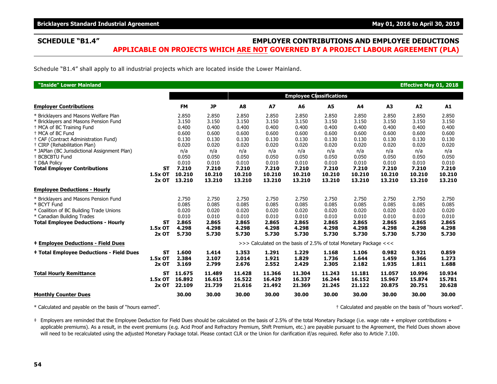### **SCHEDULE "B1.4" EMPLOYER CONTRIBUTIONS AND EMPLOYEE DEDUCTIONS APPLICABLE ON PROJECTS WHICH ARE NOT GOVERNED BY A PROJECT LABOUR AGREEMENT (PLA)**

Schedule "B1.4" shall apply to all industrial projects which are located inside the Lower Mainland.

| "Inside" Lower Mainland                                                                                                                                                                                                                                                                                                                                                                 |                                 |                                                                                                |                                                                                                |                                                                                                |                                                                                                |                                                                                                |                                                                                                |                                                                                                |                                                                                                | <b>Effective May 01, 2018</b>                                                                  |                                                                                                |
|-----------------------------------------------------------------------------------------------------------------------------------------------------------------------------------------------------------------------------------------------------------------------------------------------------------------------------------------------------------------------------------------|---------------------------------|------------------------------------------------------------------------------------------------|------------------------------------------------------------------------------------------------|------------------------------------------------------------------------------------------------|------------------------------------------------------------------------------------------------|------------------------------------------------------------------------------------------------|------------------------------------------------------------------------------------------------|------------------------------------------------------------------------------------------------|------------------------------------------------------------------------------------------------|------------------------------------------------------------------------------------------------|------------------------------------------------------------------------------------------------|
|                                                                                                                                                                                                                                                                                                                                                                                         |                                 |                                                                                                |                                                                                                |                                                                                                |                                                                                                | <b>Employee Classifications</b>                                                                |                                                                                                |                                                                                                |                                                                                                |                                                                                                |                                                                                                |
| <b>Employer Contributions</b>                                                                                                                                                                                                                                                                                                                                                           |                                 | <b>FM</b>                                                                                      | <b>JP</b>                                                                                      | A8                                                                                             | A7                                                                                             | A6                                                                                             | A5                                                                                             | A4                                                                                             | A3                                                                                             | A2                                                                                             | A1                                                                                             |
| * Bricklayers and Masons Welfare Plan<br>* Bricklayers and Masons Pension Fund<br><sup>+</sup> MCA of BC Training Fund<br><sup>+</sup> MCA of BC Fund<br>+ CAF (Contract Administration Fund)<br><sup>+</sup> CIRP (Rehabilitation Plan)<br>* JAPlan (BC Jurisdictional Assignment Plan)<br><sup>+</sup> BCBCBTU Fund<br><sup>+</sup> D&A Policv<br><b>Total Employer Contributions</b> | <b>ST</b><br>1.5x OT            | 2.850<br>3.150<br>0.400<br>0.600<br>0.130<br>0.020<br>n/a<br>0.050<br>0.010<br>7.210<br>10.210 | 2.850<br>3.150<br>0.400<br>0.600<br>0.130<br>0.020<br>n/a<br>0.050<br>0.010<br>7.210<br>10.210 | 2.850<br>3.150<br>0.400<br>0.600<br>0.130<br>0.020<br>n/a<br>0.050<br>0.010<br>7.210<br>10.210 | 2.850<br>3.150<br>0.400<br>0.600<br>0.130<br>0.020<br>n/a<br>0.050<br>0.010<br>7.210<br>10.210 | 2.850<br>3.150<br>0.400<br>0.600<br>0.130<br>0.020<br>n/a<br>0.050<br>0.010<br>7.210<br>10.210 | 2.850<br>3.150<br>0.400<br>0.600<br>0.130<br>0.020<br>n/a<br>0.050<br>0.010<br>7.210<br>10.210 | 2.850<br>3.150<br>0.400<br>0.600<br>0.130<br>0.020<br>n/a<br>0.050<br>0.010<br>7.210<br>10.210 | 2.850<br>3.150<br>0.400<br>0.600<br>0.130<br>0.020<br>n/a<br>0.050<br>0.010<br>7.210<br>10.210 | 2.850<br>3.150<br>0.400<br>0.600<br>0.130<br>0.020<br>n/a<br>0.050<br>0.010<br>7.210<br>10.210 | 2.850<br>3.150<br>0.400<br>0.600<br>0.130<br>0.020<br>n/a<br>0.050<br>0.010<br>7.210<br>10.210 |
|                                                                                                                                                                                                                                                                                                                                                                                         | $2x$ OT                         | 13.210                                                                                         | 13.210                                                                                         | 13.210                                                                                         | 13.210                                                                                         | 13.210                                                                                         | 13.210                                                                                         | 13.210                                                                                         | 13.210                                                                                         | 13.210                                                                                         | 13.210                                                                                         |
| <b>Employee Deductions - Hourly</b>                                                                                                                                                                                                                                                                                                                                                     |                                 |                                                                                                |                                                                                                |                                                                                                |                                                                                                |                                                                                                |                                                                                                |                                                                                                |                                                                                                |                                                                                                |                                                                                                |
| * Bricklayers and Masons Pension Fund<br>* BCYT Fund<br>* Coalition of BC Building Trade Unions<br>* Canadian Building Trades<br><b>Total Employee Deductions - Hourly</b>                                                                                                                                                                                                              | <b>ST</b><br>1.5x OT<br>$2x$ OT | 2.750<br>0.085<br>0.020<br>0.010<br>2.865<br>4.298<br>5.730                                    | 2.750<br>0.085<br>0.020<br>0.010<br>2.865<br>4.298<br>5.730                                    | 2.750<br>0.085<br>0.020<br>0.010<br>2.865<br>4.298<br>5.730                                    | 2.750<br>0.085<br>0.020<br>0.010<br>2.865<br>4.298<br>5.730                                    | 2.750<br>0.085<br>0.020<br>0.010<br>2.865<br>4.298<br>5.730                                    | 2.750<br>0.085<br>0.020<br>0.010<br>2.865<br>4.298<br>5.730                                    | 2.750<br>0.085<br>0.020<br>0.010<br>2.865<br>4.298<br>5.730                                    | 2.750<br>0.085<br>0.020<br>0.010<br>2.865<br>4.298<br>5.730                                    | 2.750<br>0.085<br>0.020<br>0.010<br>2.865<br>4.298<br>5.730                                    | 2.750<br>0.085<br>0.020<br>0.010<br>2.865<br>4.298<br>5.730                                    |
| <b>‡ Employee Deductions - Field Dues</b>                                                                                                                                                                                                                                                                                                                                               |                                 |                                                                                                |                                                                                                |                                                                                                |                                                                                                | >>> Calculated on the basis of 2.5% of total Monetary Package <<<                              |                                                                                                |                                                                                                |                                                                                                |                                                                                                |                                                                                                |
| <b>‡ Total Employee Deductions - Field Dues</b>                                                                                                                                                                                                                                                                                                                                         | <b>ST</b><br>1.5x OT<br>$2x$ OT | 1.600<br>2.384<br>3.169                                                                        | 1.414<br>2.107<br>2.799                                                                        | 1.353<br>2.014<br>2.676                                                                        | 1.291<br>1.921<br>2.552                                                                        | 1.229<br>1.829<br>2.429                                                                        | 1.168<br>1.736<br>2.305                                                                        | 1.106<br>1.644<br>2.182                                                                        | 0.982<br>1.459<br>1.935                                                                        | 0.921<br>1.366<br>1.811                                                                        | 0.859<br>1.273<br>1.688                                                                        |
| <b>Total Hourly Remittance</b>                                                                                                                                                                                                                                                                                                                                                          | <b>ST</b><br>1.5x OT<br>$2x$ OT | 11.675<br>16.892<br>22.109                                                                     | 11.489<br>16.615<br>21.739                                                                     | 11.428<br>16.522<br>21.616                                                                     | 11.366<br>16.429<br>21.492                                                                     | 11.304<br>16.337<br>21.369                                                                     | 11.243<br>16.244<br>21.245                                                                     | 11.181<br>16.152<br>21.122                                                                     | 11.057<br>15.967<br>20.875                                                                     | 10.996<br>15.874<br>20.751                                                                     | 10.934<br>15.781<br>20.628                                                                     |
| <b>Monthly Counter Dues</b>                                                                                                                                                                                                                                                                                                                                                             |                                 | 30.00                                                                                          | 30.00                                                                                          | 30.00                                                                                          | 30.00                                                                                          | 30.00                                                                                          | 30.00                                                                                          | 30.00                                                                                          | 30.00                                                                                          | 30.00                                                                                          | 30.00                                                                                          |

\* Calculated and payable on the basis of "hours earned". † Calculated and payable on the basis of "hours worked".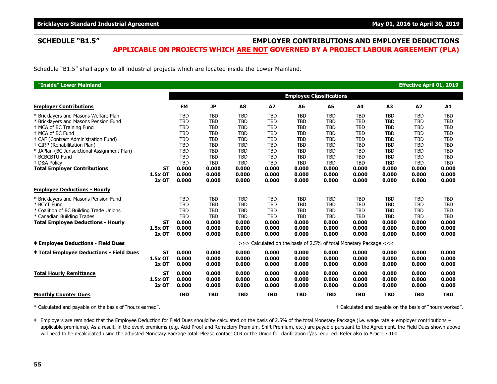### **SCHEDULE "B1.5" EMPLOYER CONTRIBUTIONS AND EMPLOYEE DEDUCTIONS APPLICABLE ON PROJECTS WHICH ARE NOT GOVERNED BY A PROJECT LABOUR AGREEMENT (PLA)**

Schedule "B1.5" shall apply to all industrial projects which are located inside the Lower Mainland.

| "Inside" Lower Mainland                                                                                                                                                                                                                                                                                                                                           |                                 |                                                                                                                                              |                                                                                                                                              |                                                                                                                                              |                                                                                                                                              |                                                                                                                                              |                                                                                                                                              |                                                                                                                                              |                                                                                                                                              | <b>Effective April 01, 2019</b>                                                                                                              |                                                                                                                                              |
|-------------------------------------------------------------------------------------------------------------------------------------------------------------------------------------------------------------------------------------------------------------------------------------------------------------------------------------------------------------------|---------------------------------|----------------------------------------------------------------------------------------------------------------------------------------------|----------------------------------------------------------------------------------------------------------------------------------------------|----------------------------------------------------------------------------------------------------------------------------------------------|----------------------------------------------------------------------------------------------------------------------------------------------|----------------------------------------------------------------------------------------------------------------------------------------------|----------------------------------------------------------------------------------------------------------------------------------------------|----------------------------------------------------------------------------------------------------------------------------------------------|----------------------------------------------------------------------------------------------------------------------------------------------|----------------------------------------------------------------------------------------------------------------------------------------------|----------------------------------------------------------------------------------------------------------------------------------------------|
|                                                                                                                                                                                                                                                                                                                                                                   |                                 |                                                                                                                                              |                                                                                                                                              |                                                                                                                                              |                                                                                                                                              | <b>Employee Classifications</b>                                                                                                              |                                                                                                                                              |                                                                                                                                              |                                                                                                                                              |                                                                                                                                              |                                                                                                                                              |
| <b>Employer Contributions</b>                                                                                                                                                                                                                                                                                                                                     |                                 | <b>FM</b>                                                                                                                                    | <b>JP</b>                                                                                                                                    | A8                                                                                                                                           | A7                                                                                                                                           | A6                                                                                                                                           | <b>A5</b>                                                                                                                                    | A4                                                                                                                                           | A3                                                                                                                                           | A2                                                                                                                                           | A1                                                                                                                                           |
| * Bricklayers and Masons Welfare Plan<br>* Bricklayers and Masons Pension Fund<br>+ MCA of BC Training Fund<br><sup>+</sup> MCA of BC Fund<br>+ CAF (Contract Administration Fund)<br>† CIRP (Rehabilitation Plan)<br>* JAPlan (BC Jurisdictional Assignment Plan)<br><sup>+</sup> BCBCBTU Fund<br><sup>+</sup> D&A Policv<br><b>Total Employer Contributions</b> | <b>ST</b><br>1.5x OT            | <b>TBD</b><br><b>TBD</b><br><b>TBD</b><br><b>TBD</b><br><b>TBD</b><br><b>TBD</b><br><b>TBD</b><br><b>TBD</b><br><b>TBD</b><br>0.000<br>0.000 | <b>TBD</b><br><b>TBD</b><br><b>TBD</b><br><b>TBD</b><br><b>TBD</b><br><b>TBD</b><br><b>TBD</b><br><b>TBD</b><br><b>TBD</b><br>0.000<br>0.000 | <b>TBD</b><br><b>TBD</b><br><b>TBD</b><br><b>TBD</b><br><b>TBD</b><br><b>TBD</b><br><b>TBD</b><br><b>TBD</b><br><b>TBD</b><br>0.000<br>0.000 | <b>TBD</b><br><b>TBD</b><br><b>TBD</b><br><b>TBD</b><br><b>TBD</b><br><b>TBD</b><br><b>TBD</b><br><b>TBD</b><br><b>TBD</b><br>0.000<br>0.000 | <b>TBD</b><br><b>TBD</b><br><b>TBD</b><br><b>TBD</b><br><b>TBD</b><br><b>TBD</b><br><b>TBD</b><br><b>TBD</b><br><b>TBD</b><br>0.000<br>0.000 | <b>TBD</b><br><b>TBD</b><br><b>TBD</b><br><b>TBD</b><br><b>TBD</b><br><b>TBD</b><br><b>TBD</b><br><b>TBD</b><br><b>TBD</b><br>0.000<br>0.000 | <b>TBD</b><br><b>TBD</b><br><b>TBD</b><br><b>TBD</b><br><b>TBD</b><br><b>TBD</b><br><b>TBD</b><br><b>TBD</b><br><b>TBD</b><br>0.000<br>0.000 | <b>TBD</b><br><b>TBD</b><br><b>TBD</b><br><b>TBD</b><br><b>TBD</b><br><b>TBD</b><br><b>TBD</b><br><b>TBD</b><br><b>TBD</b><br>0.000<br>0.000 | <b>TBD</b><br><b>TBD</b><br><b>TBD</b><br><b>TBD</b><br><b>TBD</b><br><b>TBD</b><br><b>TBD</b><br><b>TBD</b><br><b>TBD</b><br>0.000<br>0.000 | <b>TBD</b><br><b>TBD</b><br><b>TBD</b><br><b>TBD</b><br><b>TBD</b><br><b>TBD</b><br><b>TBD</b><br><b>TBD</b><br><b>TBD</b><br>0.000<br>0.000 |
| <b>Employee Deductions - Hourly</b>                                                                                                                                                                                                                                                                                                                               | $2x$ OT                         | 0.000                                                                                                                                        | 0.000                                                                                                                                        | 0.000                                                                                                                                        | 0.000                                                                                                                                        | 0.000                                                                                                                                        | 0.000                                                                                                                                        | 0.000                                                                                                                                        | 0.000                                                                                                                                        | 0.000                                                                                                                                        | 0.000                                                                                                                                        |
| * Bricklayers and Masons Pension Fund<br>* BCYT Fund<br>* Coalition of BC Building Trade Unions<br>* Canadian Building Trades<br><b>Total Employee Deductions - Hourly</b>                                                                                                                                                                                        | <b>ST</b><br>1.5x OT<br>$2x$ OT | <b>TBD</b><br><b>TBD</b><br><b>TBD</b><br><b>TBD</b><br>0.000<br>0.000<br>0.000                                                              | <b>TBD</b><br><b>TBD</b><br><b>TBD</b><br><b>TBD</b><br>0.000<br>0.000<br>0.000                                                              | <b>TBD</b><br><b>TBD</b><br><b>TBD</b><br><b>TBD</b><br>0.000<br>0.000<br>0.000                                                              | <b>TBD</b><br><b>TBD</b><br><b>TBD</b><br><b>TBD</b><br>0.000<br>0.000<br>0.000                                                              | <b>TBD</b><br><b>TBD</b><br><b>TBD</b><br><b>TBD</b><br>0.000<br>0.000<br>0.000                                                              | <b>TBD</b><br><b>TBD</b><br><b>TBD</b><br><b>TBD</b><br>0.000<br>0.000<br>0.000                                                              | <b>TBD</b><br><b>TBD</b><br><b>TBD</b><br><b>TBD</b><br>0.000<br>0.000<br>0.000                                                              | <b>TBD</b><br><b>TBD</b><br><b>TBD</b><br><b>TBD</b><br>0.000<br>0.000<br>0.000                                                              | <b>TBD</b><br><b>TBD</b><br><b>TBD</b><br><b>TBD</b><br>0.000<br>0.000<br>0.000                                                              | <b>TBD</b><br><b>TBD</b><br><b>TBD</b><br><b>TBD</b><br>0.000<br>0.000<br>0.000                                                              |
| <b>‡ Employee Deductions - Field Dues</b>                                                                                                                                                                                                                                                                                                                         |                                 |                                                                                                                                              |                                                                                                                                              |                                                                                                                                              |                                                                                                                                              | >>> Calculated on the basis of 2.5% of total Monetary Package <<<                                                                            |                                                                                                                                              |                                                                                                                                              |                                                                                                                                              |                                                                                                                                              |                                                                                                                                              |
| <b>‡ Total Employee Deductions - Field Dues</b>                                                                                                                                                                                                                                                                                                                   | <b>ST</b><br>1.5x OT<br>$2x$ OT | 0.000<br>0.000<br>0.000                                                                                                                      | 0.000<br>0.000<br>0.000                                                                                                                      | 0.000<br>0.000<br>0.000                                                                                                                      | 0.000<br>0.000<br>0.000                                                                                                                      | 0.000<br>0.000<br>0.000                                                                                                                      | 0.000<br>0.000<br>0.000                                                                                                                      | 0.000<br>0.000<br>0.000                                                                                                                      | 0.000<br>0.000<br>0.000                                                                                                                      | 0.000<br>0.000<br>0.000                                                                                                                      | 0.000<br>0.000<br>0.000                                                                                                                      |
| <b>Total Hourly Remittance</b>                                                                                                                                                                                                                                                                                                                                    | <b>ST</b><br>1.5x OT<br>$2x$ OT | 0.000<br>0.000<br>0.000                                                                                                                      | 0.000<br>0.000<br>0.000                                                                                                                      | 0.000<br>0.000<br>0.000                                                                                                                      | 0.000<br>0.000<br>0.000                                                                                                                      | 0.000<br>0.000<br>0.000                                                                                                                      | 0.000<br>0.000<br>0.000                                                                                                                      | 0.000<br>0.000<br>0.000                                                                                                                      | 0.000<br>0.000<br>0.000                                                                                                                      | 0.000<br>0.000<br>0.000                                                                                                                      | 0.000<br>0.000<br>0.000                                                                                                                      |
| <b>Monthly Counter Dues</b>                                                                                                                                                                                                                                                                                                                                       |                                 | <b>TBD</b>                                                                                                                                   | <b>TBD</b>                                                                                                                                   | <b>TBD</b>                                                                                                                                   | <b>TBD</b>                                                                                                                                   | <b>TBD</b>                                                                                                                                   | <b>TBD</b>                                                                                                                                   | <b>TBD</b>                                                                                                                                   | <b>TBD</b>                                                                                                                                   | <b>TBD</b>                                                                                                                                   | <b>TBD</b>                                                                                                                                   |

\* Calculated and payable on the basis of "hours earned". † Calculated and payable on the basis of "hours worked".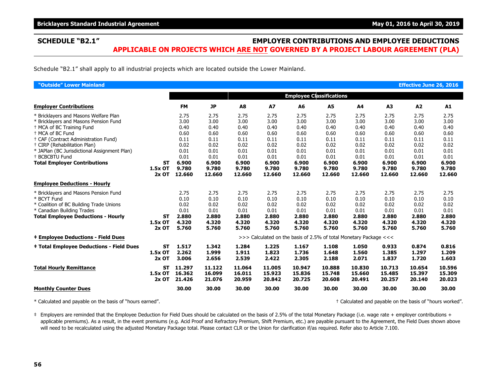### **SCHEDULE "B2.1" EMPLOYER CONTRIBUTIONS AND EMPLOYEE DEDUCTIONS APPLICABLE ON PROJECTS WHICH ARE NOT GOVERNED BY A PROJECT LABOUR AGREEMENT (PLA)**

Schedule "B2.1" shall apply to all industrial projects which are located outside the Lower Mainland.

| "Outside" Lower Mainland                                                                                                                                                                                                                                                                                                                          |                                   |                                                                                          |                                                                                          |                                                                                          |                                                                                          |                                                                                          |                                                                                          |                                                                                          |                                                                                          | <b>Effective June 26, 2016</b>                                                           |                                                                                          |
|---------------------------------------------------------------------------------------------------------------------------------------------------------------------------------------------------------------------------------------------------------------------------------------------------------------------------------------------------|-----------------------------------|------------------------------------------------------------------------------------------|------------------------------------------------------------------------------------------|------------------------------------------------------------------------------------------|------------------------------------------------------------------------------------------|------------------------------------------------------------------------------------------|------------------------------------------------------------------------------------------|------------------------------------------------------------------------------------------|------------------------------------------------------------------------------------------|------------------------------------------------------------------------------------------|------------------------------------------------------------------------------------------|
|                                                                                                                                                                                                                                                                                                                                                   |                                   |                                                                                          |                                                                                          |                                                                                          |                                                                                          |                                                                                          | <b>Employee Classifications</b>                                                          |                                                                                          |                                                                                          |                                                                                          |                                                                                          |
| <b>Employer Contributions</b>                                                                                                                                                                                                                                                                                                                     |                                   | <b>FM</b>                                                                                | <b>JP</b>                                                                                | A8                                                                                       | <b>A7</b>                                                                                | A6                                                                                       | <b>A5</b>                                                                                | A4                                                                                       | A3                                                                                       | A2                                                                                       | A1                                                                                       |
| * Bricklayers and Masons Welfare Plan<br>* Bricklayers and Masons Pension Fund<br>+ MCA of BC Training Fund<br><sup>+</sup> MCA of BC Fund<br>+ CAF (Contract Administration Fund)<br><sup>†</sup> CIRP (Rehabilitation Plan)<br>* JAPlan (BC Jurisdictional Assignment Plan)<br><sup>+</sup> BCBCBTU Fund<br><b>Total Employer Contributions</b> | <b>ST</b><br>1.5x OT<br>$2x$ OT   | 2.75<br>3.00<br>0.40<br>0.60<br>0.11<br>0.02<br>0.01<br>0.01<br>6.900<br>9.780<br>12.660 | 2.75<br>3.00<br>0.40<br>0.60<br>0.11<br>0.02<br>0.01<br>0.01<br>6.900<br>9.780<br>12.660 | 2.75<br>3.00<br>0.40<br>0.60<br>0.11<br>0.02<br>0.01<br>0.01<br>6.900<br>9.780<br>12.660 | 2.75<br>3.00<br>0.40<br>0.60<br>0.11<br>0.02<br>0.01<br>0.01<br>6.900<br>9.780<br>12.660 | 2.75<br>3.00<br>0.40<br>0.60<br>0.11<br>0.02<br>0.01<br>0.01<br>6.900<br>9.780<br>12.660 | 2.75<br>3.00<br>0.40<br>0.60<br>0.11<br>0.02<br>0.01<br>0.01<br>6.900<br>9.780<br>12.660 | 2.75<br>3.00<br>0.40<br>0.60<br>0.11<br>0.02<br>0.01<br>0.01<br>6.900<br>9.780<br>12.660 | 2.75<br>3.00<br>0.40<br>0.60<br>0.11<br>0.02<br>0.01<br>0.01<br>6.900<br>9.780<br>12.660 | 2.75<br>3.00<br>0.40<br>0.60<br>0.11<br>0.02<br>0.01<br>0.01<br>6.900<br>9.780<br>12.660 | 2.75<br>3.00<br>0.40<br>0.60<br>0.11<br>0.02<br>0.01<br>0.01<br>6.900<br>9.780<br>12.660 |
| <b>Employee Deductions - Hourly</b>                                                                                                                                                                                                                                                                                                               |                                   |                                                                                          |                                                                                          |                                                                                          |                                                                                          |                                                                                          |                                                                                          |                                                                                          |                                                                                          |                                                                                          |                                                                                          |
| * Bricklayers and Masons Pension Fund<br>* BCYT Fund<br>* Coalition of BC Building Trade Unions<br>* Canadian Building Trades<br><b>Total Employee Deductions - Hourly</b>                                                                                                                                                                        | <b>ST</b><br>1.5x OT<br>$2x$ OT   | 2.75<br>0.10<br>0.02<br>0.01<br>2.880<br>4.320<br>5.760                                  | 2.75<br>0.10<br>0.02<br>0.01<br>2.880<br>4.320<br>5.760                                  | 2.75<br>0.10<br>0.02<br>0.01<br>2.880<br>4.320<br>5.760                                  | 2.75<br>0.10<br>0.02<br>0.01<br>2.880<br>4.320<br>5.760                                  | 2.75<br>0.10<br>0.02<br>0.01<br>2.880<br>4.320<br>5.760                                  | 2.75<br>0.10<br>0.02<br>0.01<br>2.880<br>4.320<br>5.760                                  | 2.75<br>0.10<br>0.02<br>0.01<br>2.880<br>4.320<br>5.760                                  | 2.75<br>0.10<br>0.02<br>0.01<br>2.880<br>4.320<br>5.760                                  | 2.75<br>0.10<br>0.02<br>0.01<br>2.880<br>4.320<br>5.760                                  | 2.75<br>0.10<br>0.02<br>0.01<br>2.880<br>4.320<br>5.760                                  |
| <b>‡ Employee Deductions - Field Dues</b>                                                                                                                                                                                                                                                                                                         |                                   |                                                                                          |                                                                                          |                                                                                          | >>> Calculated on the basis of 2.5% of total Monetary Package <<<                        |                                                                                          |                                                                                          |                                                                                          |                                                                                          |                                                                                          |                                                                                          |
| <b>‡ Total Employee Deductions - Field Dues</b>                                                                                                                                                                                                                                                                                                   | SТ<br>1.5x OT<br>$2x$ OT          | 1.517<br>2.262<br>3.006                                                                  | 1.342<br>1.999<br>2.656                                                                  | 1.284<br>1.911<br>2.539                                                                  | 1.225<br>1.823<br>2.422                                                                  | 1.167<br>1.736<br>2.305                                                                  | 1.108<br>1.648<br>2.188                                                                  | 1.050<br>1.560<br>2.071                                                                  | 0.933<br>1.385<br>1.837                                                                  | 0.874<br>1.297<br>1.720                                                                  | 0.816<br>1.209<br>1.603                                                                  |
| <b>Total Hourly Remittance</b>                                                                                                                                                                                                                                                                                                                    | <b>ST</b><br>$1.5x$ OT<br>$2x$ OT | 11.297<br>16.362<br>21.426                                                               | 11.122<br>16.099<br>21.076                                                               | 11.064<br>16.011<br>20.959                                                               | 11.005<br>15.923<br>20.842                                                               | 10.947<br>15.836<br>20.725                                                               | 10.888<br>15.748<br>20.608                                                               | 10.830<br>15.660<br>20.491                                                               | 10.713<br>15.485<br>20.257                                                               | 10.654<br>15.397<br>20.140                                                               | 10.596<br>15.309<br>20.023                                                               |
| <b>Monthly Counter Dues</b>                                                                                                                                                                                                                                                                                                                       |                                   | 30.00                                                                                    | 30.00                                                                                    | 30.00                                                                                    | 30.00                                                                                    | 30.00                                                                                    | 30.00                                                                                    | 30.00                                                                                    | 30.00                                                                                    | 30.00                                                                                    | 30.00                                                                                    |

\* Calculated and payable on the basis of "hours earned". † Calculated and payable on the basis of "hours worked".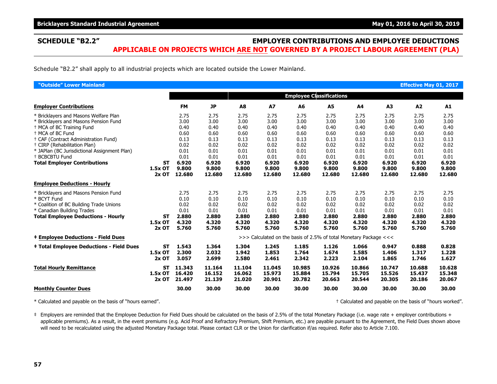### **SCHEDULE "B2.2" EMPLOYER CONTRIBUTIONS AND EMPLOYEE DEDUCTIONS APPLICABLE ON PROJECTS WHICH ARE NOT GOVERNED BY A PROJECT LABOUR AGREEMENT (PLA)**

Schedule "B2.2" shall apply to all industrial projects which are located outside the Lower Mainland.

| "Outside" Lower Mainland                                                                                                                                                                                                                                                                                                                          |                                   |                                                                                          |                                                                                          |                                                                                          |                                                                                          |                                                                                          |                                                                                          |                                                                                          |                                                                                          | <b>Effective May 01, 2017</b>                                                            |                                                                                          |
|---------------------------------------------------------------------------------------------------------------------------------------------------------------------------------------------------------------------------------------------------------------------------------------------------------------------------------------------------|-----------------------------------|------------------------------------------------------------------------------------------|------------------------------------------------------------------------------------------|------------------------------------------------------------------------------------------|------------------------------------------------------------------------------------------|------------------------------------------------------------------------------------------|------------------------------------------------------------------------------------------|------------------------------------------------------------------------------------------|------------------------------------------------------------------------------------------|------------------------------------------------------------------------------------------|------------------------------------------------------------------------------------------|
|                                                                                                                                                                                                                                                                                                                                                   |                                   |                                                                                          |                                                                                          |                                                                                          |                                                                                          |                                                                                          | <b>Employee Classifications</b>                                                          |                                                                                          |                                                                                          |                                                                                          |                                                                                          |
| <b>Employer Contributions</b>                                                                                                                                                                                                                                                                                                                     |                                   | <b>FM</b>                                                                                | <b>JP</b>                                                                                | A8                                                                                       | <b>A7</b>                                                                                | A6                                                                                       | <b>A5</b>                                                                                | A4                                                                                       | A3                                                                                       | A2                                                                                       | A1                                                                                       |
| * Bricklayers and Masons Welfare Plan<br>* Bricklayers and Masons Pension Fund<br>+ MCA of BC Training Fund<br><sup>+</sup> MCA of BC Fund<br>+ CAF (Contract Administration Fund)<br><sup>†</sup> CIRP (Rehabilitation Plan)<br>* JAPlan (BC Jurisdictional Assignment Plan)<br><sup>+</sup> BCBCBTU Fund<br><b>Total Employer Contributions</b> | <b>ST</b><br>1.5x OT<br>$2x$ OT   | 2.75<br>3.00<br>0.40<br>0.60<br>0.13<br>0.02<br>0.01<br>0.01<br>6.920<br>9.800<br>12.680 | 2.75<br>3.00<br>0.40<br>0.60<br>0.13<br>0.02<br>0.01<br>0.01<br>6.920<br>9.800<br>12.680 | 2.75<br>3.00<br>0.40<br>0.60<br>0.13<br>0.02<br>0.01<br>0.01<br>6.920<br>9.800<br>12.680 | 2.75<br>3.00<br>0.40<br>0.60<br>0.13<br>0.02<br>0.01<br>0.01<br>6.920<br>9.800<br>12.680 | 2.75<br>3.00<br>0.40<br>0.60<br>0.13<br>0.02<br>0.01<br>0.01<br>6.920<br>9.800<br>12.680 | 2.75<br>3.00<br>0.40<br>0.60<br>0.13<br>0.02<br>0.01<br>0.01<br>6.920<br>9.800<br>12.680 | 2.75<br>3.00<br>0.40<br>0.60<br>0.13<br>0.02<br>0.01<br>0.01<br>6.920<br>9.800<br>12.680 | 2.75<br>3.00<br>0.40<br>0.60<br>0.13<br>0.02<br>0.01<br>0.01<br>6.920<br>9.800<br>12.680 | 2.75<br>3.00<br>0.40<br>0.60<br>0.13<br>0.02<br>0.01<br>0.01<br>6.920<br>9.800<br>12.680 | 2.75<br>3.00<br>0.40<br>0.60<br>0.13<br>0.02<br>0.01<br>0.01<br>6.920<br>9.800<br>12.680 |
| <b>Employee Deductions - Hourly</b>                                                                                                                                                                                                                                                                                                               |                                   |                                                                                          |                                                                                          |                                                                                          |                                                                                          |                                                                                          |                                                                                          |                                                                                          |                                                                                          |                                                                                          |                                                                                          |
| * Bricklayers and Masons Pension Fund<br>* BCYT Fund<br>* Coalition of BC Building Trade Unions<br>* Canadian Building Trades<br><b>Total Employee Deductions - Hourly</b>                                                                                                                                                                        | <b>ST</b><br>1.5x OT<br>$2x$ OT   | 2.75<br>0.10<br>0.02<br>0.01<br>2.880<br>4.320<br>5.760                                  | 2.75<br>0.10<br>0.02<br>0.01<br>2.880<br>4.320<br>5.760                                  | 2.75<br>0.10<br>0.02<br>0.01<br>2.880<br>4.320<br>5.760                                  | 2.75<br>0.10<br>0.02<br>0.01<br>2.880<br>4.320<br>5.760                                  | 2.75<br>0.10<br>0.02<br>0.01<br>2.880<br>4.320<br>5.760                                  | 2.75<br>0.10<br>0.02<br>0.01<br>2.880<br>4.320<br>5.760                                  | 2.75<br>0.10<br>0.02<br>0.01<br>2.880<br>4.320<br>5.760                                  | 2.75<br>0.10<br>0.02<br>0.01<br>2.880<br>4.320<br>5.760                                  | 2.75<br>0.10<br>0.02<br>0.01<br>2.880<br>4.320<br>5.760                                  | 2.75<br>0.10<br>0.02<br>0.01<br>2.880<br>4.320<br>5.760                                  |
| <b>‡ Employee Deductions - Field Dues</b>                                                                                                                                                                                                                                                                                                         |                                   |                                                                                          |                                                                                          |                                                                                          | >>> Calculated on the basis of 2.5% of total Monetary Package <<<                        |                                                                                          |                                                                                          |                                                                                          |                                                                                          |                                                                                          |                                                                                          |
| <b>‡ Total Employee Deductions - Field Dues</b>                                                                                                                                                                                                                                                                                                   | SТ<br>1.5x OT<br>$2x$ OT          | 1.543<br>2.300<br>3.057                                                                  | 1.364<br>2.032<br>2.699                                                                  | 1.304<br>1.942<br>2.580                                                                  | 1.245<br>1.853<br>2.461                                                                  | 1.185<br>1.764<br>2.342                                                                  | 1.126<br>1.674<br>2.223                                                                  | 1.066<br>1.585<br>2.104                                                                  | 0.947<br>1.406<br>1.865                                                                  | 0.888<br>1.317<br>1.746                                                                  | 0.828<br>1.228<br>1.627                                                                  |
| <b>Total Hourly Remittance</b>                                                                                                                                                                                                                                                                                                                    | <b>ST</b><br>$1.5x$ OT<br>$2x$ OT | 11.343<br>16.420<br>21.497                                                               | 11.164<br>16.152<br>21.139                                                               | 11.104<br>16.062<br>21.020                                                               | 11.045<br>15.973<br>20.901                                                               | 10.985<br>15.884<br>20.782                                                               | 10.926<br>15.794<br>20.663                                                               | 10.866<br>15.705<br>20.544                                                               | 10.747<br>15.526<br>20.305                                                               | 10.688<br>15.437<br>20.186                                                               | 10.628<br>15.348<br>20.067                                                               |
| <b>Monthly Counter Dues</b>                                                                                                                                                                                                                                                                                                                       |                                   | 30.00                                                                                    | 30.00                                                                                    | 30.00                                                                                    | 30.00                                                                                    | 30.00                                                                                    | 30.00                                                                                    | 30.00                                                                                    | 30.00                                                                                    | 30.00                                                                                    | 30.00                                                                                    |

\* Calculated and payable on the basis of "hours earned". † Calculated and payable on the basis of "hours worked".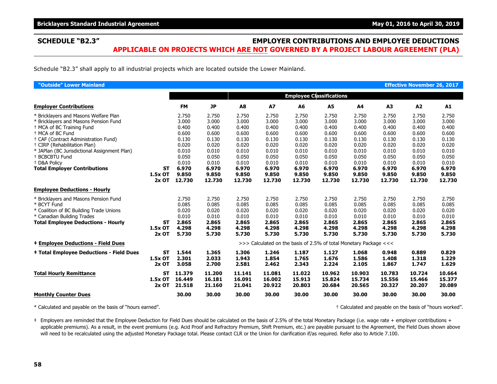### **SCHEDULE "B2.3" EMPLOYER CONTRIBUTIONS AND EMPLOYEE DEDUCTIONS APPLICABLE ON PROJECTS WHICH ARE NOT GOVERNED BY A PROJECT LABOUR AGREEMENT (PLA)**

Schedule "B2.3" shall apply to all industrial projects which are located outside the Lower Mainland.

| "Outside" Lower Mainland                                       |           |                |                |                |                |                                                                   |                |                |                | <b>Effective November 26, 2017</b> |                |
|----------------------------------------------------------------|-----------|----------------|----------------|----------------|----------------|-------------------------------------------------------------------|----------------|----------------|----------------|------------------------------------|----------------|
|                                                                |           |                |                |                |                | <b>Employee Classifications</b>                                   |                |                |                |                                    |                |
| <b>Employer Contributions</b>                                  |           | <b>FM</b>      | <b>JP</b>      | A <sub>8</sub> | <b>A7</b>      | A6                                                                | <b>A5</b>      | A4             | A <sub>3</sub> | A2                                 | A1             |
| * Bricklayers and Masons Welfare Plan                          |           | 2.750          | 2.750          | 2.750          | 2.750          | 2.750                                                             | 2.750          | 2.750          | 2.750          | 2.750                              | 2.750          |
| * Bricklayers and Masons Pension Fund                          |           | 3.000          | 3.000          | 3.000          | 3.000          | 3.000                                                             | 3.000          | 3.000          | 3.000          | 3.000                              | 3.000          |
| + MCA of BC Training Fund                                      |           | 0.400          | 0.400          | 0.400          | 0.400          | 0.400                                                             | 0.400          | 0.400          | 0.400          | 0.400                              | 0.400          |
| <sup>+</sup> MCA of BC Fund                                    |           | 0.600          | 0.600          | 0.600          | 0.600          | 0.600                                                             | 0.600          | 0.600          | 0.600          | 0.600                              | 0.600          |
| <sup>+</sup> CAF (Contract Administration Fund)                |           | 0.130          | 0.130          | 0.130          | 0.130          | 0.130                                                             | 0.130          | 0.130          | 0.130          | 0.130                              | 0.130          |
| <sup>+</sup> CIRP (Rehabilitation Plan)                        |           | 0.020          | 0.020          | 0.020          | 0.020          | 0.020                                                             | 0.020          | 0.020          | 0.020          | 0.020                              | 0.020          |
| * JAPlan (BC Jurisdictional Assignment Plan)<br>+ BCBCBTU Fund |           | 0.010          | 0.010          | 0.010<br>0.050 | 0.010          | 0.010                                                             | 0.010          | 0.010          | 0.010          | 0.010                              | 0.010          |
| <sup>+</sup> D&A Policy                                        |           | 0.050<br>0.010 | 0.050<br>0.010 | 0.010          | 0.050<br>0.010 | 0.050<br>0.010                                                    | 0.050<br>0.010 | 0.050<br>0.010 | 0.050<br>0.010 | 0.050<br>0.010                     | 0.050<br>0.010 |
| <b>Total Employer Contributions</b>                            | <b>ST</b> | 6.970          | 6.970          | 6.970          | 6.970          | 6.970                                                             | 6.970          | 6.970          | 6.970          | 6.970                              | 6.970          |
|                                                                | 1.5x OT   | 9.850          | 9.850          | 9.850          | 9.850          | 9.850                                                             | 9.850          | 9.850          | 9.850          | 9.850                              | 9.850          |
|                                                                | $2x$ OT   | 12.730         | 12.730         | 12.730         | 12.730         | 12.730                                                            | 12.730         | 12.730         | 12.730         | 12.730                             | 12.730         |
| <b>Employee Deductions - Hourly</b>                            |           |                |                |                |                |                                                                   |                |                |                |                                    |                |
| * Bricklayers and Masons Pension Fund                          |           | 2.750          | 2.750          | 2.750          | 2.750          | 2.750                                                             | 2.750          | 2.750          | 2.750          | 2.750                              | 2.750          |
| * BCYT Fund                                                    |           | 0.085          | 0.085          | 0.085          | 0.085          | 0.085                                                             | 0.085          | 0.085          | 0.085          | 0.085                              | 0.085          |
| * Coalition of BC Building Trade Unions                        |           | 0.020          | 0.020          | 0.020          | 0.020          | 0.020                                                             | 0.020          | 0.020          | 0.020          | 0.020                              | 0.020          |
| * Canadian Building Trades                                     |           | 0.010          | 0.010          | 0.010          | 0.010          | 0.010                                                             | 0.010          | 0.010          | 0.010          | 0.010                              | 0.010          |
| <b>Total Employee Deductions - Hourly</b>                      | <b>ST</b> | 2.865          | 2.865          | 2.865          | 2.865          | 2.865                                                             | 2.865          | 2.865          | 2.865          | 2.865                              | 2.865          |
|                                                                | 1.5x OT   | 4.298          | 4.298          | 4.298          | 4.298          | 4.298                                                             | 4.298          | 4.298          | 4.298          | 4.298                              | 4.298          |
|                                                                | $2x$ OT   | 5.730          | 5.730          | 5.730          | 5.730          | 5.730                                                             | 5.730          | 5.730          | 5.730          | 5.730                              | 5.730          |
| <b>‡ Employee Deductions - Field Dues</b>                      |           |                |                |                |                | >>> Calculated on the basis of 2.5% of total Monetary Package <<< |                |                |                |                                    |                |
| <b>‡ Total Employee Deductions - Field Dues</b>                | <b>ST</b> | 1.544          | 1.365          | 1.306          | 1.246          | 1.187                                                             | 1.127          | 1.068          | 0.948          | 0.889                              | 0.829          |
|                                                                | 1.5x OT   | 2.301          | 2.033          | 1.943          | 1.854          | 1.765                                                             | 1.676          | 1.586          | 1.408          | 1.318                              | 1.229          |
|                                                                | $2x$ OT   | 3.058          | 2.700          | 2.581          | 2.462          | 2.343                                                             | 2.224          | 2.105          | 1.867          | 1.747                              | 1.629          |
| <b>Total Hourly Remittance</b>                                 | <b>ST</b> | 11.379         | 11.200         | 11.141         | 11.081         | 11.022                                                            | 10.962         | 10.903         | 10.783         | 10.724                             | 10.664         |
|                                                                | 1.5x OT   | 16.449         | 16.181         | 16.091         | 16.002         | 15.913                                                            | 15.824         | 15.734         | 15.556         | 15.466                             | 15.377         |
|                                                                | $2x$ OT   | 21.518         | 21.160         | 21.041         | 20.922         | 20.803                                                            | 20.684         | 20.565         | 20.327         | 20.207                             | 20.089         |
| <b>Monthly Counter Dues</b>                                    |           | 30.00          | 30.00          | 30.00          | 30.00          | 30.00                                                             | 30.00          | 30.00          | 30.00          | 30.00                              | 30.00          |

\* Calculated and payable on the basis of "hours earned". † Calculated and payable on the basis of "hours worked".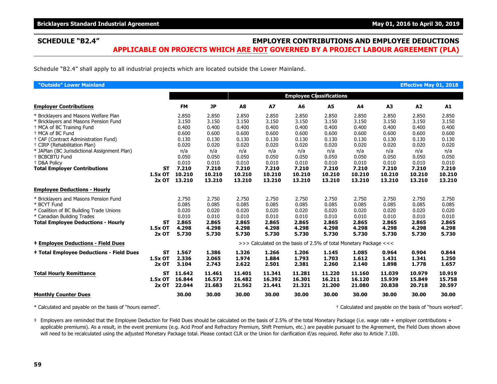### **SCHEDULE "B2.4" EMPLOYER CONTRIBUTIONS AND EMPLOYEE DEDUCTIONS APPLICABLE ON PROJECTS WHICH ARE NOT GOVERNED BY A PROJECT LABOUR AGREEMENT (PLA)**

Schedule "B2.4" shall apply to all industrial projects which are located outside the Lower Mainland.

| "Outside" Lower Mainland                                                                                                                                                                                                                                                                                                                                                                |                                 |                                                                                                |                                                                                                |                                                                                                |                                                                                                |                                                                                                |                                                                                                |                                                                                                |                                                                                                | <b>Effective May 01, 2018</b>                                                                  |                                                                                                |
|-----------------------------------------------------------------------------------------------------------------------------------------------------------------------------------------------------------------------------------------------------------------------------------------------------------------------------------------------------------------------------------------|---------------------------------|------------------------------------------------------------------------------------------------|------------------------------------------------------------------------------------------------|------------------------------------------------------------------------------------------------|------------------------------------------------------------------------------------------------|------------------------------------------------------------------------------------------------|------------------------------------------------------------------------------------------------|------------------------------------------------------------------------------------------------|------------------------------------------------------------------------------------------------|------------------------------------------------------------------------------------------------|------------------------------------------------------------------------------------------------|
|                                                                                                                                                                                                                                                                                                                                                                                         |                                 |                                                                                                |                                                                                                |                                                                                                |                                                                                                | <b>Employee Classifications</b>                                                                |                                                                                                |                                                                                                |                                                                                                |                                                                                                |                                                                                                |
| <b>Employer Contributions</b>                                                                                                                                                                                                                                                                                                                                                           |                                 | <b>FM</b>                                                                                      | <b>JP</b>                                                                                      | A8                                                                                             | <b>A7</b>                                                                                      | A <sub>6</sub>                                                                                 | <b>A5</b>                                                                                      | A4                                                                                             | A3                                                                                             | A2                                                                                             | A1                                                                                             |
| * Bricklayers and Masons Welfare Plan<br>* Bricklayers and Masons Pension Fund<br><sup>+</sup> MCA of BC Training Fund<br><sup>+</sup> MCA of BC Fund<br>+ CAF (Contract Administration Fund)<br><sup>+</sup> CIRP (Rehabilitation Plan)<br>* JAPlan (BC Jurisdictional Assignment Plan)<br><sup>+</sup> BCBCBTU Fund<br><sup>+</sup> D&A Policv<br><b>Total Employer Contributions</b> | <b>ST</b><br>1.5x OT            | 2.850<br>3.150<br>0.400<br>0.600<br>0.130<br>0.020<br>n/a<br>0.050<br>0.010<br>7.210<br>10.210 | 2.850<br>3.150<br>0.400<br>0.600<br>0.130<br>0.020<br>n/a<br>0.050<br>0.010<br>7.210<br>10.210 | 2.850<br>3.150<br>0.400<br>0.600<br>0.130<br>0.020<br>n/a<br>0.050<br>0.010<br>7.210<br>10.210 | 2.850<br>3.150<br>0.400<br>0.600<br>0.130<br>0.020<br>n/a<br>0.050<br>0.010<br>7.210<br>10.210 | 2.850<br>3.150<br>0.400<br>0.600<br>0.130<br>0.020<br>n/a<br>0.050<br>0.010<br>7.210<br>10.210 | 2.850<br>3.150<br>0.400<br>0.600<br>0.130<br>0.020<br>n/a<br>0.050<br>0.010<br>7.210<br>10.210 | 2.850<br>3.150<br>0.400<br>0.600<br>0.130<br>0.020<br>n/a<br>0.050<br>0.010<br>7.210<br>10.210 | 2.850<br>3.150<br>0.400<br>0.600<br>0.130<br>0.020<br>n/a<br>0.050<br>0.010<br>7.210<br>10.210 | 2.850<br>3.150<br>0.400<br>0.600<br>0.130<br>0.020<br>n/a<br>0.050<br>0.010<br>7.210<br>10.210 | 2.850<br>3.150<br>0.400<br>0.600<br>0.130<br>0.020<br>n/a<br>0.050<br>0.010<br>7.210<br>10.210 |
|                                                                                                                                                                                                                                                                                                                                                                                         | $2x$ OT                         | 13.210                                                                                         | 13.210                                                                                         | 13.210                                                                                         | 13.210                                                                                         | 13.210                                                                                         | 13.210                                                                                         | 13.210                                                                                         | 13.210                                                                                         | 13.210                                                                                         | 13.210                                                                                         |
| <b>Employee Deductions - Hourly</b>                                                                                                                                                                                                                                                                                                                                                     |                                 |                                                                                                |                                                                                                |                                                                                                |                                                                                                |                                                                                                |                                                                                                |                                                                                                |                                                                                                |                                                                                                |                                                                                                |
| * Bricklayers and Masons Pension Fund<br>* BCYT Fund<br>* Coalition of BC Building Trade Unions<br>* Canadian Building Trades<br><b>Total Employee Deductions - Hourly</b>                                                                                                                                                                                                              | <b>ST</b><br>1.5x OT<br>$2x$ OT | 2.750<br>0.085<br>0.020<br>0.010<br>2.865<br>4.298<br>5.730                                    | 2.750<br>0.085<br>0.020<br>0.010<br>2.865<br>4.298<br>5.730                                    | 2.750<br>0.085<br>0.020<br>0.010<br>2.865<br>4.298<br>5.730                                    | 2.750<br>0.085<br>0.020<br>0.010<br>2.865<br>4.298<br>5.730                                    | 2.750<br>0.085<br>0.020<br>0.010<br>2.865<br>4.298<br>5.730                                    | 2.750<br>0.085<br>0.020<br>0.010<br>2.865<br>4.298<br>5.730                                    | 2.750<br>0.085<br>0.020<br>0.010<br>2.865<br>4.298<br>5.730                                    | 2.750<br>0.085<br>0.020<br>0.010<br>2.865<br>4.298<br>5.730                                    | 2.750<br>0.085<br>0.020<br>0.010<br>2.865<br>4.298<br>5.730                                    | 2.750<br>0.085<br>0.020<br>0.010<br>2.865<br>4.298<br>5.730                                    |
| <b>‡ Employee Deductions - Field Dues</b>                                                                                                                                                                                                                                                                                                                                               |                                 |                                                                                                |                                                                                                |                                                                                                | >>> Calculated on the basis of 2.5% of total Monetary Package <<<                              |                                                                                                |                                                                                                |                                                                                                |                                                                                                |                                                                                                |                                                                                                |
| <b>‡ Total Employee Deductions - Field Dues</b>                                                                                                                                                                                                                                                                                                                                         | <b>ST</b><br>1.5x OT<br>2x OT   | 1.567<br>2.336<br>3.104                                                                        | 1.386<br>2.065<br>2.743                                                                        | 1.326<br>1.974<br>2.622                                                                        | 1.266<br>1.884<br>2.501                                                                        | 1.206<br>1.793<br>2.381                                                                        | 1.145<br>1.703<br>2.260                                                                        | 1.085<br>1.612<br>2.140                                                                        | 0.964<br>1.431<br>1.898                                                                        | 0.904<br>1.341<br>1.778                                                                        | 0.844<br>1.250<br>1.657                                                                        |
| <b>Total Hourly Remittance</b>                                                                                                                                                                                                                                                                                                                                                          | <b>ST</b><br>1.5x OT<br>$2x$ OT | 11.642<br>16.844<br>22.044                                                                     | 11.461<br>16.573<br>21.683                                                                     | 11.401<br>16.482<br>21.562                                                                     | 11.341<br>16.392<br>21.441                                                                     | 11.281<br>16.301<br>21.321                                                                     | 11.220<br>16.211<br>21.200                                                                     | 11.160<br>16.120<br>21.080                                                                     | 11.039<br>15.939<br>20.838                                                                     | 10.979<br>15.849<br>20.718                                                                     | 10.919<br>15.758<br>20.597                                                                     |
| <b>Monthly Counter Dues</b>                                                                                                                                                                                                                                                                                                                                                             |                                 | 30.00                                                                                          | 30.00                                                                                          | 30.00                                                                                          | 30.00                                                                                          | 30.00                                                                                          | 30.00                                                                                          | 30.00                                                                                          | 30.00                                                                                          | 30.00                                                                                          | 30.00                                                                                          |

\* Calculated and payable on the basis of "hours earned". † Calculated and payable on the basis of "hours worked".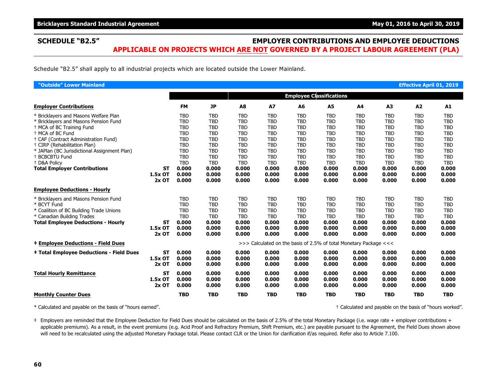### **SCHEDULE "B2.5" EMPLOYER CONTRIBUTIONS AND EMPLOYEE DEDUCTIONS APPLICABLE ON PROJECTS WHICH ARE NOT GOVERNED BY A PROJECT LABOUR AGREEMENT (PLA)**

Schedule "B2.5" shall apply to all industrial projects which are located outside the Lower Mainland.

| "Outside" Lower Mainland                                                                                                                                                                                                                                                                                                                                                                |                                 |                                                                                                                                     |                                                                                                                                     |                                                                                                                                     |                                                                                                                                     |                                                                                                                                     |                                                                                                                                     |                                                                                                                                     |                                                                                                                                     | <b>Effective April 01, 2019</b>                                                                                                     |                                                                                                                                     |
|-----------------------------------------------------------------------------------------------------------------------------------------------------------------------------------------------------------------------------------------------------------------------------------------------------------------------------------------------------------------------------------------|---------------------------------|-------------------------------------------------------------------------------------------------------------------------------------|-------------------------------------------------------------------------------------------------------------------------------------|-------------------------------------------------------------------------------------------------------------------------------------|-------------------------------------------------------------------------------------------------------------------------------------|-------------------------------------------------------------------------------------------------------------------------------------|-------------------------------------------------------------------------------------------------------------------------------------|-------------------------------------------------------------------------------------------------------------------------------------|-------------------------------------------------------------------------------------------------------------------------------------|-------------------------------------------------------------------------------------------------------------------------------------|-------------------------------------------------------------------------------------------------------------------------------------|
|                                                                                                                                                                                                                                                                                                                                                                                         |                                 |                                                                                                                                     |                                                                                                                                     |                                                                                                                                     |                                                                                                                                     | <b>Employee Classifications</b>                                                                                                     |                                                                                                                                     |                                                                                                                                     |                                                                                                                                     |                                                                                                                                     |                                                                                                                                     |
| <b>Employer Contributions</b>                                                                                                                                                                                                                                                                                                                                                           |                                 | <b>FM</b>                                                                                                                           | <b>JP</b>                                                                                                                           | A8                                                                                                                                  | <b>A7</b>                                                                                                                           | A6                                                                                                                                  | <b>A5</b>                                                                                                                           | A4                                                                                                                                  | A3                                                                                                                                  | A2                                                                                                                                  | A1                                                                                                                                  |
| * Bricklayers and Masons Welfare Plan<br>* Bricklayers and Masons Pension Fund<br><sup>+</sup> MCA of BC Training Fund<br><sup>+</sup> MCA of BC Fund<br>+ CAF (Contract Administration Fund)<br><sup>†</sup> CIRP (Rehabilitation Plan)<br>* JAPlan (BC Jurisdictional Assignment Plan)<br><sup>+</sup> BCBCBTU Fund<br><sup>+</sup> D&A Policy<br><b>Total Employer Contributions</b> | <b>ST</b>                       | <b>TBD</b><br><b>TBD</b><br><b>TBD</b><br><b>TBD</b><br><b>TBD</b><br><b>TBD</b><br><b>TBD</b><br><b>TBD</b><br><b>TBD</b><br>0.000 | <b>TBD</b><br><b>TBD</b><br><b>TBD</b><br><b>TBD</b><br><b>TBD</b><br><b>TBD</b><br><b>TBD</b><br><b>TBD</b><br><b>TBD</b><br>0.000 | <b>TBD</b><br><b>TBD</b><br><b>TBD</b><br><b>TBD</b><br><b>TBD</b><br><b>TBD</b><br><b>TBD</b><br><b>TBD</b><br><b>TBD</b><br>0.000 | <b>TBD</b><br><b>TBD</b><br><b>TBD</b><br><b>TBD</b><br><b>TBD</b><br><b>TBD</b><br><b>TBD</b><br><b>TBD</b><br><b>TBD</b><br>0.000 | <b>TBD</b><br><b>TBD</b><br><b>TBD</b><br><b>TBD</b><br><b>TBD</b><br><b>TBD</b><br><b>TBD</b><br><b>TBD</b><br><b>TBD</b><br>0.000 | <b>TBD</b><br><b>TBD</b><br><b>TBD</b><br><b>TBD</b><br><b>TBD</b><br><b>TBD</b><br><b>TBD</b><br><b>TBD</b><br><b>TBD</b><br>0.000 | <b>TBD</b><br><b>TBD</b><br><b>TBD</b><br><b>TBD</b><br><b>TBD</b><br><b>TBD</b><br><b>TBD</b><br><b>TBD</b><br><b>TBD</b><br>0.000 | <b>TBD</b><br><b>TBD</b><br><b>TBD</b><br><b>TBD</b><br><b>TBD</b><br><b>TBD</b><br><b>TBD</b><br><b>TBD</b><br><b>TBD</b><br>0.000 | <b>TBD</b><br><b>TBD</b><br><b>TBD</b><br><b>TBD</b><br><b>TBD</b><br><b>TBD</b><br><b>TBD</b><br><b>TBD</b><br><b>TBD</b><br>0.000 | <b>TBD</b><br><b>TBD</b><br><b>TBD</b><br><b>TBD</b><br><b>TBD</b><br><b>TBD</b><br><b>TBD</b><br><b>TBD</b><br><b>TBD</b><br>0.000 |
|                                                                                                                                                                                                                                                                                                                                                                                         | 1.5x OT<br>$2x$ OT              | 0.000<br>0.000                                                                                                                      | 0.000<br>0.000                                                                                                                      | 0.000<br>0.000                                                                                                                      | 0.000<br>0.000                                                                                                                      | 0.000<br>0.000                                                                                                                      | 0.000<br>0.000                                                                                                                      | 0.000<br>0.000                                                                                                                      | 0.000<br>0.000                                                                                                                      | 0.000<br>0.000                                                                                                                      | 0.000<br>0.000                                                                                                                      |
| <b>Employee Deductions - Hourly</b>                                                                                                                                                                                                                                                                                                                                                     |                                 |                                                                                                                                     |                                                                                                                                     |                                                                                                                                     |                                                                                                                                     |                                                                                                                                     |                                                                                                                                     |                                                                                                                                     |                                                                                                                                     |                                                                                                                                     |                                                                                                                                     |
| * Bricklayers and Masons Pension Fund<br>* BCYT Fund<br>* Coalition of BC Building Trade Unions<br>* Canadian Building Trades<br><b>Total Employee Deductions - Hourly</b>                                                                                                                                                                                                              | <b>ST</b><br>1.5x OT<br>2x OT   | <b>TBD</b><br><b>TBD</b><br><b>TBD</b><br><b>TBD</b><br>0.000<br>0.000<br>0.000                                                     | <b>TBD</b><br><b>TBD</b><br><b>TBD</b><br><b>TBD</b><br>0.000<br>0.000<br>0.000                                                     | <b>TBD</b><br><b>TBD</b><br><b>TBD</b><br><b>TBD</b><br>0.000<br>0.000<br>0.000                                                     | <b>TBD</b><br><b>TBD</b><br><b>TBD</b><br><b>TBD</b><br>0.000<br>0.000<br>0.000                                                     | <b>TBD</b><br><b>TBD</b><br><b>TBD</b><br><b>TBD</b><br>0.000<br>0.000<br>0.000                                                     | <b>TBD</b><br><b>TBD</b><br><b>TBD</b><br><b>TBD</b><br>0.000<br>0.000<br>0.000                                                     | <b>TBD</b><br><b>TBD</b><br><b>TBD</b><br><b>TBD</b><br>0.000<br>0.000<br>0.000                                                     | <b>TBD</b><br><b>TBD</b><br><b>TBD</b><br><b>TBD</b><br>0.000<br>0.000<br>0.000                                                     | <b>TBD</b><br><b>TBD</b><br><b>TBD</b><br><b>TBD</b><br>0.000<br>0.000<br>0.000                                                     | <b>TBD</b><br><b>TBD</b><br><b>TBD</b><br><b>TBD</b><br>0.000<br>0.000<br>0.000                                                     |
| <b>‡ Employee Deductions - Field Dues</b>                                                                                                                                                                                                                                                                                                                                               |                                 |                                                                                                                                     |                                                                                                                                     |                                                                                                                                     |                                                                                                                                     | >>> Calculated on the basis of 2.5% of total Monetary Package <<<                                                                   |                                                                                                                                     |                                                                                                                                     |                                                                                                                                     |                                                                                                                                     |                                                                                                                                     |
| <b>‡ Total Employee Deductions - Field Dues</b>                                                                                                                                                                                                                                                                                                                                         | <b>ST</b><br>1.5x OT<br>$2x$ OT | 0.000<br>0.000<br>0.000                                                                                                             | 0.000<br>0.000<br>0.000                                                                                                             | 0.000<br>0.000<br>0.000                                                                                                             | 0.000<br>0.000<br>0.000                                                                                                             | 0.000<br>0.000<br>0.000                                                                                                             | 0.000<br>0.000<br>0.000                                                                                                             | 0.000<br>0.000<br>0.000                                                                                                             | 0.000<br>0.000<br>0.000                                                                                                             | 0.000<br>0.000<br>0.000                                                                                                             | 0.000<br>0.000<br>0.000                                                                                                             |
| <b>Total Hourly Remittance</b>                                                                                                                                                                                                                                                                                                                                                          | <b>ST</b><br>1.5x OT<br>$2x$ OT | 0.000<br>0.000<br>0.000                                                                                                             | 0.000<br>0.000<br>0.000                                                                                                             | 0.000<br>0.000<br>0.000                                                                                                             | 0.000<br>0.000<br>0.000                                                                                                             | 0.000<br>0.000<br>0.000                                                                                                             | 0.000<br>0.000<br>0.000                                                                                                             | 0.000<br>0.000<br>0.000                                                                                                             | 0.000<br>0.000<br>0.000                                                                                                             | 0.000<br>0.000<br>0.000                                                                                                             | 0.000<br>0.000<br>0.000                                                                                                             |
| <b>Monthly Counter Dues</b>                                                                                                                                                                                                                                                                                                                                                             |                                 | <b>TBD</b>                                                                                                                          | <b>TBD</b>                                                                                                                          | <b>TBD</b>                                                                                                                          | <b>TBD</b>                                                                                                                          | <b>TBD</b>                                                                                                                          | <b>TBD</b>                                                                                                                          | <b>TBD</b>                                                                                                                          | <b>TBD</b>                                                                                                                          | <b>TBD</b>                                                                                                                          | <b>TBD</b>                                                                                                                          |

\* Calculated and payable on the basis of "hours earned". † Calculated and payable on the basis of "hours worked".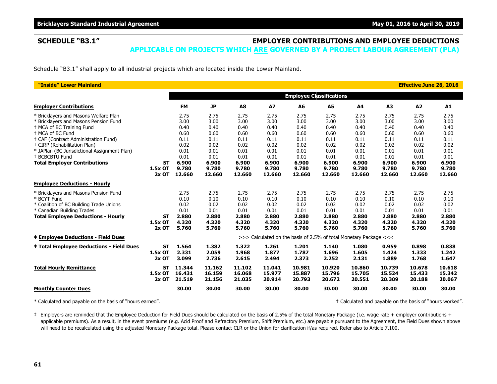# **SCHEDULE "B3.1" EMPLOYER CONTRIBUTIONS AND EMPLOYEE DEDUCTIONS**

**APPLICABLE ON PROJECTS WHICH ARE GOVERNED BY A PROJECT LABOUR AGREEMENT (PLA)**

Schedule "B3.1" shall apply to all industrial projects which are located inside the Lower Mainland.

| "Inside" Lower Mainland                                                                                                                                                                                                                                                                                    |                                 |                                                              |                                                              |                                                              |                                                              |                                                              |                                                                   |                                                              |                                                              | <b>Effective June 26, 2016</b>                               |                                                              |
|------------------------------------------------------------------------------------------------------------------------------------------------------------------------------------------------------------------------------------------------------------------------------------------------------------|---------------------------------|--------------------------------------------------------------|--------------------------------------------------------------|--------------------------------------------------------------|--------------------------------------------------------------|--------------------------------------------------------------|-------------------------------------------------------------------|--------------------------------------------------------------|--------------------------------------------------------------|--------------------------------------------------------------|--------------------------------------------------------------|
|                                                                                                                                                                                                                                                                                                            |                                 |                                                              |                                                              |                                                              |                                                              |                                                              | <b>Employee Classifications</b>                                   |                                                              |                                                              |                                                              |                                                              |
| <b>Employer Contributions</b>                                                                                                                                                                                                                                                                              |                                 | <b>FM</b>                                                    | <b>JP</b>                                                    | A8                                                           | <b>A7</b>                                                    | A6                                                           | A5                                                                | A4                                                           | A3                                                           | A2                                                           | A1                                                           |
| * Bricklayers and Masons Welfare Plan<br>* Bricklayers and Masons Pension Fund<br><sup>†</sup> MCA of BC Training Fund<br><sup>+</sup> MCA of BC Fund<br>† CAF (Contract Administration Fund)<br><sup>+</sup> CIRP (Rehabilitation Plan)<br>* JAPlan (BC Jurisdictional Assignment Plan)<br>+ BCBCBTU Fund |                                 | 2.75<br>3.00<br>0.40<br>0.60<br>0.11<br>0.02<br>0.01<br>0.01 | 2.75<br>3.00<br>0.40<br>0.60<br>0.11<br>0.02<br>0.01<br>0.01 | 2.75<br>3.00<br>0.40<br>0.60<br>0.11<br>0.02<br>0.01<br>0.01 | 2.75<br>3.00<br>0.40<br>0.60<br>0.11<br>0.02<br>0.01<br>0.01 | 2.75<br>3.00<br>0.40<br>0.60<br>0.11<br>0.02<br>0.01<br>0.01 | 2.75<br>3.00<br>0.40<br>0.60<br>0.11<br>0.02<br>0.01<br>0.01      | 2.75<br>3.00<br>0.40<br>0.60<br>0.11<br>0.02<br>0.01<br>0.01 | 2.75<br>3.00<br>0.40<br>0.60<br>0.11<br>0.02<br>0.01<br>0.01 | 2.75<br>3.00<br>0.40<br>0.60<br>0.11<br>0.02<br>0.01<br>0.01 | 2.75<br>3.00<br>0.40<br>0.60<br>0.11<br>0.02<br>0.01<br>0.01 |
| <b>Total Employer Contributions</b>                                                                                                                                                                                                                                                                        | ST<br>1.5x OT<br>$2x$ OT        | 6.900<br>9.780<br>12.660                                     | 6.900<br>9.780<br>12.660                                     | 6.900<br>9.780<br>12.660                                     | 6.900<br>9.780<br>12.660                                     | 6.900<br>9.780<br>12.660                                     | 6.900<br>9.780<br>12.660                                          | 6.900<br>9.780<br>12.660                                     | 6.900<br>9.780<br>12.660                                     | 6.900<br>9.780<br>12.660                                     | 6.900<br>9.780<br>12.660                                     |
| <b>Employee Deductions - Hourly</b>                                                                                                                                                                                                                                                                        |                                 |                                                              |                                                              |                                                              |                                                              |                                                              |                                                                   |                                                              |                                                              |                                                              |                                                              |
| * Bricklayers and Masons Pension Fund<br>* BCYT Fund<br>* Coalition of BC Building Trade Unions<br>* Canadian Building Trades<br><b>Total Employee Deductions - Hourly</b>                                                                                                                                 | ST<br>1.5x OT<br>$2x$ OT        | 2.75<br>0.10<br>0.02<br>0.01<br>2.880<br>4.320<br>5.760      | 2.75<br>0.10<br>0.02<br>0.01<br>2.880<br>4.320<br>5.760      | 2.75<br>0.10<br>0.02<br>0.01<br>2.880<br>4.320<br>5.760      | 2.75<br>0.10<br>0.02<br>0.01<br>2.880<br>4.320<br>5.760      | 2.75<br>0.10<br>0.02<br>0.01<br>2.880<br>4.320<br>5.760      | 2.75<br>0.10<br>0.02<br>0.01<br>2.880<br>4.320<br>5.760           | 2.75<br>0.10<br>0.02<br>0.01<br>2.880<br>4.320<br>5.760      | 2.75<br>0.10<br>0.02<br>0.01<br>2.880<br>4.320<br>5.760      | 2.75<br>0.10<br>0.02<br>0.01<br>2.880<br>4.320<br>5.760      | 2.75<br>0.10<br>0.02<br>0.01<br>2.880<br>4.320<br>5.760      |
| <b>‡ Employee Deductions - Field Dues</b>                                                                                                                                                                                                                                                                  |                                 |                                                              |                                                              |                                                              |                                                              |                                                              | >>> Calculated on the basis of 2.5% of total Monetary Package <<< |                                                              |                                                              |                                                              |                                                              |
| <b>‡ Total Employee Deductions - Field Dues</b>                                                                                                                                                                                                                                                            | <b>ST</b><br>1.5x OT<br>$2x$ OT | 1.564<br>2.331<br>3.099                                      | 1.382<br>2.059<br>2.736                                      | 1.322<br>1.968<br>2.615                                      | 1.261<br>1.877<br>2.494                                      | 1.201<br>1.787<br>2.373                                      | 1.140<br>1.696<br>2.252                                           | 1.080<br>1.605<br>2.131                                      | 0.959<br>1.424<br>1.889                                      | 0.898<br>1.333<br>1.768                                      | 0.838<br>1.242<br>1.647                                      |
| <b>Total Hourly Remittance</b>                                                                                                                                                                                                                                                                             | <b>ST</b><br>1.5x OT<br>2x OT   | 11.344<br>16.431<br>21.519                                   | 11.162<br>16.159<br>21.156                                   | 11.102<br>16.068<br>21.035                                   | 11.041<br>15.977<br>20.914                                   | 10.981<br>15.887<br>20.793                                   | 10.920<br>15.796<br>20.672                                        | 10.860<br>15.705<br>20.551                                   | 10.739<br>15.524<br>20.309                                   | 10.678<br>15.433<br>20.188                                   | 10.618<br>15.342<br>20.067                                   |
| <b>Monthly Counter Dues</b>                                                                                                                                                                                                                                                                                |                                 | 30.00                                                        | 30.00                                                        | 30.00                                                        | 30.00                                                        | 30.00                                                        | 30.00                                                             | 30.00                                                        | 30.00                                                        | 30.00                                                        | 30.00                                                        |

\* Calculated and payable on the basis of "hours earned". † Calculated and payable on the basis of "hours worked".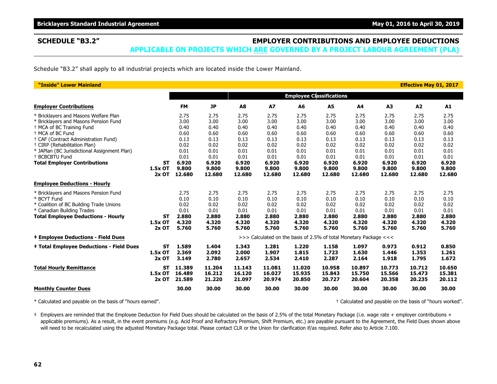## **SCHEDULE "B3.2" EMPLOYER CONTRIBUTIONS AND EMPLOYEE DEDUCTIONS**

**APPLICABLE ON PROJECTS WHICH ARE GOVERNED BY A PROJECT LABOUR AGREEMENT (PLA)**

Schedule "B3.2" shall apply to all industrial projects which are located inside the Lower Mainland.

| "Inside" Lower Mainland                                                                                                                                                                                                                                                                                                                                                 |                                 |                                                                                          |                                                                                          |                                                                                          |                                                                                          |                                                                                          |                                                                                          |                                                                                          |                                                                                          | <b>Effective May 01, 2017</b>                                                            |                                                                                          |
|-------------------------------------------------------------------------------------------------------------------------------------------------------------------------------------------------------------------------------------------------------------------------------------------------------------------------------------------------------------------------|---------------------------------|------------------------------------------------------------------------------------------|------------------------------------------------------------------------------------------|------------------------------------------------------------------------------------------|------------------------------------------------------------------------------------------|------------------------------------------------------------------------------------------|------------------------------------------------------------------------------------------|------------------------------------------------------------------------------------------|------------------------------------------------------------------------------------------|------------------------------------------------------------------------------------------|------------------------------------------------------------------------------------------|
|                                                                                                                                                                                                                                                                                                                                                                         |                                 |                                                                                          |                                                                                          |                                                                                          |                                                                                          |                                                                                          | <b>Employee Classifications</b>                                                          |                                                                                          |                                                                                          |                                                                                          |                                                                                          |
| <b>Employer Contributions</b>                                                                                                                                                                                                                                                                                                                                           |                                 | <b>FM</b>                                                                                | <b>JP</b>                                                                                | A <sub>8</sub>                                                                           | <b>A7</b>                                                                                | A6                                                                                       | A5                                                                                       | A4                                                                                       | A3                                                                                       | A2                                                                                       | A1                                                                                       |
| * Bricklayers and Masons Welfare Plan<br>* Bricklayers and Masons Pension Fund<br><sup>+</sup> MCA of BC Training Fund<br><sup>+</sup> MCA of BC Fund<br><sup>†</sup> CAF (Contract Administration Fund)<br><sup>†</sup> CIRP (Rehabilitation Plan)<br>* JAPlan (BC Jurisdictional Assignment Plan)<br><sup>+</sup> BCBCBTU Fund<br><b>Total Employer Contributions</b> | <b>ST</b><br>1.5x OT<br>$2x$ OT | 2.75<br>3.00<br>0.40<br>0.60<br>0.13<br>0.02<br>0.01<br>0.01<br>6.920<br>9.800<br>12.680 | 2.75<br>3.00<br>0.40<br>0.60<br>0.13<br>0.02<br>0.01<br>0.01<br>6.920<br>9.800<br>12.680 | 2.75<br>3.00<br>0.40<br>0.60<br>0.13<br>0.02<br>0.01<br>0.01<br>6.920<br>9.800<br>12.680 | 2.75<br>3.00<br>0.40<br>0.60<br>0.13<br>0.02<br>0.01<br>0.01<br>6.920<br>9.800<br>12.680 | 2.75<br>3.00<br>0.40<br>0.60<br>0.13<br>0.02<br>0.01<br>0.01<br>6.920<br>9.800<br>12.680 | 2.75<br>3.00<br>0.40<br>0.60<br>0.13<br>0.02<br>0.01<br>0.01<br>6.920<br>9.800<br>12.680 | 2.75<br>3.00<br>0.40<br>0.60<br>0.13<br>0.02<br>0.01<br>0.01<br>6.920<br>9.800<br>12.680 | 2.75<br>3.00<br>0.40<br>0.60<br>0.13<br>0.02<br>0.01<br>0.01<br>6.920<br>9.800<br>12.680 | 2.75<br>3.00<br>0.40<br>0.60<br>0.13<br>0.02<br>0.01<br>0.01<br>6.920<br>9.800<br>12.680 | 2.75<br>3.00<br>0.40<br>0.60<br>0.13<br>0.02<br>0.01<br>0.01<br>6.920<br>9.800<br>12.680 |
| <b>Employee Deductions - Hourly</b>                                                                                                                                                                                                                                                                                                                                     |                                 |                                                                                          |                                                                                          |                                                                                          |                                                                                          |                                                                                          |                                                                                          |                                                                                          |                                                                                          |                                                                                          |                                                                                          |
| * Bricklayers and Masons Pension Fund<br>* BCYT Fund<br>* Coalition of BC Building Trade Unions<br>* Canadian Building Trades<br><b>Total Employee Deductions - Hourly</b>                                                                                                                                                                                              | <b>ST</b><br>1.5x OT<br>$2x$ OT | 2.75<br>0.10<br>0.02<br>0.01<br>2.880<br>4.320<br>5.760                                  | 2.75<br>0.10<br>0.02<br>0.01<br>2.880<br>4.320<br>5.760                                  | 2.75<br>0.10<br>0.02<br>0.01<br>2.880<br>4.320<br>5.760                                  | 2.75<br>0.10<br>0.02<br>0.01<br>2.880<br>4.320<br>5.760                                  | 2.75<br>0.10<br>0.02<br>0.01<br>2.880<br>4.320<br>5.760                                  | 2.75<br>0.10<br>0.02<br>0.01<br>2.880<br>4.320<br>5.760                                  | 2.75<br>0.10<br>0.02<br>0.01<br>2.880<br>4.320<br>5.760                                  | 2.75<br>0.10<br>0.02<br>0.01<br>2.880<br>4.320<br>5.760                                  | 2.75<br>0.10<br>0.02<br>0.01<br>2.880<br>4.320<br>5.760                                  | 2.75<br>0.10<br>0.02<br>0.01<br>2.880<br>4.320<br>5.760                                  |
| <b>‡ Employee Deductions - Field Dues</b>                                                                                                                                                                                                                                                                                                                               |                                 |                                                                                          |                                                                                          |                                                                                          |                                                                                          |                                                                                          | >>> Calculated on the basis of 2.5% of total Monetary Package <<<                        |                                                                                          |                                                                                          |                                                                                          |                                                                                          |
| <b>‡ Total Employee Deductions - Field Dues</b>                                                                                                                                                                                                                                                                                                                         | <b>ST</b><br>1.5x OT<br>2x OT   | 1.589<br>2.369<br>3.149                                                                  | 1.404<br>2.092<br>2.780                                                                  | 1.343<br>2.000<br>2.657                                                                  | 1.281<br>1.907<br>2.534                                                                  | 1.220<br>1.815<br>2.410                                                                  | 1.158<br>1.723<br>2.287                                                                  | 1.097<br>1.630<br>2.164                                                                  | 0.973<br>1.446<br>1.918                                                                  | 0.912<br>1.353<br>1.795                                                                  | 0.850<br>1.261<br>1.672                                                                  |
| <b>Total Hourly Remittance</b>                                                                                                                                                                                                                                                                                                                                          | <b>ST</b><br>1.5x OT<br>2x OT   | 11.389<br>16.489<br>21.589                                                               | 11.204<br>16.212<br>21.220                                                               | 11.143<br>16.120<br>21.097                                                               | 11.081<br>16.027<br>20.974                                                               | 11.020<br>15.935<br>20.850                                                               | 10.958<br>15.843<br>20.727                                                               | 10.897<br>15.750<br>20.604                                                               | 10.773<br>15.566<br>20.358                                                               | 10.712<br>15.473<br>20.235                                                               | 10.650<br>15.381<br>20.112                                                               |
| <b>Monthly Counter Dues</b>                                                                                                                                                                                                                                                                                                                                             |                                 | 30.00                                                                                    | 30.00                                                                                    | 30.00                                                                                    | 30.00                                                                                    | 30.00                                                                                    | 30.00                                                                                    | 30.00                                                                                    | 30.00                                                                                    | 30.00                                                                                    | 30.00                                                                                    |

\* Calculated and payable on the basis of "hours earned". † Calculated and payable on the basis of "hours worked".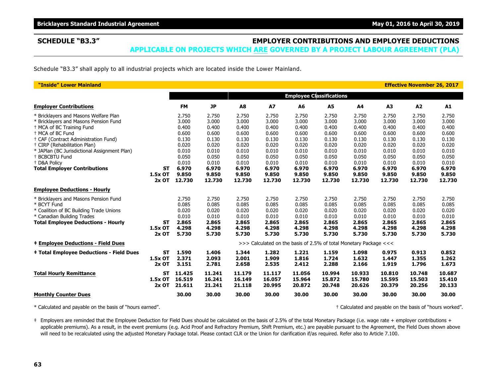### **SCHEDULE "B3.3" EMPLOYER CONTRIBUTIONS AND EMPLOYEE DEDUCTIONS APPLICABLE ON PROJECTS WHICH ARE GOVERNED BY A PROJECT LABOUR AGREEMENT (PLA)**

Schedule "B3.3" shall apply to all industrial projects which are located inside the Lower Mainland.

| "Inside" Lower Mainland                         |           |           |           |                |                                                                   |                                 |        |        |                | <b>Effective November 26, 2017</b> |        |
|-------------------------------------------------|-----------|-----------|-----------|----------------|-------------------------------------------------------------------|---------------------------------|--------|--------|----------------|------------------------------------|--------|
|                                                 |           |           |           |                |                                                                   | <b>Employee Classifications</b> |        |        |                |                                    |        |
| <b>Employer Contributions</b>                   |           | <b>FM</b> | <b>JP</b> | A <sub>8</sub> | <b>A7</b>                                                         | A6                              | A5     | A4     | A <sub>3</sub> | A2                                 | A1     |
| * Bricklayers and Masons Welfare Plan           |           | 2.750     | 2.750     | 2.750          | 2.750                                                             | 2.750                           | 2.750  | 2.750  | 2.750          | 2.750                              | 2.750  |
| * Bricklayers and Masons Pension Fund           |           | 3.000     | 3.000     | 3.000          | 3.000                                                             | 3.000                           | 3.000  | 3.000  | 3.000          | 3.000                              | 3.000  |
| + MCA of BC Training Fund                       |           | 0.400     | 0.400     | 0.400          | 0.400                                                             | 0.400                           | 0.400  | 0.400  | 0.400          | 0.400                              | 0.400  |
| <sup>+</sup> MCA of BC Fund                     |           | 0.600     | 0.600     | 0.600          | 0.600                                                             | 0.600                           | 0.600  | 0.600  | 0.600          | 0.600                              | 0.600  |
| + CAF (Contract Administration Fund)            |           | 0.130     | 0.130     | 0.130          | 0.130                                                             | 0.130                           | 0.130  | 0.130  | 0.130          | 0.130                              | 0.130  |
| <sup>†</sup> CIRP (Rehabilitation Plan)         |           | 0.020     | 0.020     | 0.020          | 0.020                                                             | 0.020                           | 0.020  | 0.020  | 0.020          | 0.020                              | 0.020  |
| * JAPlan (BC Jurisdictional Assignment Plan)    |           | 0.010     | 0.010     | 0.010          | 0.010                                                             | 0.010                           | 0.010  | 0.010  | 0.010          | 0.010                              | 0.010  |
| <sup>+</sup> BCBCBTU Fund                       |           | 0.050     | 0.050     | 0.050          | 0.050                                                             | 0.050                           | 0.050  | 0.050  | 0.050          | 0.050                              | 0.050  |
| <sup>+</sup> D&A Policv                         |           | 0.010     | 0.010     | 0.010          | 0.010                                                             | 0.010                           | 0.010  | 0.010  | 0.010          | 0.010                              | 0.010  |
| <b>Total Employer Contributions</b>             | <b>ST</b> | 6.970     | 6.970     | 6.970          | 6.970                                                             | 6.970                           | 6.970  | 6.970  | 6.970          | 6.970                              | 6.970  |
|                                                 | 1.5x OT   | 9.850     | 9.850     | 9.850          | 9.850                                                             | 9.850                           | 9.850  | 9.850  | 9.850          | 9.850                              | 9.850  |
|                                                 | $2x$ OT   | 12.730    | 12.730    | 12.730         | 12.730                                                            | 12.730                          | 12.730 | 12.730 | 12.730         | 12.730                             | 12.730 |
| <b>Employee Deductions - Hourly</b>             |           |           |           |                |                                                                   |                                 |        |        |                |                                    |        |
| * Bricklayers and Masons Pension Fund           |           | 2.750     | 2.750     | 2.750          | 2.750                                                             | 2.750                           | 2.750  | 2.750  | 2.750          | 2.750                              | 2.750  |
| * BCYT Fund                                     |           | 0.085     | 0.085     | 0.085          | 0.085                                                             | 0.085                           | 0.085  | 0.085  | 0.085          | 0.085                              | 0.085  |
| * Coalition of BC Building Trade Unions         |           | 0.020     | 0.020     | 0.020          | 0.020                                                             | 0.020                           | 0.020  | 0.020  | 0.020          | 0.020                              | 0.020  |
| * Canadian Building Trades                      |           | 0.010     | 0.010     | 0.010          | 0.010                                                             | 0.010                           | 0.010  | 0.010  | 0.010          | 0.010                              | 0.010  |
| <b>Total Employee Deductions - Hourly</b>       | ST        | 2.865     | 2.865     | 2.865          | 2.865                                                             | 2.865                           | 2.865  | 2.865  | 2.865          | 2.865                              | 2.865  |
|                                                 | $1.5x$ OT | 4.298     | 4.298     | 4.298          | 4.298                                                             | 4.298                           | 4.298  | 4.298  | 4.298          | 4.298                              | 4.298  |
|                                                 | 2x OT     | 5.730     | 5.730     | 5.730          | 5.730                                                             | 5.730                           | 5.730  | 5.730  | 5.730          | 5.730                              | 5.730  |
| <b>‡ Employee Deductions - Field Dues</b>       |           |           |           |                | >>> Calculated on the basis of 2.5% of total Monetary Package <<< |                                 |        |        |                |                                    |        |
| <b>‡ Total Employee Deductions - Field Dues</b> | <b>ST</b> | 1.590     | 1.406     | 1.344          | 1.282                                                             | 1.221                           | 1.159  | 1.098  | 0.975          | 0.913                              | 0.852  |
|                                                 | 1.5x OT   | 2.371     | 2.093     | 2.001          | 1.909                                                             | 1.816                           | 1.724  | 1.632  | 1.447          | 1.355                              | 1.262  |
|                                                 | 2x OT     | 3.151     | 2.781     | 2.658          | 2.535                                                             | 2.412                           | 2.288  | 2.166  | 1.919          | 1.796                              | 1.673  |
| <b>Total Hourly Remittance</b>                  | <b>ST</b> | 11.425    | 11.241    | 11.179         | 11.117                                                            | 11.056                          | 10.994 | 10.933 | 10.810         | 10.748                             | 10.687 |
|                                                 | 1.5x OT   | 16.519    | 16.241    | 16.149         | 16.057                                                            | 15.964                          | 15.872 | 15.780 | 15.595         | 15.503                             | 15.410 |
|                                                 | 2x OT     | 21.611    | 21.241    | 21.118         | 20.995                                                            | 20.872                          | 20.748 | 20.626 | 20.379         | 20.256                             | 20.133 |
| <b>Monthly Counter Dues</b>                     |           | 30.00     | 30.00     | 30.00          | 30.00                                                             | 30.00                           | 30.00  | 30.00  | 30.00          | 30.00                              | 30.00  |

\* Calculated and payable on the basis of "hours earned". † Calculated and payable on the basis of "hours worked".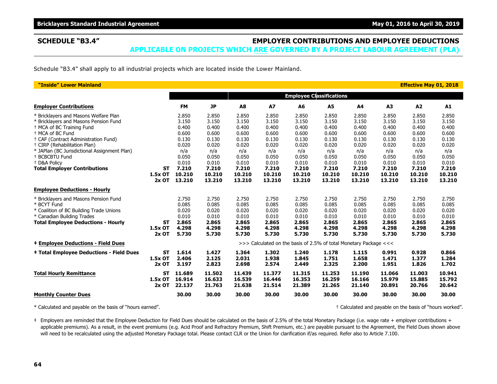## **SCHEDULE "B3.4" EMPLOYER CONTRIBUTIONS AND EMPLOYEE DEDUCTIONS**

**APPLICABLE ON PROJECTS WHICH ARE GOVERNED BY A PROJECT LABOUR AGREEMENT (PLA)**

Schedule "B3.4" shall apply to all industrial projects which are located inside the Lower Mainland.

| "Inside" Lower Mainland                                                                 |                  |                  |                  |                  |                                                                   |                                 |                  |                  |                  | <b>Effective May 01, 2018</b> |                  |
|-----------------------------------------------------------------------------------------|------------------|------------------|------------------|------------------|-------------------------------------------------------------------|---------------------------------|------------------|------------------|------------------|-------------------------------|------------------|
|                                                                                         |                  |                  |                  |                  |                                                                   | <b>Employee Classifications</b> |                  |                  |                  |                               |                  |
| <b>Employer Contributions</b>                                                           |                  | <b>FM</b>        | <b>JP</b>        | A8               | <b>A7</b>                                                         | A6                              | A5               | A4               | A3               | A2                            | A1               |
| * Bricklayers and Masons Welfare Plan                                                   |                  | 2.850            | 2.850            | 2.850            | 2.850                                                             | 2.850                           | 2.850            | 2.850            | 2.850            | 2.850                         | 2.850            |
| * Bricklayers and Masons Pension Fund<br><sup>+</sup> MCA of BC Training Fund           |                  | 3.150<br>0.400   | 3.150<br>0.400   | 3.150<br>0.400   | 3.150<br>0.400                                                    | 3.150<br>0.400                  | 3.150<br>0.400   | 3.150<br>0.400   | 3.150<br>0.400   | 3.150<br>0.400                | 3.150<br>0.400   |
| <sup>+</sup> MCA of BC Fund                                                             |                  | 0.600            | 0.600            | 0.600            | 0.600                                                             | 0.600                           | 0.600            | 0.600            | 0.600            | 0.600                         | 0.600            |
| + CAF (Contract Administration Fund)                                                    |                  | 0.130            | 0.130            | 0.130            | 0.130                                                             | 0.130                           | 0.130            | 0.130            | 0.130            | 0.130                         | 0.130            |
| <sup>†</sup> CIRP (Rehabilitation Plan)<br>* JAPlan (BC Jurisdictional Assignment Plan) |                  | 0.020<br>n/a     | 0.020<br>n/a     | 0.020<br>n/a     | 0.020<br>n/a                                                      | 0.020<br>n/a                    | 0.020<br>n/a     | 0.020<br>n/a     | 0.020<br>n/a     | 0.020<br>n/a                  | 0.020<br>n/a     |
| <sup>+</sup> BCBCBTU Fund                                                               |                  | 0.050            | 0.050            | 0.050            | 0.050                                                             | 0.050                           | 0.050            | 0.050            | 0.050            | 0.050                         | 0.050            |
| + D&A Policy                                                                            |                  | 0.010            | 0.010            | 0.010            | 0.010                                                             | 0.010                           | 0.010            | 0.010            | 0.010            | 0.010                         | 0.010            |
| <b>Total Employer Contributions</b>                                                     | <b>ST</b>        | 7.210            | 7.210            | 7.210            | 7.210                                                             | 7.210                           | 7.210            | 7.210            | 7.210            | 7.210                         | 7.210            |
|                                                                                         | 1.5x OT<br>2x OT | 10.210           | 10.210           | 10.210           | 10.210                                                            | 10.210                          | 10.210           | 10.210           | 10.210           | 10.210                        | 10.210           |
|                                                                                         |                  | 13.210           | 13.210           | 13.210           | 13.210                                                            | 13.210                          | 13.210           | 13.210           | 13.210           | 13.210                        | 13.210           |
| <b>Employee Deductions - Hourly</b>                                                     |                  |                  |                  |                  |                                                                   |                                 |                  |                  |                  |                               |                  |
| * Bricklayers and Masons Pension Fund                                                   |                  | 2.750            | 2.750            | 2.750            | 2.750                                                             | 2.750                           | 2.750            | 2.750            | 2.750            | 2.750                         | 2.750            |
| * BCYT Fund                                                                             |                  | 0.085            | 0.085            | 0.085            | 0.085                                                             | 0.085                           | 0.085            | 0.085            | 0.085            | 0.085                         | 0.085            |
| * Coalition of BC Building Trade Unions                                                 |                  | 0.020            | 0.020<br>0.010   | 0.020            | 0.020                                                             | 0.020                           | 0.020            | 0.020<br>0.010   | 0.020            | 0.020<br>0.010                | 0.020<br>0.010   |
| * Canadian Building Trades<br><b>Total Employee Deductions - Hourly</b>                 | ST               | 0.010<br>2.865   | 2.865            | 0.010<br>2.865   | 0.010<br>2.865                                                    | 0.010<br>2.865                  | 0.010<br>2.865   | 2.865            | 0.010<br>2.865   | 2.865                         | 2.865            |
|                                                                                         | 1.5x OT          | 4.298            | 4.298            | 4.298            | 4.298                                                             | 4.298                           | 4.298            | 4.298            | 4.298            | 4.298                         | 4.298            |
|                                                                                         | $2x$ OT          | 5.730            | 5.730            | 5.730            | 5.730                                                             | 5.730                           | 5.730            | 5.730            | 5.730            | 5.730                         | 5.730            |
| <b>‡ Employee Deductions - Field Dues</b>                                               |                  |                  |                  |                  | >>> Calculated on the basis of 2.5% of total Monetary Package <<< |                                 |                  |                  |                  |                               |                  |
| <b>‡ Total Employee Deductions - Field Dues</b>                                         | ST               | 1.614            | 1.427            | 1.364            | 1.302                                                             | 1.240                           | 1.178            | 1.115            | 0.991            | 0.928                         | 0.866            |
|                                                                                         | 1.5x OT          | 2.406            | 2.125            | 2.031            | 1.938                                                             | 1.845                           | 1.751            | 1.658            | 1.471            | 1.377                         | 1.284            |
|                                                                                         | $2x$ OT          | 3.197            | 2.823            | 2.698            | 2.574                                                             | 2.449                           | 2.325            | 2.200            | 1.951            | 1.826                         | 1.702            |
| <b>Total Hourly Remittance</b>                                                          | <b>ST</b>        | 11.689           | 11.502           | 11.439           | 11.377                                                            | 11.315                          | 11.253           | 11.190           | 11.066           | 11.003                        | 10.941           |
|                                                                                         | 1.5x OT<br>2x OT | 16.914<br>22.137 | 16.633<br>21.763 | 16.539<br>21.638 | 16.446<br>21.514                                                  | 16.353<br>21.389                | 16.259<br>21.265 | 16.166<br>21.140 | 15.979<br>20.891 | 15.885<br>20.766              | 15.792<br>20.642 |
| <b>Monthly Counter Dues</b>                                                             |                  | 30.00            | 30.00            | 30.00            | 30.00                                                             | 30.00                           | 30.00            | 30.00            | 30.00            | 30.00                         | 30.00            |

\* Calculated and payable on the basis of "hours earned". † Calculated and payable on the basis of "hours worked".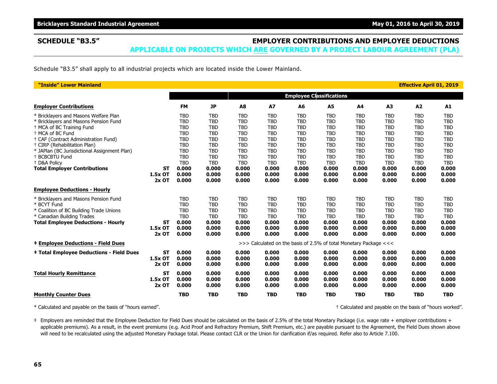# **SCHEDULE "B3.5" EMPLOYER CONTRIBUTIONS AND EMPLOYEE DEDUCTIONS**

**APPLICABLE ON PROJECTS WHICH ARE GOVERNED BY A PROJECT LABOUR AGREEMENT (PLA)**

Schedule "B3.5" shall apply to all industrial projects which are located inside the Lower Mainland.

| "Inside" Lower Mainland                         |           |            |            |            |            |                                                                   |                |            |            | <b>Effective April 01, 2019</b> |            |
|-------------------------------------------------|-----------|------------|------------|------------|------------|-------------------------------------------------------------------|----------------|------------|------------|---------------------------------|------------|
|                                                 |           |            |            |            |            | <b>Employee Classifications</b>                                   |                |            |            |                                 |            |
| <b>Employer Contributions</b>                   |           | <b>FM</b>  | <b>JP</b>  | A8         | <b>A7</b>  | A6                                                                | A <sub>5</sub> | A4         | A3         | A2                              | A1         |
| * Bricklayers and Masons Welfare Plan           |           | <b>TBD</b> | <b>TBD</b> | <b>TBD</b> | <b>TBD</b> | <b>TBD</b>                                                        | <b>TBD</b>     | <b>TBD</b> | <b>TBD</b> | <b>TBD</b>                      | <b>TBD</b> |
| * Bricklayers and Masons Pension Fund           |           | <b>TBD</b> | <b>TBD</b> | <b>TBD</b> | <b>TBD</b> | <b>TBD</b>                                                        | <b>TBD</b>     | <b>TBD</b> | <b>TBD</b> | <b>TBD</b>                      | <b>TBD</b> |
| <sup>+</sup> MCA of BC Training Fund            |           | <b>TBD</b> | <b>TBD</b> | <b>TBD</b> | <b>TBD</b> | <b>TBD</b>                                                        | <b>TBD</b>     | <b>TBD</b> | <b>TBD</b> | <b>TBD</b>                      | <b>TBD</b> |
| <sup>+</sup> MCA of BC Fund                     |           | <b>TBD</b> | <b>TBD</b> | <b>TBD</b> | <b>TBD</b> | <b>TBD</b>                                                        | <b>TBD</b>     | <b>TBD</b> | <b>TBD</b> | <b>TBD</b>                      | <b>TBD</b> |
| + CAF (Contract Administration Fund)            |           | <b>TBD</b> | <b>TBD</b> | <b>TBD</b> | <b>TBD</b> | <b>TBD</b>                                                        | <b>TBD</b>     | <b>TBD</b> | <b>TBD</b> | <b>TBD</b>                      | <b>TBD</b> |
| <sup>+</sup> CIRP (Rehabilitation Plan)         |           | <b>TBD</b> | <b>TBD</b> | <b>TBD</b> | <b>TBD</b> | <b>TBD</b>                                                        | <b>TBD</b>     | <b>TBD</b> | <b>TBD</b> | <b>TBD</b>                      | <b>TBD</b> |
| * JAPlan (BC Jurisdictional Assignment Plan)    |           | <b>TBD</b> | <b>TBD</b> | <b>TBD</b> | <b>TBD</b> | <b>TBD</b>                                                        | <b>TBD</b>     | <b>TBD</b> | <b>TBD</b> | <b>TBD</b>                      | <b>TBD</b> |
| <sup>+</sup> BCBCBTU Fund                       |           | <b>TBD</b> | <b>TBD</b> | <b>TBD</b> | <b>TBD</b> | <b>TBD</b>                                                        | <b>TBD</b>     | <b>TBD</b> | <b>TBD</b> | <b>TBD</b>                      | <b>TBD</b> |
| + D&A Policy                                    |           | <b>TBD</b> | <b>TBD</b> | <b>TBD</b> | <b>TBD</b> | <b>TBD</b>                                                        | <b>TBD</b>     | <b>TBD</b> | <b>TBD</b> | <b>TBD</b>                      | <b>TBD</b> |
| <b>Total Employer Contributions</b>             | <b>ST</b> | 0.000      | 0.000      | 0.000      | 0.000      | 0.000                                                             | 0.000          | 0.000      | 0.000      | 0.000                           | 0.000      |
|                                                 | 1.5x OT   | 0.000      | 0.000      | 0.000      | 0.000      | 0.000                                                             | 0.000          | 0.000      | 0.000      | 0.000                           | 0.000      |
|                                                 | $2x$ OT   | 0.000      | 0.000      | 0.000      | 0.000      | 0.000                                                             | 0.000          | 0.000      | 0.000      | 0.000                           | 0.000      |
| <b>Employee Deductions - Hourly</b>             |           |            |            |            |            |                                                                   |                |            |            |                                 |            |
| * Bricklayers and Masons Pension Fund           |           | <b>TBD</b> | <b>TBD</b> | <b>TBD</b> | <b>TBD</b> | <b>TBD</b>                                                        | <b>TBD</b>     | <b>TBD</b> | <b>TBD</b> | <b>TBD</b>                      | <b>TBD</b> |
| * BCYT Fund                                     |           | <b>TBD</b> | <b>TBD</b> | <b>TBD</b> | <b>TBD</b> | <b>TBD</b>                                                        | <b>TBD</b>     | <b>TBD</b> | <b>TBD</b> | <b>TBD</b>                      | <b>TBD</b> |
| * Coalition of BC Building Trade Unions         |           | <b>TBD</b> | <b>TBD</b> | <b>TBD</b> | <b>TBD</b> | <b>TBD</b>                                                        | <b>TBD</b>     | <b>TBD</b> | <b>TBD</b> | <b>TBD</b>                      | <b>TBD</b> |
| * Canadian Building Trades                      |           | <b>TBD</b> | <b>TBD</b> | <b>TBD</b> | <b>TBD</b> | <b>TBD</b>                                                        | <b>TBD</b>     | <b>TBD</b> | <b>TBD</b> | <b>TBD</b>                      | <b>TBD</b> |
| <b>Total Employee Deductions - Hourly</b>       | <b>ST</b> | 0.000      | 0.000      | 0.000      | 0.000      | 0.000                                                             | 0.000          | 0.000      | 0.000      | 0.000                           | 0.000      |
|                                                 | 1.5x OT   | 0.000      | 0.000      | 0.000      | 0.000      | 0.000                                                             | 0.000          | 0.000      | 0.000      | 0.000                           | 0.000      |
|                                                 | $2x$ OT   | 0.000      | 0.000      | 0.000      | 0.000      | 0.000                                                             | 0.000          | 0.000      | 0.000      | 0.000                           | 0.000      |
| <b>‡ Employee Deductions - Field Dues</b>       |           |            |            |            |            | >>> Calculated on the basis of 2.5% of total Monetary Package <<< |                |            |            |                                 |            |
| <b>‡ Total Employee Deductions - Field Dues</b> | <b>ST</b> | 0.000      | 0.000      | 0.000      | 0.000      | 0.000                                                             | 0.000          | 0.000      | 0.000      | 0.000                           | 0.000      |
|                                                 | 1.5x OT   | 0.000      | 0.000      | 0.000      | 0.000      | 0.000                                                             | 0.000          | 0.000      | 0.000      | 0.000                           | 0.000      |
|                                                 | $2x$ OT   | 0.000      | 0.000      | 0.000      | 0.000      | 0.000                                                             | 0.000          | 0.000      | 0.000      | 0.000                           | 0.000      |
| <b>Total Hourly Remittance</b>                  | <b>ST</b> | 0.000      | 0.000      | 0.000      | 0.000      | 0.000                                                             | 0.000          | 0.000      | 0.000      | 0.000                           | 0.000      |
|                                                 | 1.5x OT   | 0.000      | 0.000      | 0.000      | 0.000      | 0.000                                                             | 0.000          | 0.000      | 0.000      | 0.000                           | 0.000      |
|                                                 | $2x$ OT   | 0.000      | 0.000      | 0.000      | 0.000      | 0.000                                                             | 0.000          | 0.000      | 0.000      | 0.000                           | 0.000      |
| <b>Monthly Counter Dues</b>                     |           | <b>TBD</b> | <b>TBD</b> | <b>TBD</b> | <b>TBD</b> | <b>TBD</b>                                                        | <b>TBD</b>     | <b>TBD</b> | <b>TBD</b> | <b>TBD</b>                      | <b>TBD</b> |
|                                                 |           |            |            |            |            |                                                                   |                |            |            |                                 |            |

\* Calculated and payable on the basis of "hours earned". † Calculated and payable on the basis of "hours worked".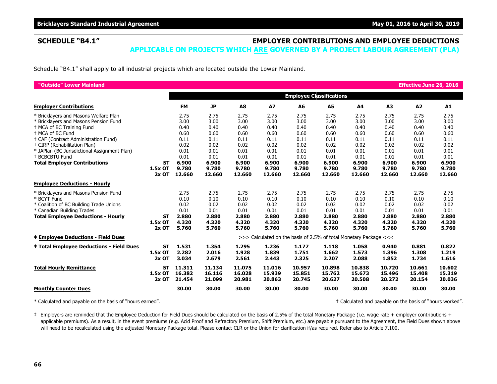## **SCHEDULE "B4.1" EMPLOYER CONTRIBUTIONS AND EMPLOYEE DEDUCTIONS**

**APPLICABLE ON PROJECTS WHICH ARE GOVERNED BY A PROJECT LABOUR AGREEMENT (PLA)**

Schedule "B4.1" shall apply to all industrial projects which are located outside the Lower Mainland.

| "Outside" Lower Mainland                                                                                                                                                                                                                                                                                                                          |                                 |                                                                       |                                                                       |                                                                       |                                                                       |                                                                       |                                                                       |                                                                       |                                                                       | <b>Effective June 26, 2016</b>                                        |                                                                       |
|---------------------------------------------------------------------------------------------------------------------------------------------------------------------------------------------------------------------------------------------------------------------------------------------------------------------------------------------------|---------------------------------|-----------------------------------------------------------------------|-----------------------------------------------------------------------|-----------------------------------------------------------------------|-----------------------------------------------------------------------|-----------------------------------------------------------------------|-----------------------------------------------------------------------|-----------------------------------------------------------------------|-----------------------------------------------------------------------|-----------------------------------------------------------------------|-----------------------------------------------------------------------|
|                                                                                                                                                                                                                                                                                                                                                   |                                 |                                                                       |                                                                       |                                                                       |                                                                       |                                                                       | <b>Employee Classifications</b>                                       |                                                                       |                                                                       |                                                                       |                                                                       |
| <b>Employer Contributions</b>                                                                                                                                                                                                                                                                                                                     |                                 | <b>FM</b>                                                             | <b>JP</b>                                                             | A8                                                                    | A7                                                                    | A6                                                                    | A5                                                                    | A4                                                                    | A3                                                                    | A2                                                                    | A1                                                                    |
| * Bricklayers and Masons Welfare Plan<br>* Bricklayers and Masons Pension Fund<br>+ MCA of BC Training Fund<br><sup>+</sup> MCA of BC Fund<br>+ CAF (Contract Administration Fund)<br><sup>†</sup> CIRP (Rehabilitation Plan)<br>* JAPlan (BC Jurisdictional Assignment Plan)<br><sup>+</sup> BCBCBTU Fund<br><b>Total Employer Contributions</b> | <b>ST</b>                       | 2.75<br>3.00<br>0.40<br>0.60<br>0.11<br>0.02<br>0.01<br>0.01<br>6.900 | 2.75<br>3.00<br>0.40<br>0.60<br>0.11<br>0.02<br>0.01<br>0.01<br>6.900 | 2.75<br>3.00<br>0.40<br>0.60<br>0.11<br>0.02<br>0.01<br>0.01<br>6.900 | 2.75<br>3.00<br>0.40<br>0.60<br>0.11<br>0.02<br>0.01<br>0.01<br>6.900 | 2.75<br>3.00<br>0.40<br>0.60<br>0.11<br>0.02<br>0.01<br>0.01<br>6.900 | 2.75<br>3.00<br>0.40<br>0.60<br>0.11<br>0.02<br>0.01<br>0.01<br>6.900 | 2.75<br>3.00<br>0.40<br>0.60<br>0.11<br>0.02<br>0.01<br>0.01<br>6.900 | 2.75<br>3.00<br>0.40<br>0.60<br>0.11<br>0.02<br>0.01<br>0.01<br>6.900 | 2.75<br>3.00<br>0.40<br>0.60<br>0.11<br>0.02<br>0.01<br>0.01<br>6.900 | 2.75<br>3.00<br>0.40<br>0.60<br>0.11<br>0.02<br>0.01<br>0.01<br>6.900 |
|                                                                                                                                                                                                                                                                                                                                                   | 1.5x OT<br>$2x$ OT              | 9.780<br>12.660                                                       | 9.780<br>12.660                                                       | 9.780<br>12.660                                                       | 9.780<br>12.660                                                       | 9.780<br>12.660                                                       | 9.780<br>12.660                                                       | 9.780<br>12.660                                                       | 9.780<br>12.660                                                       | 9.780<br>12.660                                                       | 9.780<br>12.660                                                       |
| <b>Employee Deductions - Hourly</b>                                                                                                                                                                                                                                                                                                               |                                 |                                                                       |                                                                       |                                                                       |                                                                       |                                                                       |                                                                       |                                                                       |                                                                       |                                                                       |                                                                       |
| * Bricklayers and Masons Pension Fund<br>* BCYT Fund<br>* Coalition of BC Building Trade Unions<br>* Canadian Building Trades<br><b>Total Employee Deductions - Hourly</b>                                                                                                                                                                        | ST<br>1.5x OT<br>$2x$ OT        | 2.75<br>0.10<br>0.02<br>0.01<br>2.880<br>4.320<br>5.760               | 2.75<br>0.10<br>0.02<br>0.01<br>2.880<br>4.320<br>5.760               | 2.75<br>0.10<br>0.02<br>0.01<br>2.880<br>4.320<br>5.760               | 2.75<br>0.10<br>0.02<br>0.01<br>2.880<br>4.320<br>5.760               | 2.75<br>0.10<br>0.02<br>0.01<br>2.880<br>4.320<br>5.760               | 2.75<br>0.10<br>0.02<br>0.01<br>2.880<br>4.320<br>5.760               | 2.75<br>0.10<br>0.02<br>0.01<br>2.880<br>4.320<br>5.760               | 2.75<br>0.10<br>0.02<br>0.01<br>2.880<br>4.320<br>5.760               | 2.75<br>0.10<br>0.02<br>0.01<br>2.880<br>4.320<br>5.760               | 2.75<br>0.10<br>0.02<br>0.01<br>2.880<br>4.320<br>5.760               |
| <b>‡ Employee Deductions - Field Dues</b>                                                                                                                                                                                                                                                                                                         |                                 |                                                                       |                                                                       |                                                                       | >>> Calculated on the basis of 2.5% of total Monetary Package <<<     |                                                                       |                                                                       |                                                                       |                                                                       |                                                                       |                                                                       |
| <b>‡ Total Employee Deductions - Field Dues</b>                                                                                                                                                                                                                                                                                                   | ST<br>1.5x OT<br>$2x$ OT        | 1.531<br>2.282<br>3.034                                               | 1.354<br>2.016<br>2.679                                               | 1.295<br>1.928<br>2.561                                               | 1.236<br>1.839<br>2.443                                               | 1.177<br>1.751<br>2.325                                               | 1.118<br>1.662<br>2.207                                               | 1.058<br>1.573<br>2.088                                               | 0.940<br>1.396<br>1.852                                               | 0.881<br>1.308<br>1.734                                               | 0.822<br>1.219<br>1.616                                               |
| <b>Total Hourly Remittance</b>                                                                                                                                                                                                                                                                                                                    | <b>ST</b><br>1.5x OT<br>$2x$ OT | 11.311<br>16.382<br>21.454                                            | 11.134<br>16.116<br>21.099                                            | 11.075<br>16.028<br>20.981                                            | 11.016<br>15.939<br>20.863                                            | 10.957<br>15.851<br>20.745                                            | 10.898<br>15.762<br>20.627                                            | 10.838<br>15.673<br>20.508                                            | 10.720<br>15.496<br>20.272                                            | 10.661<br>15.408<br>20.154                                            | 10.602<br>15.319<br>20.036                                            |
| <b>Monthly Counter Dues</b>                                                                                                                                                                                                                                                                                                                       |                                 | 30.00                                                                 | 30.00                                                                 | 30.00                                                                 | 30.00                                                                 | 30.00                                                                 | 30.00                                                                 | 30.00                                                                 | 30.00                                                                 | 30.00                                                                 | 30.00                                                                 |

\* Calculated and payable on the basis of "hours earned". † Calculated and payable on the basis of "hours worked".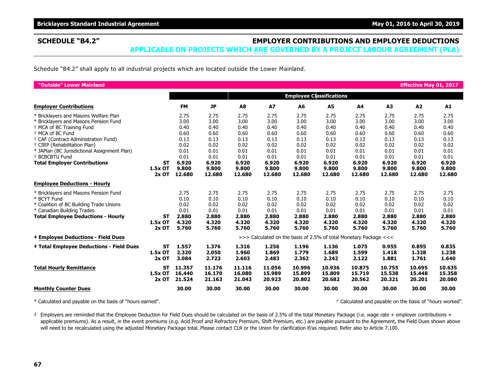## **SCHEDULE "B4.2" EMPLOYER CONTRIBUTIONS AND EMPLOYEE DEDUCTIONS**

**APPLICABLE ON PROJECTS WHICH ARE GOVERNED BY A PROJECT LABOUR AGREEMENT (PLA)**

Schedule "B4.2" shall apply to all industrial projects which are located outside the Lower Mainland.

| "Outside" Lower Mainland                                                                                                                                                                                                                                                                                                                                     |                                 |                                                                                |                                                                                |                                                                                |                                                                                |                                                                                |                                                                                |                                                                                |                                                                                | <b>Effective May 01, 2017</b>                                                  |                                                                                |
|--------------------------------------------------------------------------------------------------------------------------------------------------------------------------------------------------------------------------------------------------------------------------------------------------------------------------------------------------------------|---------------------------------|--------------------------------------------------------------------------------|--------------------------------------------------------------------------------|--------------------------------------------------------------------------------|--------------------------------------------------------------------------------|--------------------------------------------------------------------------------|--------------------------------------------------------------------------------|--------------------------------------------------------------------------------|--------------------------------------------------------------------------------|--------------------------------------------------------------------------------|--------------------------------------------------------------------------------|
|                                                                                                                                                                                                                                                                                                                                                              |                                 |                                                                                |                                                                                |                                                                                |                                                                                |                                                                                | <b>Employee Classifications</b>                                                |                                                                                |                                                                                |                                                                                |                                                                                |
| <b>Employer Contributions</b>                                                                                                                                                                                                                                                                                                                                |                                 | <b>FM</b>                                                                      | <b>JP</b>                                                                      | A8                                                                             | A7                                                                             | A6                                                                             | A5                                                                             | A4                                                                             | A3                                                                             | A2                                                                             | A1                                                                             |
| * Bricklayers and Masons Welfare Plan<br>* Bricklayers and Masons Pension Fund<br><sup>+</sup> MCA of BC Training Fund<br><sup>+</sup> MCA of BC Fund<br>† CAF (Contract Administration Fund)<br><sup>†</sup> CIRP (Rehabilitation Plan)<br>* JAPlan (BC Jurisdictional Assignment Plan)<br><sup>+</sup> BCBCBTU Fund<br><b>Total Employer Contributions</b> | <b>ST</b><br>1.5x OT            | 2.75<br>3.00<br>0.40<br>0.60<br>0.13<br>0.02<br>0.01<br>0.01<br>6.920<br>9.800 | 2.75<br>3.00<br>0.40<br>0.60<br>0.13<br>0.02<br>0.01<br>0.01<br>6.920<br>9.800 | 2.75<br>3.00<br>0.40<br>0.60<br>0.13<br>0.02<br>0.01<br>0.01<br>6.920<br>9.800 | 2.75<br>3.00<br>0.40<br>0.60<br>0.13<br>0.02<br>0.01<br>0.01<br>6.920<br>9.800 | 2.75<br>3.00<br>0.40<br>0.60<br>0.13<br>0.02<br>0.01<br>0.01<br>6.920<br>9.800 | 2.75<br>3.00<br>0.40<br>0.60<br>0.13<br>0.02<br>0.01<br>0.01<br>6.920<br>9.800 | 2.75<br>3.00<br>0.40<br>0.60<br>0.13<br>0.02<br>0.01<br>0.01<br>6.920<br>9.800 | 2.75<br>3.00<br>0.40<br>0.60<br>0.13<br>0.02<br>0.01<br>0.01<br>6.920<br>9.800 | 2.75<br>3.00<br>0.40<br>0.60<br>0.13<br>0.02<br>0.01<br>0.01<br>6.920<br>9.800 | 2.75<br>3.00<br>0.40<br>0.60<br>0.13<br>0.02<br>0.01<br>0.01<br>6.920<br>9.800 |
|                                                                                                                                                                                                                                                                                                                                                              | $2x$ OT                         | 12.680                                                                         | 12.680                                                                         | 12.680                                                                         | 12.680                                                                         | 12.680                                                                         | 12.680                                                                         | 12.680                                                                         | 12.680                                                                         | 12.680                                                                         | 12.680                                                                         |
| <b>Employee Deductions - Hourly</b>                                                                                                                                                                                                                                                                                                                          |                                 |                                                                                |                                                                                |                                                                                |                                                                                |                                                                                |                                                                                |                                                                                |                                                                                |                                                                                |                                                                                |
| * Bricklayers and Masons Pension Fund<br>* BCYT Fund<br>* Coalition of BC Building Trade Unions<br>* Canadian Building Trades<br><b>Total Employee Deductions - Hourly</b>                                                                                                                                                                                   | <b>ST</b><br>1.5x OT<br>$2x$ OT | 2.75<br>0.10<br>0.02<br>0.01<br>2.880<br>4.320<br>5.760                        | 2.75<br>0.10<br>0.02<br>0.01<br>2.880<br>4.320<br>5.760                        | 2.75<br>0.10<br>0.02<br>0.01<br>2.880<br>4.320<br>5.760                        | 2.75<br>0.10<br>0.02<br>0.01<br>2.880<br>4.320<br>5.760                        | 2.75<br>0.10<br>0.02<br>0.01<br>2.880<br>4.320<br>5.760                        | 2.75<br>0.10<br>0.02<br>0.01<br>2.880<br>4.320<br>5.760                        | 2.75<br>0.10<br>0.02<br>0.01<br>2.880<br>4.320<br>5.760                        | 2.75<br>0.10<br>0.02<br>0.01<br>2.880<br>4.320<br>5.760                        | 2.75<br>0.10<br>0.02<br>0.01<br>2.880<br>4.320<br>5.760                        | 2.75<br>0.10<br>0.02<br>0.01<br>2.880<br>4.320<br>5.760                        |
| <b>‡ Employee Deductions - Field Dues</b>                                                                                                                                                                                                                                                                                                                    |                                 |                                                                                |                                                                                |                                                                                | >>> Calculated on the basis of 2.5% of total Monetary Package <<<              |                                                                                |                                                                                |                                                                                |                                                                                |                                                                                |                                                                                |
| <b>‡ Total Employee Deductions - Field Dues</b>                                                                                                                                                                                                                                                                                                              | <b>ST</b><br>1.5x OT<br>$2x$ OT | 1.557<br>2.320<br>3.084                                                        | 1.376<br>2.050<br>2.723                                                        | 1.316<br>1.960<br>2.603                                                        | 1.256<br>1.869<br>2.483                                                        | 1.196<br>1.779<br>2.362                                                        | 1.136<br>1.689<br>2.242                                                        | 1.075<br>1.599<br>2.122                                                        | 0.955<br>1.418<br>1.881                                                        | 0.895<br>1.328<br>1.761                                                        | 0.835<br>1.238<br>1.640                                                        |
| <b>Total Hourly Remittance</b>                                                                                                                                                                                                                                                                                                                               | <b>ST</b><br>1.5x OT<br>$2x$ OT | 11.357<br>16.440<br>21.524                                                     | 11.176<br>16.170<br>21.163                                                     | 11.116<br>16.080<br>21.043                                                     | 11.056<br>15.989<br>20.923                                                     | 10.996<br>15.899<br>20.802                                                     | 10.936<br>15.809<br>20.682                                                     | 10.875<br>15.719<br>20.562                                                     | 10.755<br>15.538<br>20.321                                                     | 10.695<br>15.448<br>20.201                                                     | 10.635<br>15.358<br>20.080                                                     |
| <b>Monthly Counter Dues</b>                                                                                                                                                                                                                                                                                                                                  |                                 | 30.00                                                                          | 30.00                                                                          | 30.00                                                                          | 30.00                                                                          | 30.00                                                                          | 30.00                                                                          | 30.00                                                                          | 30.00                                                                          | 30.00                                                                          | 30.00                                                                          |

\* Calculated and payable on the basis of "hours earned". † Calculated and payable on the basis of "hours worked".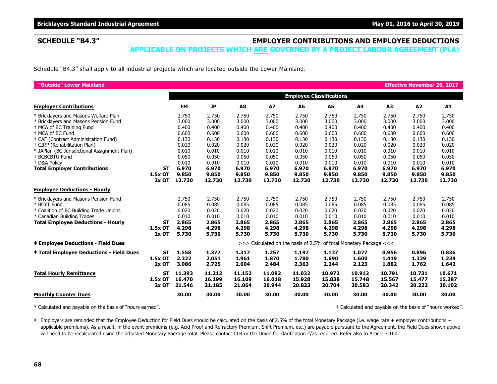**Bricklayers Standard Industrial Agreement May 01, 2016 to April 30, 2019 May 01, 2016 to April 30, 2019** 

### **SCHEDULE "B4.3" EMPLOYER CONTRIBUTIONS AND EMPLOYEE DEDUCTIONS APPLICABLE ON PROJECTS WHICH ARE GOVERNED BY A PROJECT LABOUR AGREEMENT (PLA)**

Schedule "B4.3" shall apply to all industrial projects which are located outside the Lower Mainland.

| "Outside" Lower Mainland                                       |           |                |                |                |                                                                   |                                 |                |                |                | <b>Effective November 26, 2017</b> |                |
|----------------------------------------------------------------|-----------|----------------|----------------|----------------|-------------------------------------------------------------------|---------------------------------|----------------|----------------|----------------|------------------------------------|----------------|
|                                                                |           |                |                |                |                                                                   | <b>Employee Classifications</b> |                |                |                |                                    |                |
| <b>Employer Contributions</b>                                  |           | <b>FM</b>      | <b>JP</b>      | A8             | <b>A7</b>                                                         | A6                              | A <sub>5</sub> | A4             | A3             | A2                                 | A1             |
| * Bricklayers and Masons Welfare Plan                          |           | 2.750          | 2.750          | 2.750          | 2.750                                                             | 2.750                           | 2.750          | 2.750          | 2.750          | 2.750                              | 2.750          |
| * Bricklayers and Masons Pension Fund                          |           | 3.000          | 3.000          | 3.000          | 3.000                                                             | 3.000                           | 3.000          | 3.000          | 3.000          | 3.000                              | 3.000          |
| <sup>+</sup> MCA of BC Training Fund                           |           | 0.400          | 0.400          | 0.400          | 0.400                                                             | 0.400                           | 0.400          | 0.400          | 0.400          | 0.400                              | 0.400          |
| <sup>+</sup> MCA of BC Fund                                    |           | 0.600          | 0.600          | 0.600          | 0.600                                                             | 0.600                           | 0.600          | 0.600          | 0.600          | 0.600                              | 0.600          |
| † CAF (Contract Administration Fund)                           |           | 0.130          | 0.130          | 0.130          | 0.130                                                             | 0.130                           | 0.130          | 0.130          | 0.130          | 0.130                              | 0.130          |
| <sup>+</sup> CIRP (Rehabilitation Plan)                        |           | 0.020          | 0.020          | 0.020          | 0.020                                                             | 0.020                           | 0.020          | 0.020          | 0.020          | 0.020                              | 0.020          |
| * JAPlan (BC Jurisdictional Assignment Plan)                   |           | 0.010          | 0.010          | 0.010          | 0.010                                                             | 0.010                           | 0.010          | 0.010          | 0.010          | 0.010                              | 0.010          |
| <sup>+</sup> BCBCBTU Fund                                      |           | 0.050          | 0.050<br>0.010 | 0.050          | 0.050                                                             | 0.050                           | 0.050          | 0.050          | 0.050          | 0.050<br>0.010                     | 0.050          |
| <sup>+</sup> D&A Policy<br><b>Total Employer Contributions</b> | ST        | 0.010<br>6.970 | 6.970          | 0.010<br>6.970 | 0.010<br>6.970                                                    | 0.010<br>6.970                  | 0.010<br>6.970 | 0.010<br>6.970 | 0.010<br>6.970 | 6.970                              | 0.010<br>6.970 |
|                                                                | 1.5x OT   | 9.850          | 9.850          | 9.850          | 9.850                                                             | 9.850                           | 9.850          | 9.850          | 9.850          | 9.850                              | 9.850          |
|                                                                | $2x$ OT   | 12.730         | 12.730         | 12.730         | 12.730                                                            | 12.730                          | 12.730         | 12.730         | 12.730         | 12.730                             | 12.730         |
| <b>Employee Deductions - Hourly</b>                            |           |                |                |                |                                                                   |                                 |                |                |                |                                    |                |
| * Bricklayers and Masons Pension Fund                          |           | 2.750          | 2.750          | 2.750          | 2.750                                                             | 2.750                           | 2.750          | 2.750          | 2.750          | 2.750                              | 2.750          |
| * BCYT Fund                                                    |           | 0.085          | 0.085          | 0.085          | 0.085                                                             | 0.085                           | 0.085          | 0.085          | 0.085          | 0.085                              | 0.085          |
| * Coalition of BC Building Trade Unions                        |           | 0.020          | 0.020          | 0.020          | 0.020                                                             | 0.020                           | 0.020          | 0.020          | 0.020          | 0.020                              | 0.020          |
| * Canadian Building Trades                                     |           | 0.010          | 0.010          | 0.010          | 0.010                                                             | 0.010                           | 0.010          | 0.010          | 0.010          | 0.010                              | 0.010          |
| <b>Total Employee Deductions - Hourly</b>                      | ST        | 2.865          | 2.865          | 2.865          | 2.865                                                             | 2.865                           | 2.865          | 2.865          | 2.865          | 2.865                              | 2.865          |
|                                                                | 1.5x OT   | 4.298          | 4.298          | 4.298          | 4.298                                                             | 4.298                           | 4.298          | 4.298          | 4.298          | 4.298                              | 4.298          |
|                                                                | $2x$ OT   | 5.730          | 5.730          | 5.730          | 5.730                                                             | 5.730                           | 5.730          | 5.730          | 5.730          | 5.730                              | 5.730          |
| <b>‡ Employee Deductions - Field Dues</b>                      |           |                |                |                | >>> Calculated on the basis of 2.5% of total Monetary Package <<< |                                 |                |                |                |                                    |                |
| <b>‡ Total Employee Deductions - Field Dues</b>                | <b>ST</b> | 1.558          | 1.377          | 1.317          | 1.257                                                             | 1.197                           | 1.137          | 1.077          | 0.956          | 0.896                              | 0.836          |
|                                                                | 1.5x OT   | 2.322          | 2.051          | 1.961          | 1.870                                                             | 1.780                           | 1.690          | 1.600          | 1.419          | 1.329                              | 1.239          |
|                                                                | $2x$ OT   | 3.086          | 2.725          | 2.604          | 2.484                                                             | 2.363                           | 2.244          | 2.123          | 1.882          | 1.762                              | 1.642          |
| <b>Total Hourly Remittance</b>                                 | <b>ST</b> | 11.393         | 11.212         | 11.152         | 11.092                                                            | 11.032                          | 10.972         | 10.912         | 10.791         | 10.731                             | 10.671         |
|                                                                | 1.5x OT   | 16.470         | 16.199         | 16.109         | 16.018                                                            | 15.928                          | 15.838         | 15.748         | 15.567         | 15.477                             | 15.387         |
|                                                                | $2x$ OT   | 21.546         | 21.185         | 21.064         | 20.944                                                            | 20.823                          | 20.704         | 20.583         | 20.342         | 20.222                             | 20.102         |
| <b>Monthly Counter Dues</b>                                    |           | 30.00          | 30.00          | 30.00          | 30.00                                                             | 30.00                           | 30.00          | 30.00          | 30.00          | 30.00                              | 30.00          |

\* Calculated and payable on the basis of "hours earned". † Calculated and payable on the basis of "hours worked".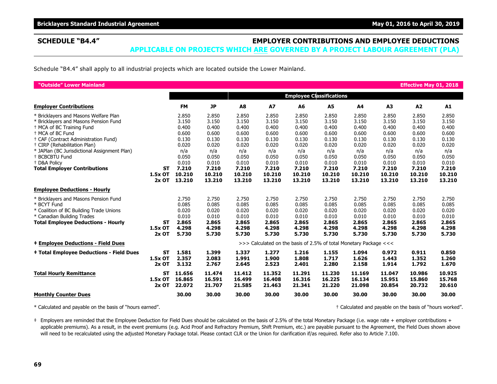# **SCHEDULE "B4.4" EMPLOYER CONTRIBUTIONS AND EMPLOYEE DEDUCTIONS**

**APPLICABLE ON PROJECTS WHICH ARE GOVERNED BY A PROJECT LABOUR AGREEMENT (PLA)**

Schedule "B4.4" shall apply to all industrial projects which are located outside the Lower Mainland.

| "Outside" Lower Mainland                                                                                                                                                                                                                                                                                   |                                 |                                                                    |                                                                    |                                                                    |                                                                    |                                                                    |                                                                    |                                                                    |                                                                    | <b>Effective May 01, 2018</b>                                      |                                                                    |
|------------------------------------------------------------------------------------------------------------------------------------------------------------------------------------------------------------------------------------------------------------------------------------------------------------|---------------------------------|--------------------------------------------------------------------|--------------------------------------------------------------------|--------------------------------------------------------------------|--------------------------------------------------------------------|--------------------------------------------------------------------|--------------------------------------------------------------------|--------------------------------------------------------------------|--------------------------------------------------------------------|--------------------------------------------------------------------|--------------------------------------------------------------------|
|                                                                                                                                                                                                                                                                                                            |                                 |                                                                    |                                                                    |                                                                    |                                                                    |                                                                    | <b>Employee Classifications</b>                                    |                                                                    |                                                                    |                                                                    |                                                                    |
| <b>Employer Contributions</b>                                                                                                                                                                                                                                                                              |                                 | <b>FM</b>                                                          | <b>JP</b>                                                          | A8                                                                 | <b>A7</b>                                                          | A <sub>6</sub>                                                     | A5                                                                 | A4                                                                 | A3                                                                 | A2                                                                 | A1                                                                 |
| * Bricklayers and Masons Welfare Plan<br>* Bricklayers and Masons Pension Fund<br>+ MCA of BC Training Fund<br><sup>+</sup> MCA of BC Fund<br>+ CAF (Contract Administration Fund)<br><sup>+</sup> CIRP (Rehabilitation Plan)<br>* JAPlan (BC Jurisdictional Assignment Plan)<br><sup>+</sup> BCBCBTU Fund |                                 | 2.850<br>3.150<br>0.400<br>0.600<br>0.130<br>0.020<br>n/a<br>0.050 | 2.850<br>3.150<br>0.400<br>0.600<br>0.130<br>0.020<br>n/a<br>0.050 | 2.850<br>3.150<br>0.400<br>0.600<br>0.130<br>0.020<br>n/a<br>0.050 | 2.850<br>3.150<br>0.400<br>0.600<br>0.130<br>0.020<br>n/a<br>0.050 | 2.850<br>3.150<br>0.400<br>0.600<br>0.130<br>0.020<br>n/a<br>0.050 | 2.850<br>3.150<br>0.400<br>0.600<br>0.130<br>0.020<br>n/a<br>0.050 | 2.850<br>3.150<br>0.400<br>0.600<br>0.130<br>0.020<br>n/a<br>0.050 | 2.850<br>3.150<br>0.400<br>0.600<br>0.130<br>0.020<br>n/a<br>0.050 | 2.850<br>3.150<br>0.400<br>0.600<br>0.130<br>0.020<br>n/a<br>0.050 | 2.850<br>3.150<br>0.400<br>0.600<br>0.130<br>0.020<br>n/a<br>0.050 |
| <sup>+</sup> D&A Policv<br><b>Total Employer Contributions</b>                                                                                                                                                                                                                                             | ST<br>1.5x OT<br>$2x$ OT        | 0.010<br>7.210<br>10.210<br>13.210                                 | 0.010<br>7.210<br>10.210<br>13.210                                 | 0.010<br>7.210<br>10.210<br>13.210                                 | 0.010<br>7.210<br>10.210<br>13.210                                 | 0.010<br>7.210<br>10.210<br>13.210                                 | 0.010<br>7.210<br>10.210<br>13.210                                 | 0.010<br>7.210<br>10.210<br>13.210                                 | 0.010<br>7.210<br>10.210<br>13.210                                 | 0.010<br>7.210<br>10.210<br>13.210                                 | 0.010<br>7.210<br>10.210<br>13.210                                 |
| <b>Employee Deductions - Hourly</b>                                                                                                                                                                                                                                                                        |                                 |                                                                    |                                                                    |                                                                    |                                                                    |                                                                    |                                                                    |                                                                    |                                                                    |                                                                    |                                                                    |
| * Bricklayers and Masons Pension Fund<br>* BCYT Fund<br>* Coalition of BC Building Trade Unions<br>* Canadian Building Trades<br><b>Total Employee Deductions - Hourly</b>                                                                                                                                 | <b>ST</b><br>1.5x OT<br>2x OT   | 2.750<br>0.085<br>0.020<br>0.010<br>2.865<br>4.298<br>5.730        | 2.750<br>0.085<br>0.020<br>0.010<br>2.865<br>4.298<br>5.730        | 2.750<br>0.085<br>0.020<br>0.010<br>2.865<br>4.298<br>5.730        | 2.750<br>0.085<br>0.020<br>0.010<br>2.865<br>4.298<br>5.730        | 2.750<br>0.085<br>0.020<br>0.010<br>2.865<br>4.298<br>5.730        | 2.750<br>0.085<br>0.020<br>0.010<br>2.865<br>4.298<br>5.730        | 2.750<br>0.085<br>0.020<br>0.010<br>2.865<br>4.298<br>5.730        | 2.750<br>0.085<br>0.020<br>0.010<br>2.865<br>4.298<br>5.730        | 2.750<br>0.085<br>0.020<br>0.010<br>2.865<br>4.298<br>5.730        | 2.750<br>0.085<br>0.020<br>0.010<br>2.865<br>4.298<br>5.730        |
| <b>‡ Employee Deductions - Field Dues</b>                                                                                                                                                                                                                                                                  |                                 |                                                                    |                                                                    |                                                                    | >>> Calculated on the basis of 2.5% of total Monetary Package <<<  |                                                                    |                                                                    |                                                                    |                                                                    |                                                                    |                                                                    |
| <b>‡ Total Employee Deductions - Field Dues</b>                                                                                                                                                                                                                                                            | <b>ST</b><br>1.5x OT<br>$2x$ OT | 1.581<br>2.357<br>3.132                                            | 1.399<br>2.083<br>2.767                                            | 1.337<br>1.991<br>2.645                                            | 1.277<br>1.900<br>2.523                                            | 1.216<br>1.808<br>2.401                                            | 1.155<br>1.717<br>2.280                                            | 1.094<br>1.626<br>2.158                                            | 0.972<br>1.443<br>1.914                                            | 0.911<br>1.352<br>1.792                                            | 0.850<br>1.260<br>1.670                                            |
| <b>Total Hourly Remittance</b>                                                                                                                                                                                                                                                                             | <b>ST</b><br>1.5x OT<br>$2x$ OT | 11.656<br>16.865<br>22.072                                         | 11.474<br>16.591<br>21.707                                         | 11.412<br>16.499<br>21.585                                         | 11.352<br>16.408<br>21.463                                         | 11.291<br>16.316<br>21.341                                         | 11.230<br>16.225<br>21.220                                         | 11.169<br>16.134<br>21.098                                         | 11.047<br>15.951<br>20.854                                         | 10.986<br>15.860<br>20.732                                         | 10.925<br>15.768<br>20.610                                         |
| <b>Monthly Counter Dues</b>                                                                                                                                                                                                                                                                                |                                 | 30.00                                                              | 30.00                                                              | 30.00                                                              | 30.00                                                              | 30.00                                                              | 30.00                                                              | 30.00                                                              | 30.00                                                              | 30.00                                                              | 30.00                                                              |

\* Calculated and payable on the basis of "hours earned". † Calculated and payable on the basis of "hours worked".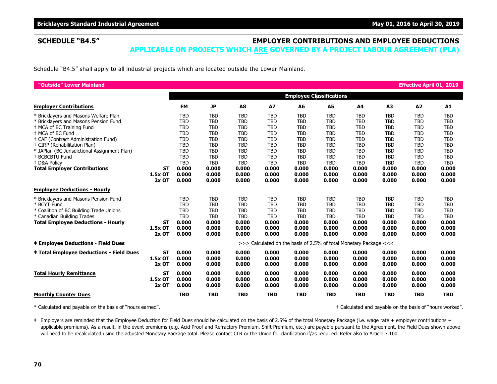# **SCHEDULE "B4.5" EMPLOYER CONTRIBUTIONS AND EMPLOYEE DEDUCTIONS**

**APPLICABLE ON PROJECTS WHICH ARE GOVERNED BY A PROJECT LABOUR AGREEMENT (PLA)**

Schedule "B4.5" shall apply to all industrial projects which are located outside the Lower Mainland.

| "Outside" Lower Mainland                        |           |                                                                   |            |                |            |                |                |            |                | <b>Effective April 01, 2019</b> |            |
|-------------------------------------------------|-----------|-------------------------------------------------------------------|------------|----------------|------------|----------------|----------------|------------|----------------|---------------------------------|------------|
|                                                 |           | <b>Employee Classifications</b>                                   |            |                |            |                |                |            |                |                                 |            |
| <b>Employer Contributions</b>                   |           | <b>FM</b>                                                         | JP         | A <sub>8</sub> | <b>A7</b>  | A <sub>6</sub> | A <sub>5</sub> | A4         | A <sub>3</sub> | A2                              | A1         |
| * Bricklayers and Masons Welfare Plan           |           | <b>TBD</b>                                                        | <b>TBD</b> | <b>TBD</b>     | <b>TBD</b> | <b>TBD</b>     | <b>TBD</b>     | <b>TBD</b> | <b>TBD</b>     | <b>TBD</b>                      | <b>TBD</b> |
| * Bricklayers and Masons Pension Fund           |           | <b>TBD</b>                                                        | <b>TBD</b> | <b>TBD</b>     | <b>TBD</b> | <b>TBD</b>     | <b>TBD</b>     | <b>TBD</b> | <b>TBD</b>     | <b>TBD</b>                      | <b>TBD</b> |
| <sup>+</sup> MCA of BC Training Fund            |           | <b>TBD</b>                                                        | <b>TBD</b> | <b>TBD</b>     | <b>TBD</b> | <b>TBD</b>     | <b>TBD</b>     | <b>TBD</b> | <b>TBD</b>     | <b>TBD</b>                      | <b>TBD</b> |
| <sup>+</sup> MCA of BC Fund                     |           | <b>TBD</b>                                                        | <b>TBD</b> | <b>TBD</b>     | <b>TBD</b> | <b>TBD</b>     | <b>TBD</b>     | <b>TBD</b> | <b>TBD</b>     | <b>TBD</b>                      | <b>TBD</b> |
| + CAF (Contract Administration Fund)            |           | <b>TBD</b>                                                        | <b>TBD</b> | <b>TBD</b>     | <b>TBD</b> | <b>TBD</b>     | <b>TBD</b>     | <b>TBD</b> | <b>TBD</b>     | <b>TBD</b>                      | <b>TBD</b> |
| <sup>+</sup> CIRP (Rehabilitation Plan)         |           | <b>TBD</b>                                                        | <b>TBD</b> | <b>TBD</b>     | <b>TBD</b> | <b>TBD</b>     | <b>TBD</b>     | <b>TBD</b> | <b>TBD</b>     | <b>TBD</b>                      | <b>TBD</b> |
| * JAPlan (BC Jurisdictional Assignment Plan)    |           | <b>TBD</b>                                                        | <b>TBD</b> | <b>TBD</b>     | <b>TBD</b> | <b>TBD</b>     | <b>TBD</b>     | <b>TBD</b> | <b>TBD</b>     | <b>TBD</b>                      | <b>TBD</b> |
| <sup>+</sup> BCBCBTU Fund                       |           | <b>TBD</b>                                                        | <b>TBD</b> | <b>TBD</b>     | <b>TBD</b> | <b>TBD</b>     | <b>TBD</b>     | <b>TBD</b> | <b>TBD</b>     | <b>TBD</b>                      | <b>TBD</b> |
| <sup>+</sup> D&A Policv                         |           | <b>TBD</b>                                                        | <b>TBD</b> | <b>TBD</b>     | <b>TBD</b> | <b>TBD</b>     | <b>TBD</b>     | <b>TBD</b> | <b>TBD</b>     | <b>TBD</b>                      | <b>TBD</b> |
| <b>Total Employer Contributions</b>             | <b>ST</b> | 0.000                                                             | 0.000      | 0.000          | 0.000      | 0.000          | 0.000          | 0.000      | 0.000          | 0.000                           | 0.000      |
|                                                 | $1.5x$ OT | 0.000                                                             | 0.000      | 0.000          | 0.000      | 0.000          | 0.000          | 0.000      | 0.000          | 0.000                           | 0.000      |
|                                                 | $2x$ OT   | 0.000                                                             | 0.000      | 0.000          | 0.000      | 0.000          | 0.000          | 0.000      | 0.000          | 0.000                           | 0.000      |
| <b>Employee Deductions - Hourly</b>             |           |                                                                   |            |                |            |                |                |            |                |                                 |            |
| * Bricklayers and Masons Pension Fund           |           | <b>TBD</b>                                                        | <b>TBD</b> | <b>TBD</b>     | <b>TBD</b> | <b>TBD</b>     | <b>TBD</b>     | <b>TBD</b> | <b>TBD</b>     | <b>TBD</b>                      | <b>TBD</b> |
| * BCYT Fund                                     |           | <b>TBD</b>                                                        | <b>TBD</b> | <b>TBD</b>     | <b>TBD</b> | <b>TBD</b>     | <b>TBD</b>     | <b>TBD</b> | <b>TBD</b>     | <b>TBD</b>                      | <b>TBD</b> |
| * Coalition of BC Building Trade Unions         |           | <b>TBD</b>                                                        | <b>TBD</b> | <b>TBD</b>     | <b>TBD</b> | <b>TBD</b>     | <b>TBD</b>     | <b>TBD</b> | <b>TBD</b>     | <b>TBD</b>                      | <b>TBD</b> |
| * Canadian Building Trades                      |           | <b>TBD</b>                                                        | <b>TBD</b> | <b>TBD</b>     | <b>TBD</b> | <b>TBD</b>     | <b>TBD</b>     | <b>TBD</b> | <b>TBD</b>     | <b>TBD</b>                      | <b>TBD</b> |
| <b>Total Employee Deductions - Hourly</b>       | ST        | 0.000                                                             | 0.000      | 0.000          | 0.000      | 0.000          | 0.000          | 0.000      | 0.000          | 0.000                           | 0.000      |
|                                                 | 1.5x OT   | 0.000                                                             | 0.000      | 0.000          | 0.000      | 0.000          | 0.000          | 0.000      | 0.000          | 0.000                           | 0.000      |
|                                                 | $2x$ OT   | 0.000                                                             | 0.000      | 0.000          | 0.000      | 0.000          | 0.000          | 0.000      | 0.000          | 0.000                           | 0.000      |
| <b>‡ Employee Deductions - Field Dues</b>       |           | >>> Calculated on the basis of 2.5% of total Monetary Package <<< |            |                |            |                |                |            |                |                                 |            |
| <b>‡ Total Employee Deductions - Field Dues</b> | <b>ST</b> | 0.000                                                             | 0.000      | 0.000          | 0.000      | 0.000          | 0.000          | 0.000      | 0.000          | 0.000                           | 0.000      |
|                                                 | $1.5x$ OT | 0.000                                                             | 0.000      | 0.000          | 0.000      | 0.000          | 0.000          | 0.000      | 0.000          | 0.000                           | 0.000      |
|                                                 | $2x$ OT   | 0.000                                                             | 0.000      | 0.000          | 0.000      | 0.000          | 0.000          | 0.000      | 0.000          | 0.000                           | 0.000      |
| <b>Total Hourly Remittance</b>                  | <b>ST</b> | 0.000                                                             | 0.000      | 0.000          | 0.000      | 0.000          | 0.000          | 0.000      | 0.000          | 0.000                           | 0.000      |
|                                                 | 1.5x OT   | 0.000                                                             | 0.000      | 0.000          | 0.000      | 0.000          | 0.000          | 0.000      | 0.000          | 0.000                           | 0.000      |
|                                                 | $2x$ OT   | 0.000                                                             | 0.000      | 0.000          | 0.000      | 0.000          | 0.000          | 0.000      | 0.000          | 0.000                           | 0.000      |
| <b>Monthly Counter Dues</b>                     |           | <b>TBD</b>                                                        | <b>TBD</b> | <b>TBD</b>     | <b>TBD</b> | <b>TBD</b>     | <b>TBD</b>     | <b>TBD</b> | <b>TBD</b>     | <b>TBD</b>                      | <b>TBD</b> |

\* Calculated and payable on the basis of "hours earned". † Calculated and payable on the basis of "hours worked".

‡ Employers are reminded that the Employee Deduction for Field Dues should be calculated on the basis of 2.5% of the total Monetary Package (i.e. wage rate + employer contributions + applicable premiums). As a result, in the event premiums (e.g. Acid Proof and Refractory Premium, Shift Premium, etc.) are payable pursuant to the Agreement, the Field Dues shown above will need to be recalculated using the adjusted Monetary Package total. Please contact CLR or the Union for clarification if/as required. Refer also to Article 7.100.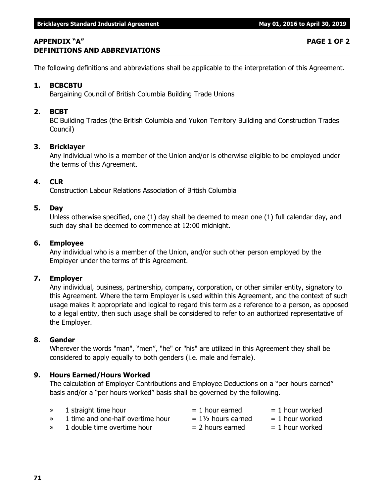# **APPENDIX "A" PAGE 1 OF 2 DEFINITIONS AND ABBREVIATIONS**

The following definitions and abbreviations shall be applicable to the interpretation of this Agreement.

### **1. BCBCBTU**

Bargaining Council of British Columbia Building Trade Unions

### **2. BCBT**

BC Building Trades (the British Columbia and Yukon Territory Building and Construction Trades Council)

### **3. Bricklayer**

Any individual who is a member of the Union and/or is otherwise eligible to be employed under the terms of this Agreement.

### **4. CLR**

Construction Labour Relations Association of British Columbia

### **5. Day**

Unless otherwise specified, one (1) day shall be deemed to mean one (1) full calendar day, and such day shall be deemed to commence at 12:00 midnight.

### **6. Employee**

Any individual who is a member of the Union, and/or such other person employed by the Employer under the terms of this Agreement.

### **7. Employer**

Any individual, business, partnership, company, corporation, or other similar entity, signatory to this Agreement. Where the term Employer is used within this Agreement, and the context of such usage makes it appropriate and logical to regard this term as a reference to a person, as opposed to a legal entity, then such usage shall be considered to refer to an authorized representative of the Employer.

### **8. Gender**

Wherever the words "man", "men", "he" or "his" are utilized in this Agreement they shall be considered to apply equally to both genders (i.e. male and female).

### **9. Hours Earned/Hours Worked**

The calculation of Employer Contributions and Employee Deductions on a "per hours earned" basis and/or a "per hours worked" basis shall be governed by the following.

| $\gg$ | 1 straight time hour              | $= 1$ hour earned             | $= 1$ hour worked |
|-------|-----------------------------------|-------------------------------|-------------------|
| $\gg$ | 1 time and one-half overtime hour | $= 1\frac{1}{2}$ hours earned | $= 1$ hour worked |
| $\gg$ | 1 double time overtime hour       | $= 2$ hours earned            | $= 1$ hour worked |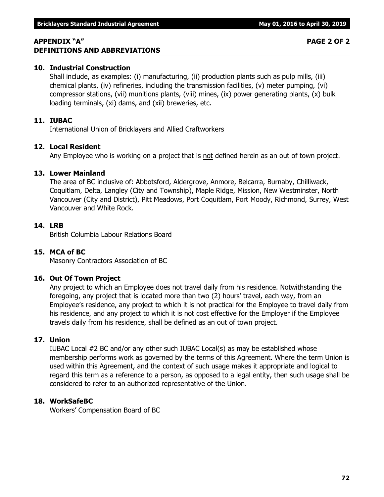# **APPENDIX "A" PAGE 2 OF 2 DEFINITIONS AND ABBREVIATIONS**

# **10. Industrial Construction**

Shall include, as examples: (i) manufacturing, (ii) production plants such as pulp mills, (iii) chemical plants, (iv) refineries, including the transmission facilities, (v) meter pumping, (vi) compressor stations, (vii) munitions plants, (viii) mines, (ix) power generating plants, (x) bulk loading terminals, (xi) dams, and (xii) breweries, etc.

# **11. IUBAC**

International Union of Bricklayers and Allied Craftworkers

# **12. Local Resident**

Any Employee who is working on a project that is not defined herein as an out of town project.

# **13. Lower Mainland**

The area of BC inclusive of: Abbotsford, Aldergrove, Anmore, Belcarra, Burnaby, Chilliwack, Coquitlam, Delta, Langley (City and Township), Maple Ridge, Mission, New Westminster, North Vancouver (City and District), Pitt Meadows, Port Coquitlam, Port Moody, Richmond, Surrey, West Vancouver and White Rock.

### **14. LRB**

British Columbia Labour Relations Board

## **15. MCA of BC**

Masonry Contractors Association of BC

## **16. Out Of Town Project**

Any project to which an Employee does not travel daily from his residence. Notwithstanding the foregoing, any project that is located more than two (2) hours' travel, each way, from an Employee's residence, any project to which it is not practical for the Employee to travel daily from his residence, and any project to which it is not cost effective for the Employer if the Employee travels daily from his residence, shall be defined as an out of town project.

## **17. Union**

IUBAC Local #2 BC and/or any other such IUBAC Local(s) as may be established whose membership performs work as governed by the terms of this Agreement. Where the term Union is used within this Agreement, and the context of such usage makes it appropriate and logical to regard this term as a reference to a person, as opposed to a legal entity, then such usage shall be considered to refer to an authorized representative of the Union.

## **18. WorkSafeBC**

Workers' Compensation Board of BC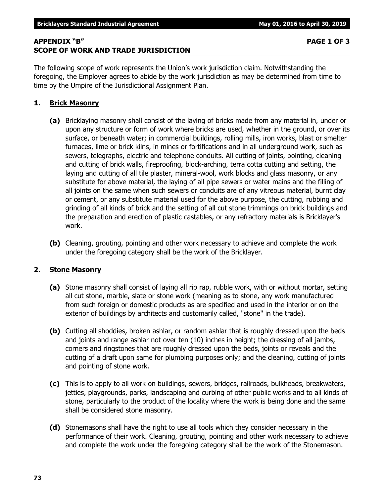**73**

# **APPENDIX "B" PAGE 1 OF 3 SCOPE OF WORK AND TRADE JURISDICTION**

 **Bricklayers Standard Industrial Agreement May 01, 2016 to April 30, 2019** 

The following scope of work represents the Union's work jurisdiction claim. Notwithstanding the foregoing, the Employer agrees to abide by the work jurisdiction as may be determined from time to time by the Umpire of the Jurisdictional Assignment Plan.

# **1. Brick Masonry**

- **(a)** Bricklaying masonry shall consist of the laying of bricks made from any material in, under or upon any structure or form of work where bricks are used, whether in the ground, or over its surface, or beneath water; in commercial buildings, rolling mills, iron works, blast or smelter furnaces, lime or brick kilns, in mines or fortifications and in all underground work, such as sewers, telegraphs, electric and telephone conduits. All cutting of joints, pointing, cleaning and cutting of brick walls, fireproofing, block-arching, terra cotta cutting and setting, the laying and cutting of all tile plaster, mineral-wool, work blocks and glass masonry, or any substitute for above material, the laying of all pipe sewers or water mains and the filling of all joints on the same when such sewers or conduits are of any vitreous material, burnt clay or cement, or any substitute material used for the above purpose, the cutting, rubbing and grinding of all kinds of brick and the setting of all cut stone trimmings on brick buildings and the preparation and erection of plastic castables, or any refractory materials is Bricklayer's work.
- **(b)** Cleaning, grouting, pointing and other work necessary to achieve and complete the work under the foregoing category shall be the work of the Bricklayer.

# **2. Stone Masonry**

- **(a)** Stone masonry shall consist of laying all rip rap, rubble work, with or without mortar, setting all cut stone, marble, slate or stone work (meaning as to stone, any work manufactured from such foreign or domestic products as are specified and used in the interior or on the exterior of buildings by architects and customarily called, "stone" in the trade).
- **(b)** Cutting all shoddies, broken ashlar, or random ashlar that is roughly dressed upon the beds and joints and range ashlar not over ten (10) inches in height; the dressing of all jambs, corners and ringstones that are roughly dressed upon the beds, joints or reveals and the cutting of a draft upon same for plumbing purposes only; and the cleaning, cutting of joints and pointing of stone work.
- **(c)** This is to apply to all work on buildings, sewers, bridges, railroads, bulkheads, breakwaters, jetties, playgrounds, parks, landscaping and curbing of other public works and to all kinds of stone, particularly to the product of the locality where the work is being done and the same shall be considered stone masonry.
- **(d)** Stonemasons shall have the right to use all tools which they consider necessary in the performance of their work. Cleaning, grouting, pointing and other work necessary to achieve and complete the work under the foregoing category shall be the work of the Stonemason.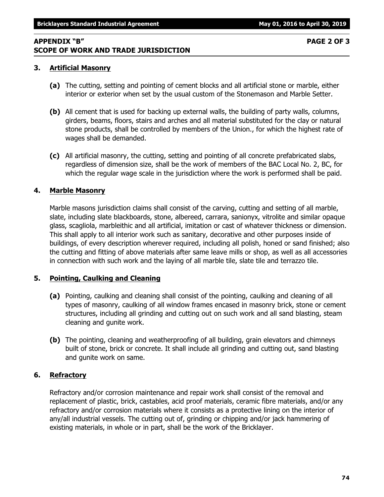# **APPENDIX "B" PAGE 2 OF 3 SCOPE OF WORK AND TRADE JURISDICTION**

# **3. Artificial Masonry**

- **(a)** The cutting, setting and pointing of cement blocks and all artificial stone or marble, either interior or exterior when set by the usual custom of the Stonemason and Marble Setter.
- **(b)** All cement that is used for backing up external walls, the building of party walls, columns, girders, beams, floors, stairs and arches and all material substituted for the clay or natural stone products, shall be controlled by members of the Union., for which the highest rate of wages shall be demanded.
- **(c)** All artificial masonry, the cutting, setting and pointing of all concrete prefabricated slabs, regardless of dimension size, shall be the work of members of the BAC Local No. 2, BC, for which the regular wage scale in the jurisdiction where the work is performed shall be paid.

# **4. Marble Masonry**

Marble masons jurisdiction claims shall consist of the carving, cutting and setting of all marble, slate, including slate blackboards, stone, albereed, carrara, sanionyx, vitrolite and similar opaque glass, scagliola, marbleithic and all artificial, imitation or cast of whatever thickness or dimension. This shall apply to all interior work such as sanitary, decorative and other purposes inside of buildings, of every description wherever required, including all polish, honed or sand finished; also the cutting and fitting of above materials after same leave mills or shop, as well as all accessories in connection with such work and the laying of all marble tile, slate tile and terrazzo tile.

# **5. Pointing, Caulking and Cleaning**

- **(a)** Pointing, caulking and cleaning shall consist of the pointing, caulking and cleaning of all types of masonry, caulking of all window frames encased in masonry brick, stone or cement structures, including all grinding and cutting out on such work and all sand blasting, steam cleaning and gunite work.
- **(b)** The pointing, cleaning and weatherproofing of all building, grain elevators and chimneys built of stone, brick or concrete. It shall include all grinding and cutting out, sand blasting and gunite work on same.

# **6. Refractory**

Refractory and/or corrosion maintenance and repair work shall consist of the removal and replacement of plastic, brick, castables, acid proof materials, ceramic fibre materials, and/or any refractory and/or corrosion materials where it consists as a protective lining on the interior of any/all industrial vessels. The cutting out of, grinding or chipping and/or jack hammering of existing materials, in whole or in part, shall be the work of the Bricklayer.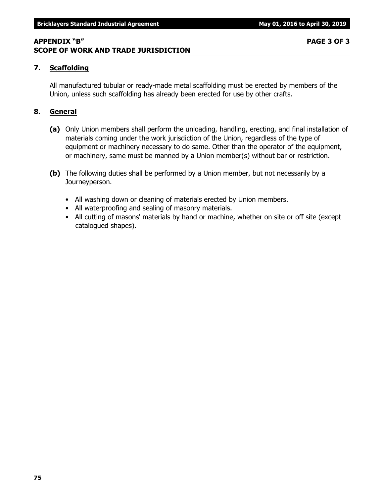### **APPENDIX "B" PAGE 3 OF 3 SCOPE OF WORK AND TRADE JURISDICTION**

### **7. Scaffolding**

All manufactured tubular or ready-made metal scaffolding must be erected by members of the Union, unless such scaffolding has already been erected for use by other crafts.

### **8. General**

- **(a)** Only Union members shall perform the unloading, handling, erecting, and final installation of materials coming under the work jurisdiction of the Union, regardless of the type of equipment or machinery necessary to do same. Other than the operator of the equipment, or machinery, same must be manned by a Union member(s) without bar or restriction.
- **(b)** The following duties shall be performed by a Union member, but not necessarily by a Journeyperson.
	- All washing down or cleaning of materials erected by Union members.
	- All waterproofing and sealing of masonry materials.
	- All cutting of masons' materials by hand or machine, whether on site or off site (except catalogued shapes).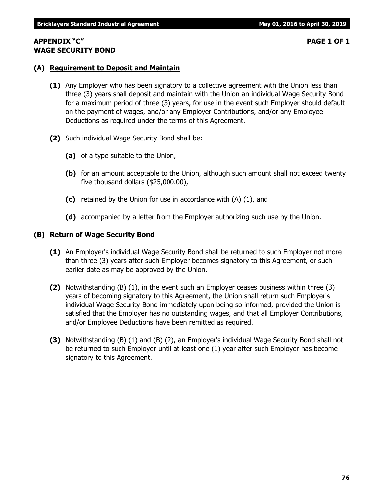### **APPENDIX "C" PAGE 1 OF 1 WAGE SECURITY BOND**

### **(A) Requirement to Deposit and Maintain**

- **(1)** Any Employer who has been signatory to a collective agreement with the Union less than three (3) years shall deposit and maintain with the Union an individual Wage Security Bond for a maximum period of three (3) years, for use in the event such Employer should default on the payment of wages, and/or any Employer Contributions, and/or any Employee Deductions as required under the terms of this Agreement.
- **(2)** Such individual Wage Security Bond shall be:
	- **(a)** of a type suitable to the Union,
	- **(b)** for an amount acceptable to the Union, although such amount shall not exceed twenty five thousand dollars (\$25,000.00),
	- **(c)** retained by the Union for use in accordance with (A) (1), and
	- **(d)** accompanied by a letter from the Employer authorizing such use by the Union.

### **(B) Return of Wage Security Bond**

- **(1)** An Employer's individual Wage Security Bond shall be returned to such Employer not more than three (3) years after such Employer becomes signatory to this Agreement, or such earlier date as may be approved by the Union.
- **(2)** Notwithstanding (B) (1), in the event such an Employer ceases business within three (3) years of becoming signatory to this Agreement, the Union shall return such Employer's individual Wage Security Bond immediately upon being so informed, provided the Union is satisfied that the Employer has no outstanding wages, and that all Employer Contributions, and/or Employee Deductions have been remitted as required.
- **(3)** Notwithstanding (B) (1) and (B) (2), an Employer's individual Wage Security Bond shall not be returned to such Employer until at least one (1) year after such Employer has become signatory to this Agreement.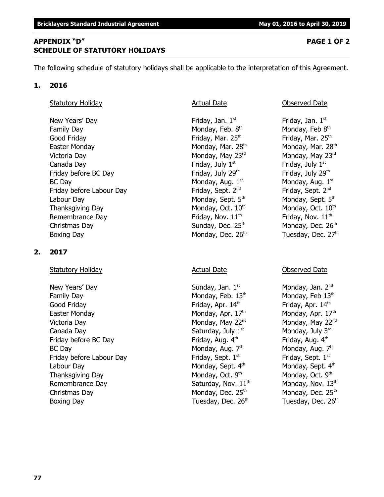## **APPENDIX "D" PAGE 1 OF 2 SCHEDULE OF STATUTORY HOLIDAYS**

The following schedule of statutory holidays shall be applicable to the interpretation of this Agreement.

### **1. 2016**

### Statutory Holiday **Actual Date Conserved Date** Observed Date

New Years' Day  $Friday$ , Jan.  $1<sup>st</sup>$ Family Day **Monday, Feb. 8th** Good Friday **Friday** Friday, Mar. 25<sup>th</sup> Friday, Mar. 25<sup>th</sup> Friday, Mar. 25<sup>th</sup> Easter Monday **Monday, Mar. 28<sup>th</sup> Monday, Mar. 28**<sup>th</sup> Monday, Mar. 28<sup>th</sup> Victoria Day **Monday, May 23<sup>rd</sup>** Monday, May 23<sup>rd</sup> Monday, May 23<sup>rd</sup> Canada Day **Friday, July 1<sup>st</sup>** Friday, July 1<sup>st</sup> Friday, July 1<sup>st</sup> Friday before BC Day Friday, July 29<sup>th</sup> Friday, July 29<sup>th</sup> Friday, July 29<sup>th</sup>  $BC$  Day Monday, Aug.  $1<sup>st</sup>$ Friday before Labour Day Friday, Sept. 2<sup>nd</sup> Labour Day Monday, Sept. 5<sup>th</sup> Monday, Sept. 5<sup>th</sup> Monday, Sept. 5<sup>th</sup> Thanksgiving Day Monday, Oct. 10<sup>th</sup> Monday, Oct. 10<sup>th</sup> Monday, Oct. 10<sup>th</sup> Remembrance Day  $\qquad \qquad$  Friday, Nov.  $11^{\text{th}}$  Friday, Nov.  $11^{\text{th}}$ Christmas Day **Sunday, Dec. 25<sup>th</sup> Monday, Dec. 26<sup>th</sup>** Monday, Dec. 26<sup>th</sup> Boxing Day **Monday, Dec. 26<sup>th</sup> Tuesday, Dec. 27<sup>th</sup>** 

## **2. 2017**

## Statutory Holiday **Actual Date** Actual Date **Conserved Date** Observed Date **Conserved** Date **Conserved** Date **Conserved** Date

New Years' Day  $S$ unday, Jan.  $1^{st}$  Monday, Jan.  $2^{nd}$ Family Day **Monday, Feb.** 13<sup>th</sup> Monday, Feb 13<sup>th</sup> Monday, Feb 13<sup>th</sup> Good Friday **Friday**, Apr. 14<sup>th</sup> Friday, Apr. 14<sup>th</sup> Friday, Apr. 14<sup>th</sup> Easter Monday **Monday, Apr. 17<sup>th</sup>** Monday, Apr. 17<sup>th</sup> Monday, Apr. 17<sup>th</sup> Victoria Day **Monday, May 22<sup>nd</sup> Monday, May 22<sup>nd</sup> Monday, May 22<sup>nd</sup> Monday, May 22<sup>nd</sup>** Canada Day Saturday, July  $1^{\text{st}}$  Monday, July  $3^{\text{rd}}$ Friday before BC Day Friday, Aug.  $4^{\text{th}}$  Friday, Aug.  $4^{\text{th}}$  Friday, Aug.  $4^{\text{th}}$ BC Day Monday, Aug. 7th Friday before Labour Day Friday, Sept. 1<sup>st</sup> Labour Day Monday, Sept. 4<sup>th</sup> Monday, Sept. 4<sup>th</sup> Monday, Sept. 4<sup>th</sup> Thanksgiving Day  $M$ onday, Oct. 9<sup>th</sup> Remembrance Day  $S$  Saturday, Nov.  $11<sup>th</sup>$  Monday, Nov.  $13<sup>th</sup>$ Christmas Day  $M$ onday, Dec. 25<sup>th</sup> Monday, Dec. 25<sup>th</sup> Monday, Dec. 25<sup>th</sup> Boxing Day **Bridge Community Community** Tuesday, Dec. 26<sup>th</sup> Tuesday, Dec. 26<sup>th</sup>

Friday, Jan.  $1<sup>st</sup>$ Monday, Feb 8th Monday, Aug.  $1<sup>st</sup>$ Friday, Sept. 2<sup>nd</sup>

Monday, Aug. 7th Friday, Sept.  $1<sup>st</sup>$ Monday, Oct. 9th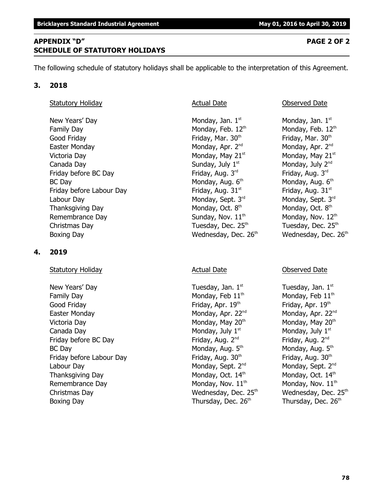**78**

# **APPENDIX "D" PAGE 2 OF 2 SCHEDULE OF STATUTORY HOLIDAYS**

The following schedule of statutory holidays shall be applicable to the interpretation of this Agreement.

# **3. 2018**

# Statutory Holiday **Actual Date Conserved Date** Observed Date

New Years' Day Monday, Jan.  $1<sup>st</sup>$  Monday, Jan.  $1<sup>st</sup>$  Monday, Jan.  $1<sup>st</sup>$ Family Day **Monday, Feb. 12<sup>th</sup>** Monday, Feb. 12<sup>th</sup> Monday, Feb. 12<sup>th</sup> Good Friday **Friday**, Mar. 30<sup>th</sup> Friday, Mar. 30<sup>th</sup> Friday, Mar. 30<sup>th</sup> Easter Monday **Monday, Apr. 2<sup>nd</sup> Monday, Apr. 2<sup>nd</sup> Monday, Apr. 2<sup>nd</sup> Monday, Apr. 2<sup>nd</sup>** Victoria Day **Monday, May 21**<sup>st</sup> Monday, May 21<sup>st</sup> Monday, May 21<sup>st</sup> Canada Day  $\qquad \qquad \qquad \qquad$  Sunday, July 1<sup>st</sup>  $\qquad \qquad \qquad$  Monday, July 2<sup>nd</sup> Friday before BC Day Friday, Aug. 3<sup>rd</sup> Friday, Aug. 3<sup>rd</sup> Friday, Aug. 3<sup>rd</sup> Friday, Aug. 3<sup>rd</sup> BC Day Monday, Aug. 6<sup>th</sup> Friday before Labour Day Friday, Aug.  $31<sup>st</sup>$  Friday, Aug.  $31<sup>st</sup>$ Labour Day Monday, Sept. 3 $^{rd}$  Monday, Sept. 3 $^{rd}$  Monday, Sept. 3 $^{rd}$ Thanksgiving Day Monday, Oct. 8<sup>th</sup> Remembrance Day  $Sunday, Nov. 11<sup>th</sup>$  Monday, Nov.  $12<sup>th</sup>$ Christmas Day  $\qquad \qquad$  Tuesday, Dec. 25<sup>th</sup>  $\qquad \qquad$  Tuesday, Dec. 25<sup>th</sup> Boxing Day **Bridge Community Community** Wednesday, Dec. 26<sup>th</sup> Wednesday, Dec. 26<sup>th</sup>

# **4. 2019**

# Statutory Holiday **Actual Date** Actual Date **Conserved Date** Observed Date

New Years' Day  $\qquad \qquad$  Tuesday, Jan.  $1^{st}$  Tuesday, Jan.  $1^{st}$ Family Day **Monday, Feb 11<sup>th</sup>** Monday, Feb 11<sup>th</sup> Monday, Feb 11<sup>th</sup> Good Friday **Friday**, Apr. 19<sup>th</sup> Friday, Apr. 19<sup>th</sup> Friday, Apr. 19<sup>th</sup> Easter Monday Monday, Apr. 22<sup>nd</sup> Monday, Apr. 22<sup>nd</sup> Monday, Apr. 22<sup>nd</sup> Victoria Day **Monday, May 20<sup>th</sup> Monday, May 20<sup>th</sup> Monday, May 20<sup>th</sup> Monday, May 20<sup>th</sup>** Canada Day **Monday, July 1<sup>st</sup> Monday, July 1** Monday, July 1<sup>st</sup> Friday before BC Day Friday, Aug. 2<sup>nd</sup> Friday, Aug. 2<sup>nd</sup> Friday, Aug. 2<sup>nd</sup> Friday, Aug. 2<sup>nd</sup> BC Day Monday, Aug. 5th Friday before Labour Day Friday, Aug. 30<sup>th</sup> Friday, Aug. 30<sup>th</sup> Friday, Aug. 30<sup>th</sup> Labour Day Monday, Sept. 2<sup>nd</sup> Monday, Sept. 2<sup>nd</sup> Monday, Sept. 2<sup>nd</sup> Thanksgiving Day **Monday, Oct. 14<sup>th</sup> Monday, Oct. 14<sup>th</sup>** Monday, Oct. 14<sup>th</sup> Remembrance Day Monday, Nov.  $11<sup>th</sup>$  Monday, Nov.  $11<sup>th</sup>$ Christmas Day **Mathems Charlot Christmas Day** Wednesday, Dec. 25<sup>th</sup> Wednesday, Dec. 25<sup>th</sup> Boxing Day **Thursday, Dec. 26<sup>th</sup> Thursday, Dec. 26<sup>th</sup> Thursday, Dec. 26<sup>th</sup>** 

Monday, Aug. 6<sup>th</sup> Monday, Oct. 8<sup>th</sup>

Monday, Aug. 5<sup>th</sup>